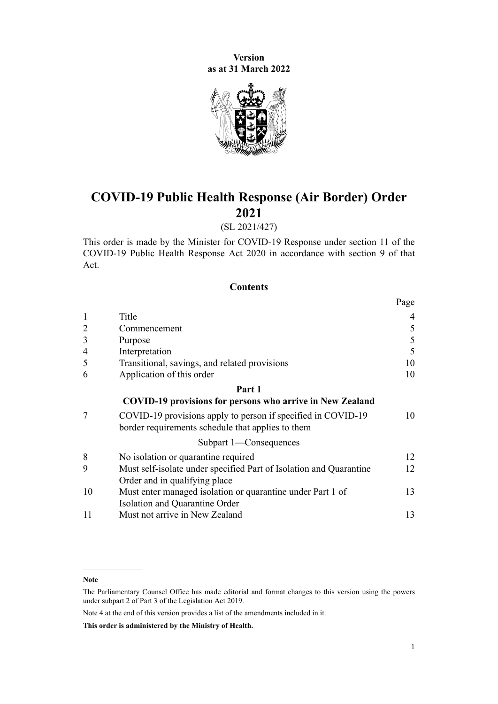**Version as at 31 March 2022**



# **COVID-19 Public Health Response (Air Border) Order 2021**

# (SL 2021/427)

This order is made by the Minister for COVID-19 Response under [section 11](http://legislation.govt.nz/pdflink.aspx?id=LMS344177) of the [COVID-19 Public Health Response Act 2020](http://legislation.govt.nz/pdflink.aspx?id=LMS344121) in accordance with [section 9](http://legislation.govt.nz/pdflink.aspx?id=LMS344175) of that Act.

## **Contents**

|                |                                                                                                                   | Page |
|----------------|-------------------------------------------------------------------------------------------------------------------|------|
| $\mathbf{1}$   | Title                                                                                                             | 4    |
| $\overline{2}$ | Commencement                                                                                                      | 5    |
| 3              | Purpose                                                                                                           | 5    |
| $\overline{4}$ | Interpretation                                                                                                    | 5    |
| 5              | Transitional, savings, and related provisions                                                                     | 10   |
| 6              | Application of this order                                                                                         | 10   |
|                | Part 1                                                                                                            |      |
|                | <b>COVID-19 provisions for persons who arrive in New Zealand</b>                                                  |      |
| 7              | COVID-19 provisions apply to person if specified in COVID-19<br>border requirements schedule that applies to them | 10   |
|                | Subpart 1-Consequences                                                                                            |      |
| 8              | No isolation or quarantine required                                                                               | 12   |
| 9              | Must self-isolate under specified Part of Isolation and Quarantine                                                | 12   |
|                | Order and in qualifying place                                                                                     |      |
| 10             | Must enter managed isolation or quarantine under Part 1 of                                                        | 13   |
|                | Isolation and Quarantine Order                                                                                    |      |
| 11             | Must not arrive in New Zealand                                                                                    | 13   |

Note 4 at the end of this version provides a list of the amendments included in it.

**This order is administered by the Ministry of Health.**

**Note**

The Parliamentary Counsel Office has made editorial and format changes to this version using the powers under [subpart 2](http://legislation.govt.nz/pdflink.aspx?id=DLM7298371) of Part 3 of the Legislation Act 2019.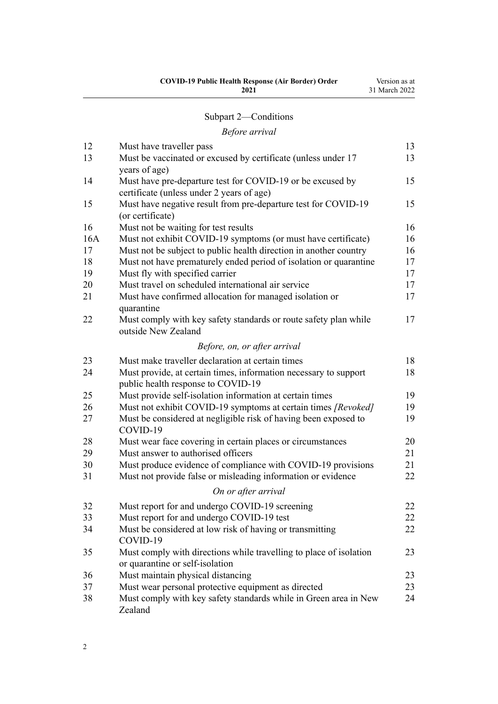| <b>COVID-19 Public Health Response (Air Border) Order</b> | Version as at |
|-----------------------------------------------------------|---------------|
| 2021                                                      | 31 March 2022 |

# [Subpart 2—Conditions](#page-12-0)

# *[Before arrival](#page-12-0)*

| 12  | Must have traveller pass                                                                               | 13 |
|-----|--------------------------------------------------------------------------------------------------------|----|
| 13  | Must be vaccinated or excused by certificate (unless under 17<br>years of age)                         | 13 |
| 14  | Must have pre-departure test for COVID-19 or be excused by                                             | 15 |
|     | certificate (unless under 2 years of age)                                                              |    |
| 15  | Must have negative result from pre-departure test for COVID-19<br>(or certificate)                     | 15 |
| 16  | Must not be waiting for test results                                                                   | 16 |
| 16A | Must not exhibit COVID-19 symptoms (or must have certificate)                                          | 16 |
| 17  | Must not be subject to public health direction in another country                                      | 16 |
| 18  | Must not have prematurely ended period of isolation or quarantine                                      | 17 |
| 19  | Must fly with specified carrier                                                                        | 17 |
| 20  | Must travel on scheduled international air service                                                     | 17 |
| 21  | Must have confirmed allocation for managed isolation or<br>quarantine                                  | 17 |
| 22  | Must comply with key safety standards or route safety plan while<br>outside New Zealand                | 17 |
|     | Before, on, or after arrival                                                                           |    |
| 23  | Must make traveller declaration at certain times                                                       | 18 |
| 24  | Must provide, at certain times, information necessary to support<br>public health response to COVID-19 | 18 |
| 25  | Must provide self-isolation information at certain times                                               | 19 |
| 26  | Must not exhibit COVID-19 symptoms at certain times [Revoked]                                          | 19 |
| 27  | Must be considered at negligible risk of having been exposed to<br>COVID-19                            | 19 |
| 28  | Must wear face covering in certain places or circumstances                                             | 20 |
| 29  | Must answer to authorised officers                                                                     | 21 |
| 30  | Must produce evidence of compliance with COVID-19 provisions                                           | 21 |
| 31  | Must not provide false or misleading information or evidence                                           | 22 |
|     | On or after arrival                                                                                    |    |
| 32  | Must report for and undergo COVID-19 screening                                                         | 22 |
| 33  | Must report for and undergo COVID-19 test                                                              | 22 |
| 34  | Must be considered at low risk of having or transmitting<br>COVID-19                                   | 22 |
| 35  | Must comply with directions while travelling to place of isolation<br>or quarantine or self-isolation  | 23 |
| 36  | Must maintain physical distancing                                                                      | 23 |
| 37  | Must wear personal protective equipment as directed                                                    | 23 |
| 38  | Must comply with key safety standards while in Green area in New<br>Zealand                            | 24 |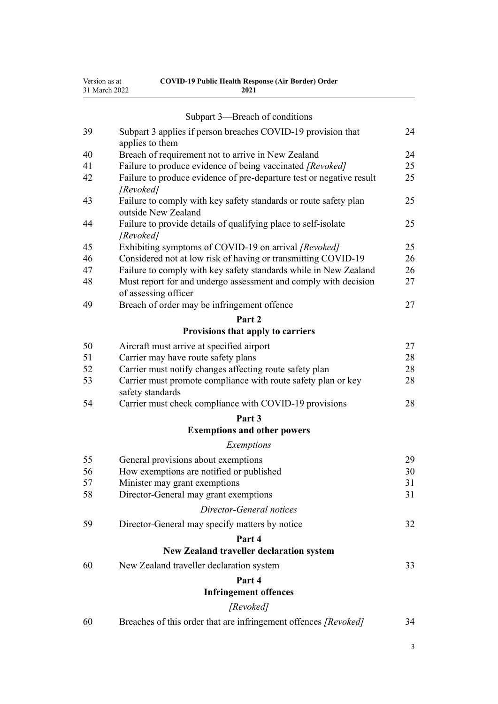| Version as at | <b>COVID-19 Public Health Response (Air Border) Order</b> |
|---------------|-----------------------------------------------------------|
| 31 March 2022 | 2021                                                      |

|    | Subpart 3—Breach of conditions                                                          |        |
|----|-----------------------------------------------------------------------------------------|--------|
|    |                                                                                         |        |
| 39 | Subpart 3 applies if person breaches COVID-19 provision that<br>applies to them         | 24     |
| 40 | Breach of requirement not to arrive in New Zealand                                      | 24     |
| 41 | Failure to produce evidence of being vaccinated [Revoked]                               | 25     |
| 42 | Failure to produce evidence of pre-departure test or negative result<br>[Revoked]       | 25     |
| 43 | Failure to comply with key safety standards or route safety plan<br>outside New Zealand | 25     |
| 44 | Failure to provide details of qualifying place to self-isolate<br>[Revoked]             | 25     |
| 45 | Exhibiting symptoms of COVID-19 on arrival [Revoked]                                    | 25     |
| 46 | Considered not at low risk of having or transmitting COVID-19                           | 26     |
| 47 | Failure to comply with key safety standards while in New Zealand                        | 26     |
| 48 | Must report for and undergo assessment and comply with decision<br>of assessing officer | 27     |
| 49 | Breach of order may be infringement offence                                             | 27     |
|    | Part 2                                                                                  |        |
|    | Provisions that apply to carriers                                                       |        |
| 50 | Aircraft must arrive at specified airport                                               | 27     |
| 51 | Carrier may have route safety plans                                                     | 28     |
| 52 | Carrier must notify changes affecting route safety plan                                 | $28\,$ |
| 53 | Carrier must promote compliance with route safety plan or key<br>safety standards       | 28     |
| 54 | Carrier must check compliance with COVID-19 provisions                                  | 28     |
|    | Part 3                                                                                  |        |
|    | <b>Exemptions and other powers</b>                                                      |        |
|    | Exemptions                                                                              |        |
| 55 | General provisions about exemptions                                                     | 29     |
| 56 | How exemptions are notified or published                                                | 30     |
| 57 | Minister may grant exemptions                                                           | 31     |
| 58 | Director-General may grant exemptions                                                   | 31     |
|    | Director-General notices                                                                |        |
| 59 | Director-General may specify matters by notice                                          | 32     |
|    | Part 4                                                                                  |        |
|    | <b>New Zealand traveller declaration system</b>                                         |        |
| 60 | New Zealand traveller declaration system                                                | 33     |
|    | Part 4                                                                                  |        |
|    | <b>Infringement offences</b>                                                            |        |
|    | [Revoked]                                                                               |        |
| 60 | Breaches of this order that are infringement offences [Revoked]                         | 34     |

3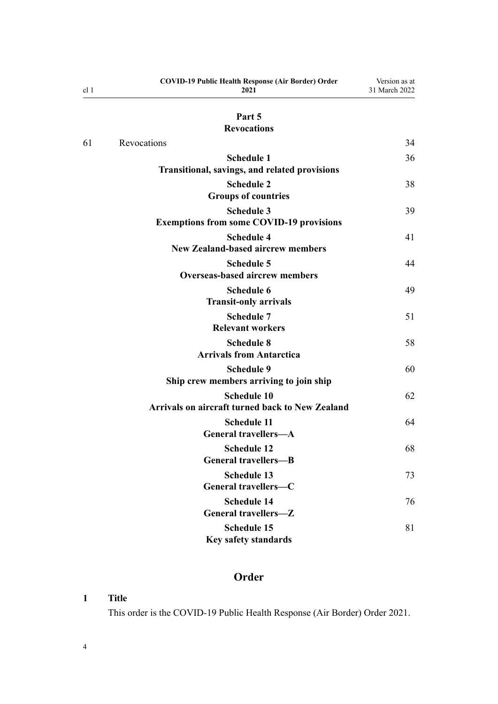<span id="page-3-0"></span>

| cl <sub>1</sub> | <b>COVID-19 Public Health Response (Air Border) Order</b><br>2021            | Version as at<br>31 March 2022 |
|-----------------|------------------------------------------------------------------------------|--------------------------------|
|                 | Part 5                                                                       |                                |
|                 | <b>Revocations</b>                                                           |                                |
| 61              | Revocations                                                                  | 34                             |
|                 | <b>Schedule 1</b><br>Transitional, savings, and related provisions           | 36                             |
|                 | <b>Schedule 2</b><br><b>Groups of countries</b>                              | 38                             |
|                 | <b>Schedule 3</b><br><b>Exemptions from some COVID-19 provisions</b>         | 39                             |
|                 | <b>Schedule 4</b><br><b>New Zealand-based aircrew members</b>                | 41                             |
|                 | <b>Schedule 5</b><br><b>Overseas-based aircrew members</b>                   | 44                             |
|                 | <b>Schedule 6</b><br><b>Transit-only arrivals</b>                            | 49                             |
|                 | <b>Schedule 7</b><br><b>Relevant workers</b>                                 | 51                             |
|                 | <b>Schedule 8</b><br><b>Arrivals from Antarctica</b>                         | 58                             |
|                 | <b>Schedule 9</b><br>Ship crew members arriving to join ship                 | 60                             |
|                 | <b>Schedule 10</b><br><b>Arrivals on aircraft turned back to New Zealand</b> | 62                             |
|                 | <b>Schedule 11</b><br><b>General travellers-A</b>                            | 64                             |
|                 | <b>Schedule 12</b><br><b>General travellers-B</b>                            | 68                             |
|                 | <b>Schedule 13</b><br>General travellers-C                                   | 73                             |
|                 | <b>Schedule 14</b><br>General travellers-Z                                   | 76                             |
|                 | <b>Schedule 15</b><br>Key safety standards                                   | 81                             |

# **Order**

# **1 Title**

This order is the COVID-19 Public Health Response (Air Border) Order 2021.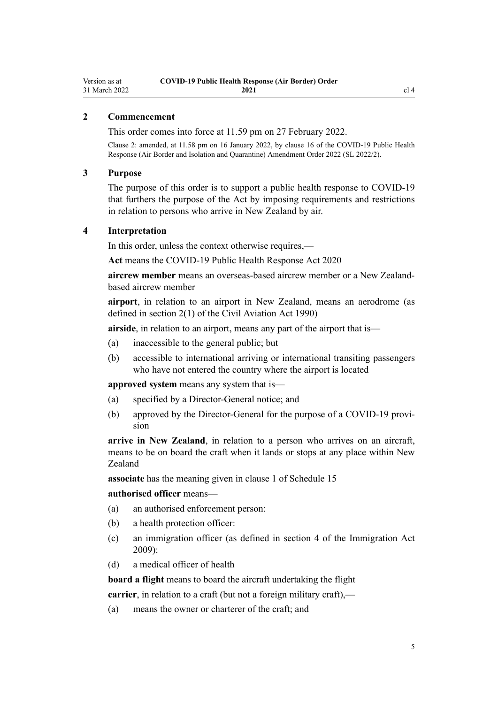# <span id="page-4-0"></span>**2 Commencement**

This order comes into force at 11.59 pm on 27 February 2022.

Clause 2: amended, at 11.58 pm on 16 January 2022, by [clause 16](http://legislation.govt.nz/pdflink.aspx?id=LMS629294) of the COVID-19 Public Health Response (Air Border and Isolation and Quarantine) Amendment Order 2022 (SL 2022/2).

#### **3 Purpose**

The purpose of this order is to support a public health response to COVID-19 that furthers the purpose of the Act by imposing requirements and restrictions in relation to persons who arrive in New Zealand by air.

#### **4 Interpretation**

In this order, unless the context otherwise requires,—

**Act** means the [COVID-19 Public Health Response Act 2020](http://legislation.govt.nz/pdflink.aspx?id=LMS344121)

**aircrew member** means an overseas-based aircrew member or a New Zealandbased aircrew member

**airport**, in relation to an airport in New Zealand, means an aerodrome (as defined in [section 2\(1\)](http://legislation.govt.nz/pdflink.aspx?id=DLM214692) of the Civil Aviation Act 1990)

**airside**, in relation to an airport, means any part of the airport that is—

- (a) inaccessible to the general public; but
- (b) accessible to international arriving or international transiting passengers who have not entered the country where the airport is located

**approved system** means any system that is—

- (a) specified by a Director-General notice; and
- (b) approved by the Director-General for the purpose of a COVID-19 provision

**arrive in New Zealand**, in relation to a person who arrives on an aircraft, means to be on board the craft when it lands or stops at any place within New Zealand

**associate** has the meaning given in [clause 1](#page-80-0) of Schedule 15

## **authorised officer** means—

- (a) an authorised enforcement person:
- (b) a health protection officer:
- (c) an immigration officer (as defined in [section 4](http://legislation.govt.nz/pdflink.aspx?id=DLM1440311) of the Immigration Act 2009):
- (d) a medical officer of health

**board a flight** means to board the aircraft undertaking the flight

**carrier**, in relation to a craft (but not a foreign military craft),—

(a) means the owner or charterer of the craft; and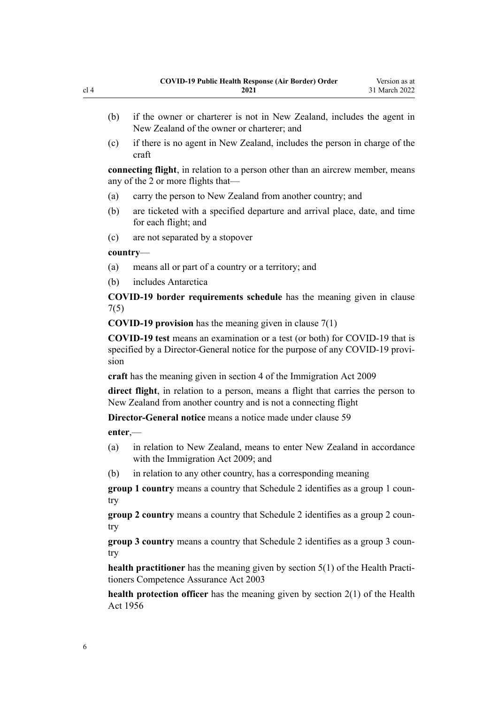- (b) if the owner or charterer is not in New Zealand, includes the agent in New Zealand of the owner or charterer; and
- (c) if there is no agent in New Zealand, includes the person in charge of the craft

**connecting flight**, in relation to a person other than an aircrew member, means any of the 2 or more flights that—

- (a) carry the person to New Zealand from another country; and
- (b) are ticketed with a specified departure and arrival place, date, and time for each flight; and
- (c) are not separated by a stopover

#### **country**—

- (a) means all or part of a country or a territory; and
- (b) includes Antarctica

**COVID-19 border requirements schedule** has the meaning given in [clause](#page-9-0) [7\(5\)](#page-9-0)

**COVID-19 provision** has the meaning given in [clause 7\(1\)](#page-9-0)

**COVID-19 test** means an examination or a test (or both) for COVID-19 that is specified by a Director-General notice for the purpose of any COVID-19 provision

**craft** has the meaning given in [section 4](http://legislation.govt.nz/pdflink.aspx?id=DLM1440311) of the Immigration Act 2009

**direct flight**, in relation to a person, means a flight that carries the person to New Zealand from another country and is not a connecting flight

**Director-General notice** means a notice made under [clause 59](#page-31-0)

**enter**,—

- (a) in relation to New Zealand, means to enter New Zealand in accordance with the [Immigration Act 2009](http://legislation.govt.nz/pdflink.aspx?id=DLM1440300); and
- (b) in relation to any other country, has a corresponding meaning

**group 1 country** means a country that [Schedule 2](#page-37-0) identifies as a group 1 country

**group 2 country** means a country that [Schedule 2](#page-37-0) identifies as a group 2 country

**group 3 country** means a country that [Schedule 2](#page-37-0) identifies as a group 3 country

**health practitioner** has the meaning given by [section 5\(1\)](http://legislation.govt.nz/pdflink.aspx?id=DLM203321) of the Health Practitioners Competence Assurance Act 2003

**health protection officer** has the meaning given by [section 2\(1\)](http://legislation.govt.nz/pdflink.aspx?id=DLM305845) of the Health Act 1956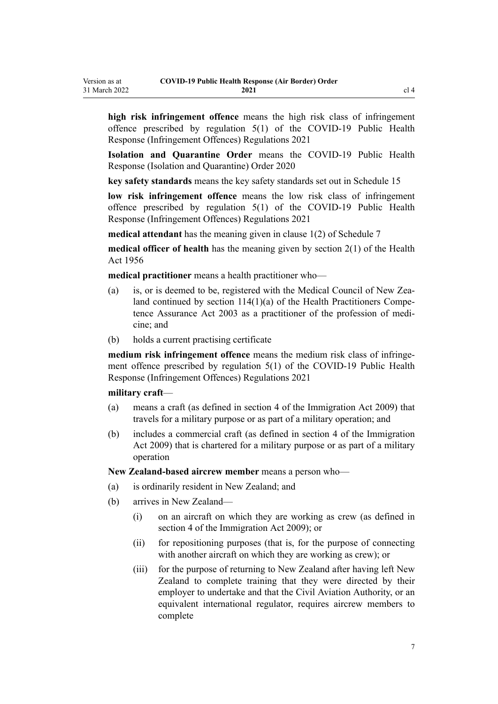**high risk infringement offence** means the high risk class of infringement offence prescribed by [regulation 5\(1\)](http://legislation.govt.nz/pdflink.aspx?id=LMS600713) of the COVID-19 Public Health Response (Infringement Offences) Regulations 2021

**Isolation and Quarantine Order** means the [COVID-19 Public Health](http://legislation.govt.nz/pdflink.aspx?id=LMS401666) [Response \(Isolation and Quarantine\) Order 2020](http://legislation.govt.nz/pdflink.aspx?id=LMS401666)

**key safety standards** means the key safety standards set out in [Schedule 15](#page-80-0)

**low risk infringement offence** means the low risk class of infringement offence prescribed by [regulation 5\(1\)](http://legislation.govt.nz/pdflink.aspx?id=LMS600713) of the COVID-19 Public Health Response (Infringement Offences) Regulations 2021

**medical attendant** has the meaning given in [clause 1\(2\)](#page-50-0) of Schedule 7

**medical officer of health** has the meaning given by [section 2\(1\)](http://legislation.govt.nz/pdflink.aspx?id=DLM305845) of the Health Act 1956

**medical practitioner** means a health practitioner who—

- (a) is, or is deemed to be, registered with the Medical Council of New Zealand continued by section  $114(1)(a)$  of the Health Practitioners Competence Assurance Act 2003 as a practitioner of the profession of medi‐ cine; and
- (b) holds a current practising certificate

medium risk infringement offence means the medium risk class of infringement offence prescribed by [regulation 5\(1\)](http://legislation.govt.nz/pdflink.aspx?id=LMS600713) of the COVID-19 Public Health Response (Infringement Offences) Regulations 2021

#### **military craft**—

- (a) means a craft (as defined in [section 4](http://legislation.govt.nz/pdflink.aspx?id=DLM1440311) of the Immigration Act 2009) that travels for a military purpose or as part of a military operation; and
- (b) includes a commercial craft (as defined in [section 4](http://legislation.govt.nz/pdflink.aspx?id=DLM1440311) of the Immigration Act 2009) that is chartered for a military purpose or as part of a military operation

**New Zealand-based aircrew member** means a person who—

- (a) is ordinarily resident in New Zealand; and
- (b) arrives in New Zealand—
	- (i) on an aircraft on which they are working as crew (as defined in [section 4](http://legislation.govt.nz/pdflink.aspx?id=DLM1440311) of the Immigration Act 2009); or
	- (ii) for repositioning purposes (that is, for the purpose of connecting with another aircraft on which they are working as crew); or
	- (iii) for the purpose of returning to New Zealand after having left New Zealand to complete training that they were directed by their employer to undertake and that the Civil Aviation Authority, or an equivalent international regulator, requires aircrew members to complete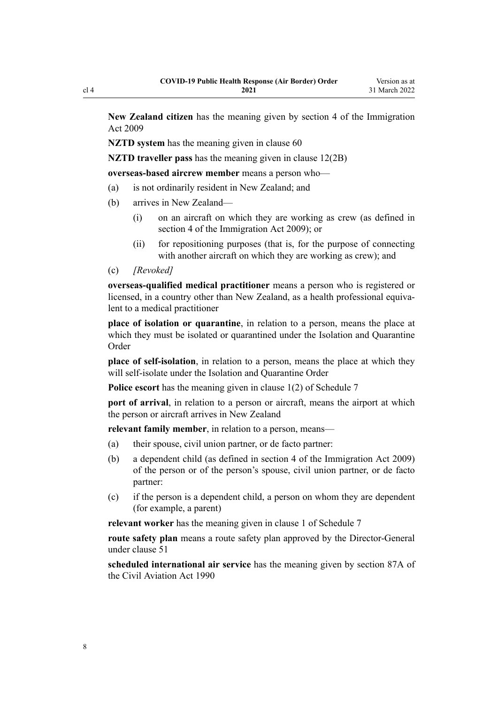**New Zealand citizen** has the meaning given by [section 4](http://legislation.govt.nz/pdflink.aspx?id=DLM1440311) of the Immigration Act 2009

**NZTD** system has the meaning given in [clause 60](#page-32-0)

**NZTD traveller pass** has the meaning given in [clause 12\(2B\)](#page-12-0)

**overseas-based aircrew member** means a person who—

- (a) is not ordinarily resident in New Zealand; and
- (b) arrives in New Zealand—
	- (i) on an aircraft on which they are working as crew (as defined in [section 4](http://legislation.govt.nz/pdflink.aspx?id=DLM1440311) of the Immigration Act 2009); or
	- (ii) for repositioning purposes (that is, for the purpose of connecting with another aircraft on which they are working as crew); and

(c) *[Revoked]*

**overseas-qualified medical practitioner** means a person who is registered or licensed, in a country other than New Zealand, as a health professional equiva‐ lent to a medical practitioner

**place of isolation or quarantine**, in relation to a person, means the place at which they must be isolated or quarantined under the Isolation and Quarantine Order

**place of self-isolation**, in relation to a person, means the place at which they will self-isolate under the Isolation and Quarantine Order

**Police escort** has the meaning given in [clause 1\(2\)](#page-50-0) of Schedule 7

**port of arrival**, in relation to a person or aircraft, means the airport at which the person or aircraft arrives in New Zealand

**relevant family member**, in relation to a person, means—

- (a) their spouse, civil union partner, or de facto partner:
- (b) a dependent child (as defined in [section 4](http://legislation.govt.nz/pdflink.aspx?id=DLM1440311) of the Immigration Act 2009) of the person or of the person's spouse, civil union partner, or de facto partner:
- (c) if the person is a dependent child, a person on whom they are dependent (for example, a parent)

**relevant worker** has the meaning given in [clause 1](#page-50-0) of Schedule 7

**route safety plan** means a route safety plan approved by the Director-General under [clause 51](#page-27-0)

**scheduled international air service** has the meaning given by [section 87A](http://legislation.govt.nz/pdflink.aspx?id=DLM217812) of the Civil Aviation Act 1990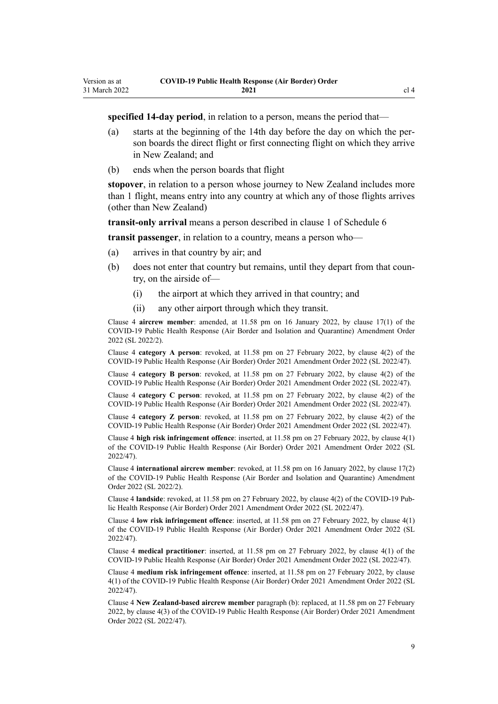**specified 14-day period**, in relation to a person, means the period that—

- (a) starts at the beginning of the 14th day before the day on which the per‐ son boards the direct flight or first connecting flight on which they arrive in New Zealand; and
- (b) ends when the person boards that flight

**stopover**, in relation to a person whose journey to New Zealand includes more than 1 flight, means entry into any country at which any of those flights arrives (other than New Zealand)

**transit-only arrival** means a person described in [clause 1](#page-48-0) of Schedule 6

**transit passenger**, in relation to a country, means a person who—

- (a) arrives in that country by air; and
- (b) does not enter that country but remains, until they depart from that country, on the airside of—
	- (i) the airport at which they arrived in that country; and
	- (ii) any other airport through which they transit.

Clause 4 **aircrew member**: amended, at 11.58 pm on 16 January 2022, by [clause 17\(1\)](http://legislation.govt.nz/pdflink.aspx?id=LMS629299) of the COVID-19 Public Health Response (Air Border and Isolation and Quarantine) Amendment Order 2022 (SL 2022/2).

Clause 4 **category A person**: revoked, at 11.58 pm on 27 February 2022, by [clause 4\(2\)](http://legislation.govt.nz/pdflink.aspx?id=LMS650823) of the COVID-19 Public Health Response (Air Border) Order 2021 Amendment Order 2022 (SL 2022/47).

Clause 4 **category B person**: revoked, at 11.58 pm on 27 February 2022, by [clause 4\(2\)](http://legislation.govt.nz/pdflink.aspx?id=LMS650823) of the COVID-19 Public Health Response (Air Border) Order 2021 Amendment Order 2022 (SL 2022/47).

Clause 4 **category C person**: revoked, at 11.58 pm on 27 February 2022, by [clause 4\(2\)](http://legislation.govt.nz/pdflink.aspx?id=LMS650823) of the COVID-19 Public Health Response (Air Border) Order 2021 Amendment Order 2022 (SL 2022/47).

Clause 4 **category Z person**: revoked, at 11.58 pm on 27 February 2022, by [clause 4\(2\)](http://legislation.govt.nz/pdflink.aspx?id=LMS650823) of the COVID-19 Public Health Response (Air Border) Order 2021 Amendment Order 2022 (SL 2022/47).

Clause 4 **high risk infringement offence**: inserted, at 11.58 pm on 27 February 2022, by [clause 4\(1\)](http://legislation.govt.nz/pdflink.aspx?id=LMS650823) of the COVID-19 Public Health Response (Air Border) Order 2021 Amendment Order 2022 (SL 2022/47).

Clause 4 **international aircrew member**: revoked, at 11.58 pm on 16 January 2022, by [clause 17\(2\)](http://legislation.govt.nz/pdflink.aspx?id=LMS629299) of the COVID-19 Public Health Response (Air Border and Isolation and Quarantine) Amendment Order 2022 (SL 2022/2).

Clause 4 **landside**: revoked, at 11.58 pm on 27 February 2022, by [clause 4\(2\)](http://legislation.govt.nz/pdflink.aspx?id=LMS650823) of the COVID-19 Pub‐ lic Health Response (Air Border) Order 2021 Amendment Order 2022 (SL 2022/47).

Clause 4 **low risk infringement offence**: inserted, at 11.58 pm on 27 February 2022, by [clause 4\(1\)](http://legislation.govt.nz/pdflink.aspx?id=LMS650823) of the COVID-19 Public Health Response (Air Border) Order 2021 Amendment Order 2022 (SL 2022/47).

Clause 4 **medical practitioner**: inserted, at 11.58 pm on 27 February 2022, by [clause 4\(1\)](http://legislation.govt.nz/pdflink.aspx?id=LMS650823) of the COVID-19 Public Health Response (Air Border) Order 2021 Amendment Order 2022 (SL 2022/47).

Clause 4 **medium risk infringement offence**: inserted, at 11.58 pm on 27 February 2022, by [clause](http://legislation.govt.nz/pdflink.aspx?id=LMS650823) [4\(1\)](http://legislation.govt.nz/pdflink.aspx?id=LMS650823) of the COVID-19 Public Health Response (Air Border) Order 2021 Amendment Order 2022 (SL 2022/47).

Clause 4 **New Zealand-based aircrew member** paragraph (b): replaced, at 11.58 pm on 27 February 2022, by [clause 4\(3\)](http://legislation.govt.nz/pdflink.aspx?id=LMS650823) of the COVID-19 Public Health Response (Air Border) Order 2021 Amendment Order 2022 (SL 2022/47).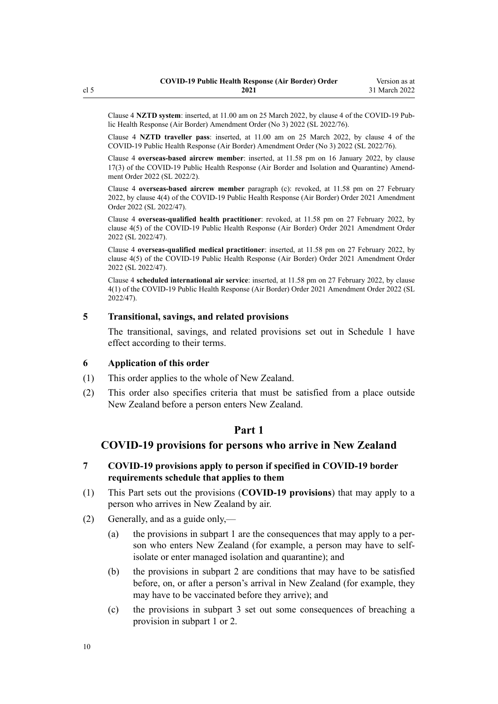<span id="page-9-0"></span>Clause 4 **NZTD system**: inserted, at 11.00 am on 25 March 2022, by [clause 4](http://legislation.govt.nz/pdflink.aspx?id=LMS665854) of the COVID-19 Pub‐ lic Health Response (Air Border) Amendment Order (No 3) 2022 (SL 2022/76).

Clause 4 **NZTD traveller pass**: inserted, at 11.00 am on 25 March 2022, by [clause 4](http://legislation.govt.nz/pdflink.aspx?id=LMS665854) of the COVID-19 Public Health Response (Air Border) Amendment Order (No 3) 2022 (SL 2022/76).

Clause 4 **overseas-based aircrew member**: inserted, at 11.58 pm on 16 January 2022, by [clause](http://legislation.govt.nz/pdflink.aspx?id=LMS629299) [17\(3\)](http://legislation.govt.nz/pdflink.aspx?id=LMS629299) of the COVID-19 Public Health Response (Air Border and Isolation and Quarantine) Amend‐ ment Order 2022 (SL 2022/2).

Clause 4 **overseas-based aircrew member** paragraph (c): revoked, at 11.58 pm on 27 February 2022, by [clause 4\(4\)](http://legislation.govt.nz/pdflink.aspx?id=LMS650823) of the COVID-19 Public Health Response (Air Border) Order 2021 Amendment Order 2022 (SL 2022/47).

Clause 4 **overseas-qualified health practitioner**: revoked, at 11.58 pm on 27 February 2022, by [clause 4\(5\)](http://legislation.govt.nz/pdflink.aspx?id=LMS650823) of the COVID-19 Public Health Response (Air Border) Order 2021 Amendment Order 2022 (SL 2022/47).

Clause 4 **overseas-qualified medical practitioner**: inserted, at 11.58 pm on 27 February 2022, by [clause 4\(5\)](http://legislation.govt.nz/pdflink.aspx?id=LMS650823) of the COVID-19 Public Health Response (Air Border) Order 2021 Amendment Order 2022 (SL 2022/47).

Clause 4 **scheduled international air service**: inserted, at 11.58 pm on 27 February 2022, by [clause](http://legislation.govt.nz/pdflink.aspx?id=LMS650823) [4\(1\)](http://legislation.govt.nz/pdflink.aspx?id=LMS650823) of the COVID-19 Public Health Response (Air Border) Order 2021 Amendment Order 2022 (SL 2022/47).

### **5 Transitional, savings, and related provisions**

The transitional, savings, and related provisions set out in [Schedule 1](#page-35-0) have effect according to their terms.

#### **6 Application of this order**

- (1) This order applies to the whole of New Zealand.
- (2) This order also specifies criteria that must be satisfied from a place outside New Zealand before a person enters New Zealand.

# **Part 1**

# **COVID-19 provisions for persons who arrive in New Zealand**

# **7 COVID-19 provisions apply to person if specified in COVID-19 border requirements schedule that applies to them**

- (1) This Part sets out the provisions (**COVID-19 provisions**) that may apply to a person who arrives in New Zealand by air.
- (2) Generally, and as a guide only,—
	- (a) the provisions in [subpart 1](#page-11-0) are the consequences that may apply to a per‐ son who enters New Zealand (for example, a person may have to selfisolate or enter managed isolation and quarantine); and
	- (b) the provisions in [subpart 2](#page-12-0) are conditions that may have to be satisfied before, on, or after a person's arrival in New Zealand (for example, they may have to be vaccinated before they arrive); and
	- (c) the provisions in [subpart 3](#page-23-0) set out some consequences of breaching a provision in [subpart 1](#page-11-0) or [2.](#page-12-0)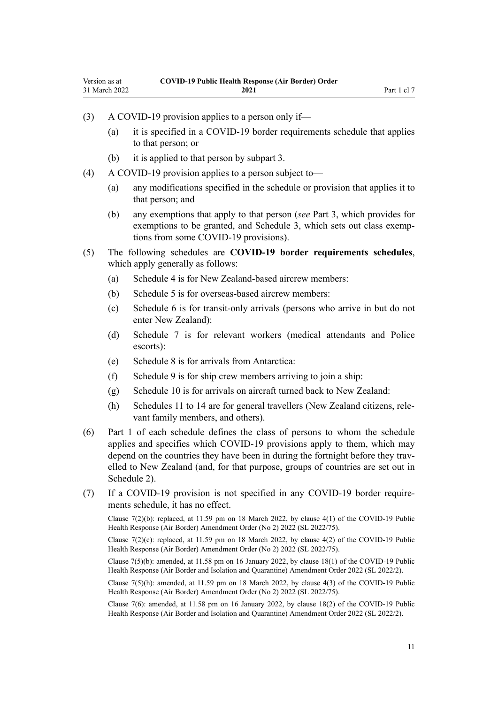- (3) A COVID-19 provision applies to a person only if—
	- (a) it is specified in a COVID-19 border requirements schedule that applies to that person; or
	- (b) it is applied to that person by [subpart 3](#page-23-0).
- (4) A COVID-19 provision applies to a person subject to—
	- (a) any modifications specified in the schedule or provision that applies it to that person; and
	- (b) any exemptions that apply to that person (*see* [Part 3,](#page-28-0) which provides for exemptions to be granted, and [Schedule 3](#page-38-0), which sets out class exemptions from some COVID-19 provisions).
- (5) The following schedules are **COVID-19 border requirements schedules**, which apply generally as follows:
	- (a) [Schedule 4](#page-40-0) is for New Zealand-based aircrew members:
	- (b) [Schedule 5](#page-43-0) is for overseas-based aircrew members:
	- (c) [Schedule 6](#page-48-0) is for transit-only arrivals (persons who arrive in but do not enter New Zealand):
	- (d) [Schedule 7](#page-50-0) is for relevant workers (medical attendants and Police escorts):
	- (e) [Schedule 8](#page-57-0) is for arrivals from Antarctica:
	- (f) [Schedule 9](#page-59-0) is for ship crew members arriving to join a ship:
	- (g) [Schedule 10](#page-61-0) is for arrivals on aircraft turned back to New Zealand:
	- (h) [Schedules 11 to 14](#page-63-0) are for general travellers (New Zealand citizens, rele‐ vant family members, and others).
- (6) Part 1 of each schedule defines the class of persons to whom the schedule applies and specifies which COVID-19 provisions apply to them, which may depend on the countries they have been in during the fortnight before they travelled to New Zealand (and, for that purpose, groups of countries are set out in [Schedule 2\)](#page-37-0).
- (7) If a COVID-19 provision is not specified in any COVID-19 border require‐ ments schedule, it has no effect.

Clause 7(2)(b): replaced, at 11.59 pm on 18 March 2022, by [clause 4\(1\)](http://legislation.govt.nz/pdflink.aspx?id=LMS664426) of the COVID-19 Public Health Response (Air Border) Amendment Order (No 2) 2022 (SL 2022/75).

Clause 7(2)(c): replaced, at 11.59 pm on 18 March 2022, by [clause 4\(2\)](http://legislation.govt.nz/pdflink.aspx?id=LMS664426) of the COVID-19 Public Health Response (Air Border) Amendment Order (No 2) 2022 (SL 2022/75).

Clause 7(5)(b): amended, at 11.58 pm on 16 January 2022, by [clause 18\(1\)](http://legislation.govt.nz/pdflink.aspx?id=LMS629300) of the COVID-19 Public Health Response (Air Border and Isolation and Quarantine) Amendment Order 2022 (SL 2022/2).

Clause 7(5)(h): amended, at 11.59 pm on 18 March 2022, by [clause 4\(3\)](http://legislation.govt.nz/pdflink.aspx?id=LMS664426) of the COVID-19 Public Health Response (Air Border) Amendment Order (No 2) 2022 (SL 2022/75).

Clause 7(6): amended, at 11.58 pm on 16 January 2022, by [clause 18\(2\)](http://legislation.govt.nz/pdflink.aspx?id=LMS629300) of the COVID-19 Public Health Response (Air Border and Isolation and Quarantine) Amendment Order 2022 (SL 2022/2).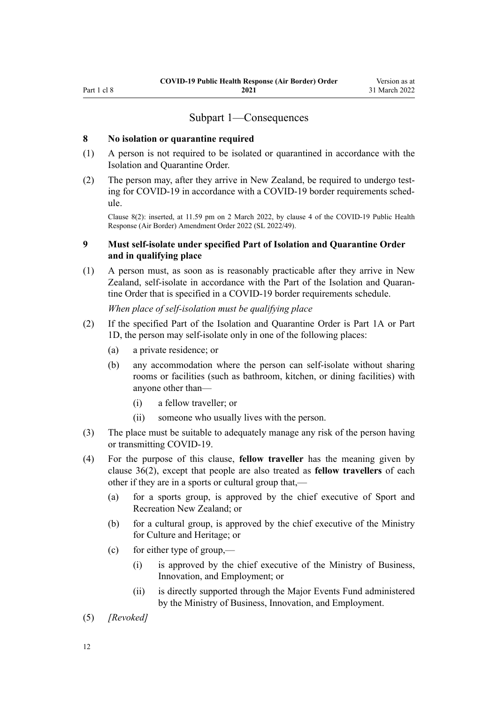# Subpart 1—Consequences

#### <span id="page-11-0"></span>**8 No isolation or quarantine required**

- (1) A person is not required to be isolated or quarantined in accordance with the Isolation and Quarantine Order.
- (2) The person may, after they arrive in New Zealand, be required to undergo test‐ ing for COVID-19 in accordance with a COVID-19 border requirements schedule.

Clause 8(2): inserted, at 11.59 pm on 2 March 2022, by [clause 4](http://legislation.govt.nz/pdflink.aspx?id=LMS653777) of the COVID-19 Public Health Response (Air Border) Amendment Order 2022 (SL 2022/49).

## **9 Must self-isolate under specified Part of Isolation and Quarantine Order and in qualifying place**

(1) A person must, as soon as is reasonably practicable after they arrive in New Zealand, self-isolate in accordance with the Part of the Isolation and Quaran‐ tine Order that is specified in a COVID-19 border requirements schedule.

*When place of self-isolation must be qualifying place*

- (2) If the specified Part of the Isolation and Quarantine Order is [Part 1A](http://legislation.govt.nz/pdflink.aspx?id=LMS415267) or [Part](http://legislation.govt.nz/pdflink.aspx?id=LMS652452) [1D](http://legislation.govt.nz/pdflink.aspx?id=LMS652452), the person may self-isolate only in one of the following places:
	- (a) a private residence; or
	- (b) any accommodation where the person can self-isolate without sharing rooms or facilities (such as bathroom, kitchen, or dining facilities) with anyone other than—
		- (i) a fellow traveller; or
		- (ii) someone who usually lives with the person.
- (3) The place must be suitable to adequately manage any risk of the person having or transmitting COVID-19.
- (4) For the purpose of this clause, **fellow traveller** has the meaning given by [clause 36\(2\)](#page-22-0), except that people are also treated as **fellow travellers** of each other if they are in a sports or cultural group that,—
	- (a) for a sports group, is approved by the chief executive of Sport and Recreation New Zealand; or
	- (b) for a cultural group, is approved by the chief executive of the Ministry for Culture and Heritage; or
	- (c) for either type of group,—
		- (i) is approved by the chief executive of the Ministry of Business, Innovation, and Employment; or
		- (ii) is directly supported through the Major Events Fund administered by the Ministry of Business, Innovation, and Employment.
- (5) *[Revoked]*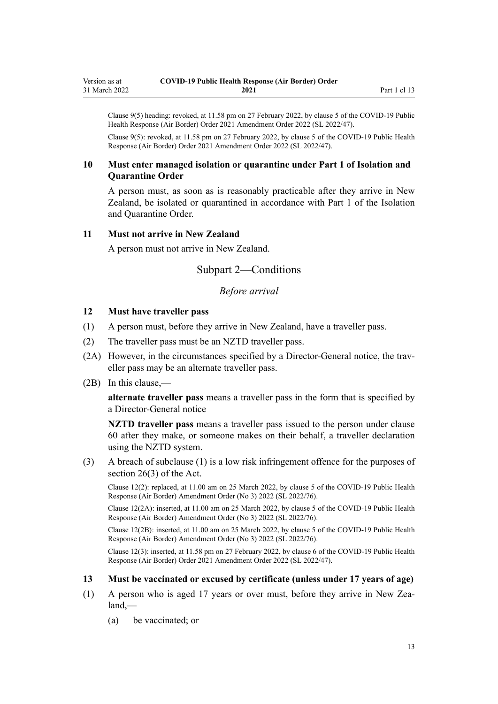<span id="page-12-0"></span>Clause 9(5) heading: revoked, at 11.58 pm on 27 February 2022, by [clause 5](http://legislation.govt.nz/pdflink.aspx?id=LMS650824) of the COVID-19 Public Health Response (Air Border) Order 2021 Amendment Order 2022 (SL 2022/47).

Clause 9(5): revoked, at 11.58 pm on 27 February 2022, by [clause 5](http://legislation.govt.nz/pdflink.aspx?id=LMS650824) of the COVID-19 Public Health Response (Air Border) Order 2021 Amendment Order 2022 (SL 2022/47).

# **10 Must enter managed isolation or quarantine under Part 1 of Isolation and Quarantine Order**

A person must, as soon as is reasonably practicable after they arrive in New Zealand, be isolated or quarantined in accordance with [Part 1](http://legislation.govt.nz/pdflink.aspx?id=LMS401726) of the Isolation and Quarantine Order.

#### **11 Must not arrive in New Zealand**

A person must not arrive in New Zealand.

# Subpart 2—Conditions

# *Before arrival*

## **12 Must have traveller pass**

- (1) A person must, before they arrive in New Zealand, have a traveller pass.
- (2) The traveller pass must be an NZTD traveller pass.
- (2A) However, in the circumstances specified by a Director-General notice, the traveller pass may be an alternate traveller pass.
- (2B) In this clause,—

**alternate traveller pass** means a traveller pass in the form that is specified by a Director-General notice

**NZTD traveller pass** means a traveller pass issued to the person under [clause](#page-32-0) [60](#page-32-0) after they make, or someone makes on their behalf, a traveller declaration using the NZTD system.

(3) A breach of subclause (1) is a low risk infringement offence for the purposes of [section 26\(3\)](http://legislation.govt.nz/pdflink.aspx?id=LMS344200) of the Act.

Clause 12(2): replaced, at 11.00 am on 25 March 2022, by [clause 5](http://legislation.govt.nz/pdflink.aspx?id=LMS665859) of the COVID-19 Public Health Response (Air Border) Amendment Order (No 3) 2022 (SL 2022/76).

Clause 12(2A): inserted, at 11.00 am on 25 March 2022, by [clause 5](http://legislation.govt.nz/pdflink.aspx?id=LMS665859) of the COVID-19 Public Health Response (Air Border) Amendment Order (No 3) 2022 (SL 2022/76).

Clause 12(2B): inserted, at 11.00 am on 25 March 2022, by [clause 5](http://legislation.govt.nz/pdflink.aspx?id=LMS665859) of the COVID-19 Public Health Response (Air Border) Amendment Order (No 3) 2022 (SL 2022/76).

Clause 12(3): inserted, at 11.58 pm on 27 February 2022, by [clause 6](http://legislation.govt.nz/pdflink.aspx?id=LMS650825) of the COVID-19 Public Health Response (Air Border) Order 2021 Amendment Order 2022 (SL 2022/47).

#### **13 Must be vaccinated or excused by certificate (unless under 17 years of age)**

- (1) A person who is aged 17 years or over must, before they arrive in New Zea‐ land,—
	- (a) be vaccinated; or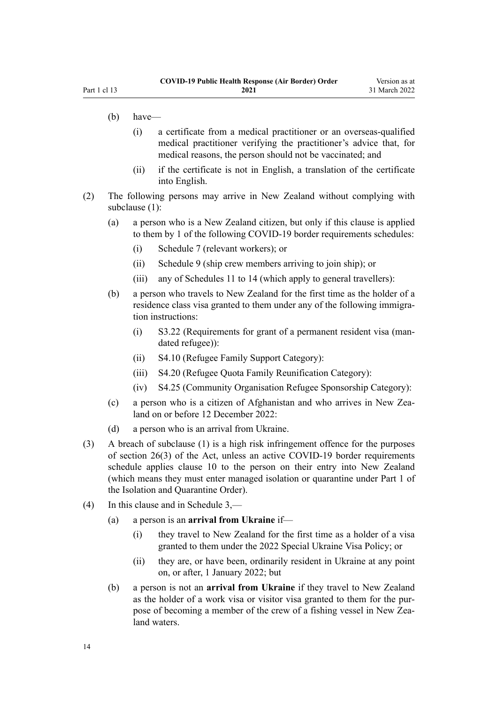- (b) have—
	- (i) a certificate from a medical practitioner or an overseas-qualified medical practitioner verifying the practitioner's advice that, for medical reasons, the person should not be vaccinated; and
	- (ii) if the certificate is not in English, a translation of the certificate into English.
- (2) The following persons may arrive in New Zealand without complying with subclause (1):
	- (a) a person who is a New Zealand citizen, but only if this clause is applied to them by 1 of the following COVID-19 border requirements schedules:
		- (i) [Schedule 7](#page-50-0) (relevant workers); or
		- (ii) [Schedule 9](#page-59-0) (ship crew members arriving to join ship); or
		- (iii) any of [Schedules 11 to 14](#page-63-0) (which apply to general travellers):
	- (b) a person who travels to New Zealand for the first time as the holder of a residence class visa granted to them under any of the following immigration instructions:
		- (i) S3.22 (Requirements for grant of a permanent resident visa (man‐ dated refugee)):
		- (ii) S4.10 (Refugee Family Support Category):
		- (iii) S4.20 (Refugee Quota Family Reunification Category):
		- (iv) S4.25 (Community Organisation Refugee Sponsorship Category):
	- (c) a person who is a citizen of Afghanistan and who arrives in New Zealand on or before 12 December 2022:
	- (d) a person who is an arrival from Ukraine.
- (3) A breach of subclause (1) is a high risk infringement offence for the purposes of [section 26\(3\)](http://legislation.govt.nz/pdflink.aspx?id=LMS344200) of the Act, unless an active COVID-19 border requirements schedule applies [clause 10](#page-12-0) to the person on their entry into New Zealand (which means they must enter managed isolation or quarantine under [Part 1](http://legislation.govt.nz/pdflink.aspx?id=LMS401726) of the Isolation and Quarantine Order).
- (4) In this clause and in [Schedule 3,](#page-38-0)
	- (a) a person is an **arrival from Ukraine** if—
		- (i) they travel to New Zealand for the first time as a holder of a visa granted to them under the 2022 Special Ukraine Visa Policy; or
		- (ii) they are, or have been, ordinarily resident in Ukraine at any point on, or after, 1 January 2022; but
	- (b) a person is not an **arrival from Ukraine** if they travel to New Zealand as the holder of a work visa or visitor visa granted to them for the pur‐ pose of becoming a member of the crew of a fishing vessel in New Zealand waters.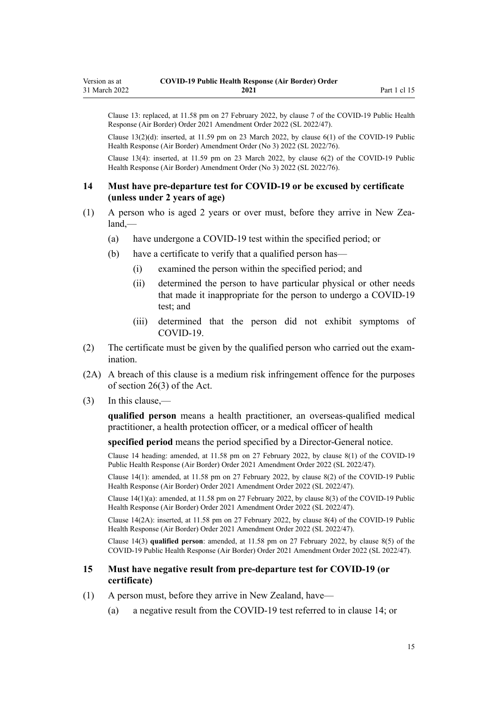<span id="page-14-0"></span>Clause 13: replaced, at 11.58 pm on 27 February 2022, by [clause 7](http://legislation.govt.nz/pdflink.aspx?id=LMS650827) of the COVID-19 Public Health Response (Air Border) Order 2021 Amendment Order 2022 (SL 2022/47).

Clause  $13(2)(d)$ : inserted, at 11.59 pm on 23 March 2022, by clause  $6(1)$  of the COVID-19 Public Health Response (Air Border) Amendment Order (No 3) 2022 (SL 2022/76).

Clause 13(4): inserted, at 11.59 pm on 23 March 2022, by [clause 6\(2\)](http://legislation.govt.nz/pdflink.aspx?id=LMS665923) of the COVID-19 Public Health Response (Air Border) Amendment Order (No 3) 2022 (SL 2022/76).

#### **14 Must have pre-departure test for COVID-19 or be excused by certificate (unless under 2 years of age)**

- (1) A person who is aged 2 years or over must, before they arrive in New Zea‐ land,—
	- (a) have undergone a COVID-19 test within the specified period; or
	- (b) have a certificate to verify that a qualified person has—
		- (i) examined the person within the specified period; and
		- (ii) determined the person to have particular physical or other needs that made it inappropriate for the person to undergo a COVID-19 test; and
		- (iii) determined that the person did not exhibit symptoms of COVID-19.
- (2) The certificate must be given by the qualified person who carried out the exam‐ ination.
- (2A) A breach of this clause is a medium risk infringement offence for the purposes of [section 26\(3\)](http://legislation.govt.nz/pdflink.aspx?id=LMS344200) of the Act.
- (3) In this clause,—

**qualified person** means a health practitioner, an overseas-qualified medical practitioner, a health protection officer, or a medical officer of health

**specified period** means the period specified by a Director-General notice.

Clause 14 heading: amended, at 11.58 pm on 27 February 2022, by [clause 8\(1\)](http://legislation.govt.nz/pdflink.aspx?id=LMS650829) of the COVID-19 Public Health Response (Air Border) Order 2021 Amendment Order 2022 (SL 2022/47).

Clause 14(1): amended, at 11.58 pm on 27 February 2022, by [clause 8\(2\)](http://legislation.govt.nz/pdflink.aspx?id=LMS650829) of the COVID-19 Public Health Response (Air Border) Order 2021 Amendment Order 2022 (SL 2022/47).

Clause 14(1)(a): amended, at 11.58 pm on 27 February 2022, by [clause 8\(3\)](http://legislation.govt.nz/pdflink.aspx?id=LMS650829) of the COVID-19 Public Health Response (Air Border) Order 2021 Amendment Order 2022 (SL 2022/47).

Clause 14(2A): inserted, at 11.58 pm on 27 February 2022, by [clause 8\(4\)](http://legislation.govt.nz/pdflink.aspx?id=LMS650829) of the COVID-19 Public Health Response (Air Border) Order 2021 Amendment Order 2022 (SL 2022/47).

Clause 14(3) **qualified person**: amended, at 11.58 pm on 27 February 2022, by [clause 8\(5\)](http://legislation.govt.nz/pdflink.aspx?id=LMS650829) of the COVID-19 Public Health Response (Air Border) Order 2021 Amendment Order 2022 (SL 2022/47).

#### **15 Must have negative result from pre-departure test for COVID-19 (or certificate)**

- (1) A person must, before they arrive in New Zealand, have—
	- (a) a negative result from the COVID-19 test referred to in clause 14; or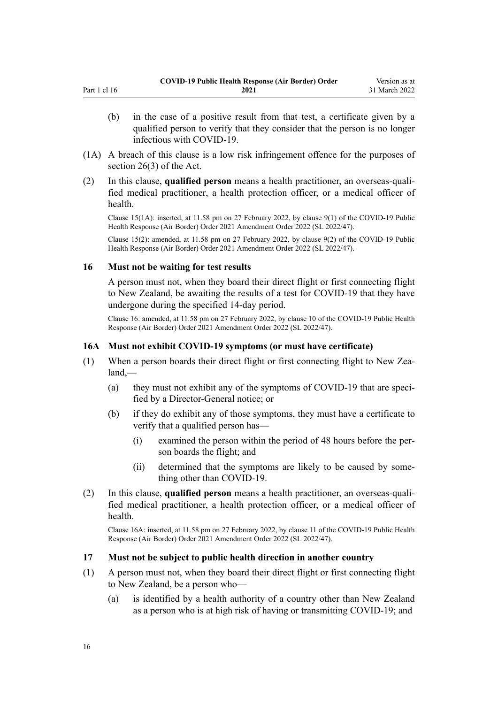- <span id="page-15-0"></span>(b) in the case of a positive result from that test, a certificate given by a qualified person to verify that they consider that the person is no longer infectious with COVID-19.
- (1A) A breach of this clause is a low risk infringement offence for the purposes of [section 26\(3\)](http://legislation.govt.nz/pdflink.aspx?id=LMS344200) of the Act.
- (2) In this clause, **qualified person** means a health practitioner, an overseas-quali‐ fied medical practitioner, a health protection officer, or a medical officer of health.

Clause 15(1A): inserted, at 11.58 pm on 27 February 2022, by [clause 9\(1\)](http://legislation.govt.nz/pdflink.aspx?id=LMS650830) of the COVID-19 Public Health Response (Air Border) Order 2021 Amendment Order 2022 (SL 2022/47).

Clause 15(2): amended, at 11.58 pm on 27 February 2022, by [clause 9\(2\)](http://legislation.govt.nz/pdflink.aspx?id=LMS650830) of the COVID-19 Public Health Response (Air Border) Order 2021 Amendment Order 2022 (SL 2022/47).

#### **16 Must not be waiting for test results**

A person must not, when they board their direct flight or first connecting flight to New Zealand, be awaiting the results of a test for COVID-19 that they have undergone during the specified 14-day period.

Clause 16: amended, at 11.58 pm on 27 February 2022, by [clause 10](http://legislation.govt.nz/pdflink.aspx?id=LMS650831) of the COVID-19 Public Health Response (Air Border) Order 2021 Amendment Order 2022 (SL 2022/47).

## **16A Must not exhibit COVID-19 symptoms (or must have certificate)**

- (1) When a person boards their direct flight or first connecting flight to New Zealand,—
	- (a) they must not exhibit any of the symptoms of COVID-19 that are specified by a Director-General notice; or
	- (b) if they do exhibit any of those symptoms, they must have a certificate to verify that a qualified person has—
		- (i) examined the person within the period of 48 hours before the per‐ son boards the flight; and
		- (ii) determined that the symptoms are likely to be caused by some‐ thing other than COVID-19.
- (2) In this clause, **qualified person** means a health practitioner, an overseas-quali‐ fied medical practitioner, a health protection officer, or a medical officer of health.

Clause 16A: inserted, at 11.58 pm on 27 February 2022, by [clause 11](http://legislation.govt.nz/pdflink.aspx?id=LMS650834) of the COVID-19 Public Health Response (Air Border) Order 2021 Amendment Order 2022 (SL 2022/47).

#### **17 Must not be subject to public health direction in another country**

- (1) A person must not, when they board their direct flight or first connecting flight to New Zealand, be a person who—
	- (a) is identified by a health authority of a country other than New Zealand as a person who is at high risk of having or transmitting COVID-19; and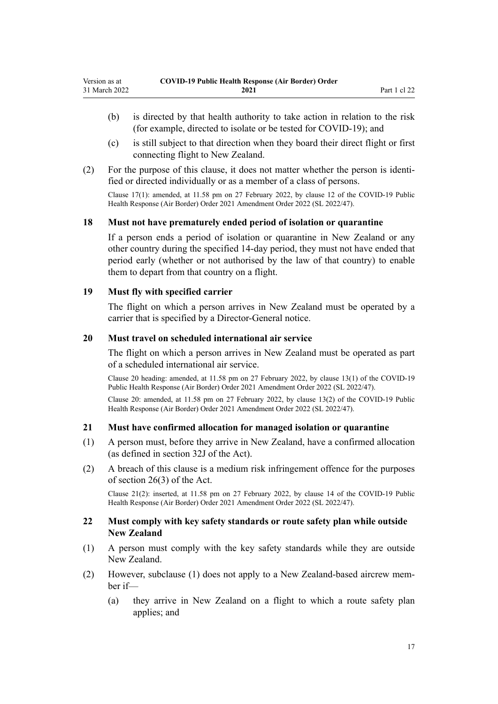- <span id="page-16-0"></span>(b) is directed by that health authority to take action in relation to the risk (for example, directed to isolate or be tested for COVID-19); and
- (c) is still subject to that direction when they board their direct flight or first connecting flight to New Zealand.
- (2) For the purpose of this clause, it does not matter whether the person is identi‐ fied or directed individually or as a member of a class of persons.

Clause 17(1): amended, at 11.58 pm on 27 February 2022, by [clause 12](http://legislation.govt.nz/pdflink.aspx?id=LMS650835) of the COVID-19 Public Health Response (Air Border) Order 2021 Amendment Order 2022 (SL 2022/47).

#### **18 Must not have prematurely ended period of isolation or quarantine**

If a person ends a period of isolation or quarantine in New Zealand or any other country during the specified 14-day period, they must not have ended that period early (whether or not authorised by the law of that country) to enable them to depart from that country on a flight.

#### **19 Must fly with specified carrier**

The flight on which a person arrives in New Zealand must be operated by a carrier that is specified by a Director-General notice.

#### **20 Must travel on scheduled international air service**

The flight on which a person arrives in New Zealand must be operated as part of a scheduled international air service.

Clause 20 heading: amended, at 11.58 pm on 27 February 2022, by [clause 13\(1\)](http://legislation.govt.nz/pdflink.aspx?id=LMS650836) of the COVID-19 Public Health Response (Air Border) Order 2021 Amendment Order 2022 (SL 2022/47).

Clause 20: amended, at 11.58 pm on 27 February 2022, by [clause 13\(2\)](http://legislation.govt.nz/pdflink.aspx?id=LMS650836) of the COVID-19 Public Health Response (Air Border) Order 2021 Amendment Order 2022 (SL 2022/47).

#### **21 Must have confirmed allocation for managed isolation or quarantine**

- (1) A person must, before they arrive in New Zealand, have a confirmed allocation (as defined in [section 32J](http://legislation.govt.nz/pdflink.aspx?id=LMS600936) of the Act).
- (2) A breach of this clause is a medium risk infringement offence for the purposes of [section 26\(3\)](http://legislation.govt.nz/pdflink.aspx?id=LMS344200) of the Act.

Clause 21(2): inserted, at 11.58 pm on 27 February 2022, by [clause 14](http://legislation.govt.nz/pdflink.aspx?id=LMS650837) of the COVID-19 Public Health Response (Air Border) Order 2021 Amendment Order 2022 (SL 2022/47).

#### **22 Must comply with key safety standards or route safety plan while outside New Zealand**

- (1) A person must comply with the key safety standards while they are outside New Zealand.
- (2) However, subclause (1) does not apply to a New Zealand-based aircrew mem‐ ber if—
	- (a) they arrive in New Zealand on a flight to which a route safety plan applies; and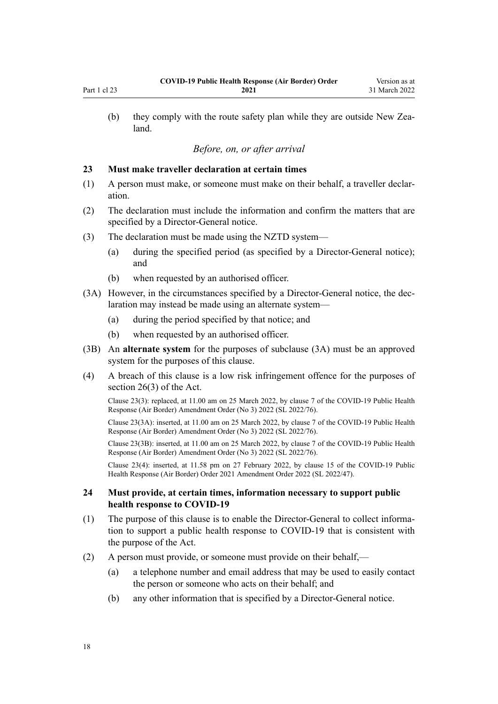<span id="page-17-0"></span>(b) they comply with the route safety plan while they are outside New Zealand.

# *Before, on, or after arrival*

#### **23 Must make traveller declaration at certain times**

- (1) A person must make, or someone must make on their behalf, a traveller declar‐ ation.
- (2) The declaration must include the information and confirm the matters that are specified by a Director-General notice.
- (3) The declaration must be made using the NZTD system—
	- (a) during the specified period (as specified by a Director-General notice); and
	- (b) when requested by an authorised officer.
- (3A) However, in the circumstances specified by a Director-General notice, the dec‐ laration may instead be made using an alternate system—
	- (a) during the period specified by that notice; and
	- (b) when requested by an authorised officer.
- (3B) An **alternate system** for the purposes of subclause (3A) must be an approved system for the purposes of this clause.
- (4) A breach of this clause is a low risk infringement offence for the purposes of [section 26\(3\)](http://legislation.govt.nz/pdflink.aspx?id=LMS344200) of the Act.

Clause 23(3): replaced, at 11.00 am on 25 March 2022, by [clause 7](http://legislation.govt.nz/pdflink.aspx?id=LMS665861) of the COVID-19 Public Health Response (Air Border) Amendment Order (No 3) 2022 (SL 2022/76).

Clause 23(3A): inserted, at 11.00 am on 25 March 2022, by [clause 7](http://legislation.govt.nz/pdflink.aspx?id=LMS665861) of the COVID-19 Public Health Response (Air Border) Amendment Order (No 3) 2022 (SL 2022/76).

Clause 23(3B): inserted, at 11.00 am on 25 March 2022, by [clause 7](http://legislation.govt.nz/pdflink.aspx?id=LMS665861) of the COVID-19 Public Health Response (Air Border) Amendment Order (No 3) 2022 (SL 2022/76).

Clause 23(4): inserted, at 11.58 pm on 27 February 2022, by [clause 15](http://legislation.govt.nz/pdflink.aspx?id=LMS650838) of the COVID-19 Public Health Response (Air Border) Order 2021 Amendment Order 2022 (SL 2022/47).

#### **24 Must provide, at certain times, information necessary to support public health response to COVID-19**

- (1) The purpose of this clause is to enable the Director-General to collect information to support a public health response to COVID-19 that is consistent with the purpose of the Act.
- (2) A person must provide, or someone must provide on their behalf,—
	- (a) a telephone number and email address that may be used to easily contact the person or someone who acts on their behalf; and
	- (b) any other information that is specified by a Director-General notice.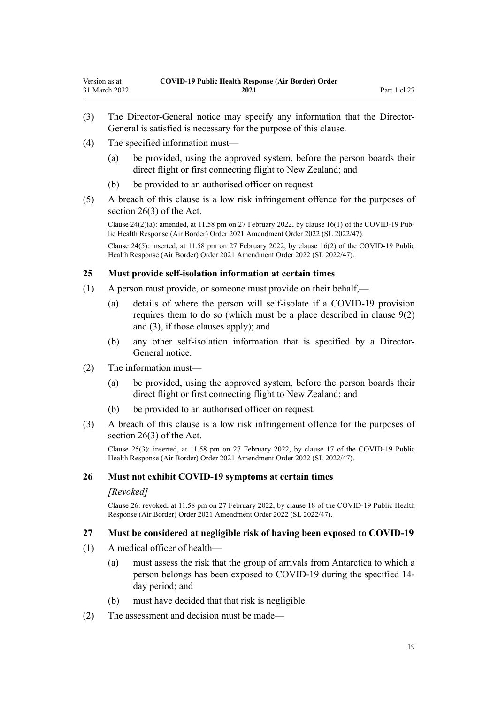- <span id="page-18-0"></span>(3) The Director-General notice may specify any information that the Director-General is satisfied is necessary for the purpose of this clause.
- (4) The specified information must—
	- (a) be provided, using the approved system, before the person boards their direct flight or first connecting flight to New Zealand; and
	- (b) be provided to an authorised officer on request.
- (5) A breach of this clause is a low risk infringement offence for the purposes of [section 26\(3\)](http://legislation.govt.nz/pdflink.aspx?id=LMS344200) of the Act.

Clause  $24(2)(a)$ : amended, at 11.58 pm on 27 February 2022, by [clause 16\(1\)](http://legislation.govt.nz/pdflink.aspx?id=LMS650839) of the COVID-19 Public Health Response (Air Border) Order 2021 Amendment Order 2022 (SL 2022/47).

Clause 24(5): inserted, at 11.58 pm on 27 February 2022, by [clause 16\(2\)](http://legislation.govt.nz/pdflink.aspx?id=LMS650839) of the COVID-19 Public Health Response (Air Border) Order 2021 Amendment Order 2022 (SL 2022/47).

#### **25 Must provide self-isolation information at certain times**

- (1) A person must provide, or someone must provide on their behalf,—
	- (a) details of where the person will self-isolate if a COVID-19 provision requires them to do so (which must be a place described in [clause 9\(2\)](#page-11-0) [and \(3\)](#page-11-0), if those clauses apply); and
	- (b) any other self-isolation information that is specified by a Director-General notice.
- (2) The information must—
	- (a) be provided, using the approved system, before the person boards their direct flight or first connecting flight to New Zealand; and
	- (b) be provided to an authorised officer on request.
- (3) A breach of this clause is a low risk infringement offence for the purposes of [section 26\(3\)](http://legislation.govt.nz/pdflink.aspx?id=LMS344200) of the Act.

Clause 25(3): inserted, at 11.58 pm on 27 February 2022, by [clause 17](http://legislation.govt.nz/pdflink.aspx?id=LMS650840) of the COVID-19 Public Health Response (Air Border) Order 2021 Amendment Order 2022 (SL 2022/47).

#### **26 Must not exhibit COVID-19 symptoms at certain times**

#### *[Revoked]*

Clause 26: revoked, at 11.58 pm on 27 February 2022, by [clause 18](http://legislation.govt.nz/pdflink.aspx?id=LMS650841) of the COVID-19 Public Health Response (Air Border) Order 2021 Amendment Order 2022 (SL 2022/47).

#### **27 Must be considered at negligible risk of having been exposed to COVID-19**

- (1) A medical officer of health—
	- (a) must assess the risk that the group of arrivals from Antarctica to which a person belongs has been exposed to COVID-19 during the specified 14 day period; and
	- (b) must have decided that that risk is negligible.
- (2) The assessment and decision must be made—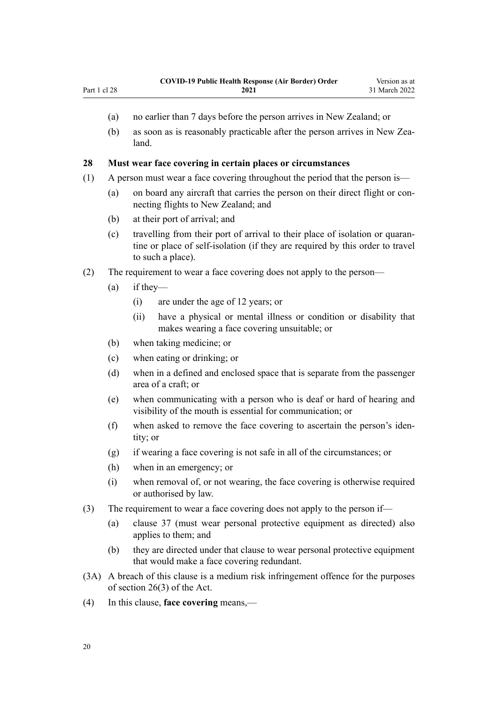- <span id="page-19-0"></span>(a) no earlier than 7 days before the person arrives in New Zealand; or
- (b) as soon as is reasonably practicable after the person arrives in New Zealand.

#### **28 Must wear face covering in certain places or circumstances**

- (1) A person must wear a face covering throughout the period that the person is—
	- (a) on board any aircraft that carries the person on their direct flight or connecting flights to New Zealand; and
	- (b) at their port of arrival; and
	- (c) travelling from their port of arrival to their place of isolation or quaran‐ tine or place of self-isolation (if they are required by this order to travel to such a place).
- (2) The requirement to wear a face covering does not apply to the person—
	- (a) if they—
		- (i) are under the age of 12 years; or
		- (ii) have a physical or mental illness or condition or disability that makes wearing a face covering unsuitable; or
	- (b) when taking medicine; or
	- (c) when eating or drinking; or
	- (d) when in a defined and enclosed space that is separate from the passenger area of a craft; or
	- (e) when communicating with a person who is deaf or hard of hearing and visibility of the mouth is essential for communication; or
	- (f) when asked to remove the face covering to ascertain the person's iden‐ tity; or
	- (g) if wearing a face covering is not safe in all of the circumstances; or
	- (h) when in an emergency; or
	- (i) when removal of, or not wearing, the face covering is otherwise required or authorised by law.
- (3) The requirement to wear a face covering does not apply to the person if—
	- (a) [clause 37](#page-22-0) (must wear personal protective equipment as directed) also applies to them; and
	- (b) they are directed under that clause to wear personal protective equipment that would make a face covering redundant.
- (3A) A breach of this clause is a medium risk infringement offence for the purposes of [section 26\(3\)](http://legislation.govt.nz/pdflink.aspx?id=LMS344200) of the Act.
- (4) In this clause, **face covering** means,—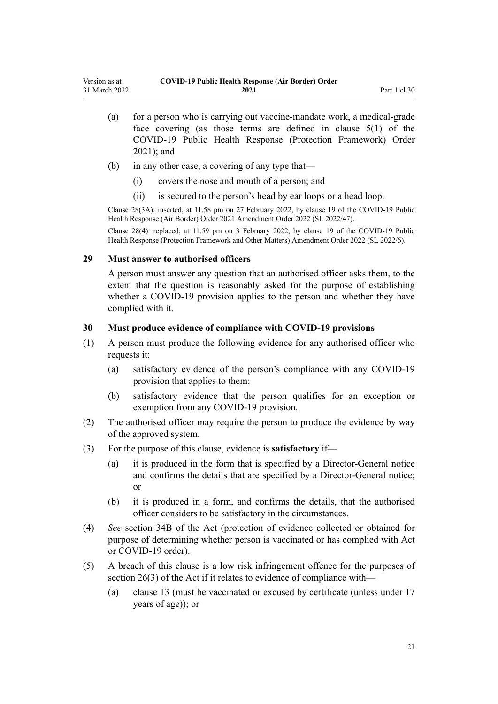<span id="page-20-0"></span>

| Version as at | <b>COVID-19 Public Health Response (Air Border) Order</b> |              |
|---------------|-----------------------------------------------------------|--------------|
| 31 March 2022 | 2021                                                      | Part 1 cl 30 |

- (a) for a person who is carrying out vaccine-mandate work, a medical-grade face covering (as those terms are defined in [clause 5\(1\)](http://legislation.govt.nz/pdflink.aspx?id=LMS573241) of the COVID-19 Public Health Response (Protection Framework) Order 2021); and
- (b) in any other case, a covering of any type that—
	- (i) covers the nose and mouth of a person; and
	- (ii) is secured to the person's head by ear loops or a head loop.

Clause 28(3A): inserted, at 11.58 pm on 27 February 2022, by [clause 19](http://legislation.govt.nz/pdflink.aspx?id=LMS650842) of the COVID-19 Public Health Response (Air Border) Order 2021 Amendment Order 2022 (SL 2022/47).

Clause 28(4): replaced, at 11.59 pm on 3 February 2022, by [clause 19](http://legislation.govt.nz/pdflink.aspx?id=LMS638352) of the COVID-19 Public Health Response (Protection Framework and Other Matters) Amendment Order 2022 (SL 2022/6).

#### **29 Must answer to authorised officers**

A person must answer any question that an authorised officer asks them, to the extent that the question is reasonably asked for the purpose of establishing whether a COVID-19 provision applies to the person and whether they have complied with it.

#### **30 Must produce evidence of compliance with COVID-19 provisions**

- (1) A person must produce the following evidence for any authorised officer who requests it:
	- (a) satisfactory evidence of the person's compliance with any COVID-19 provision that applies to them:
	- (b) satisfactory evidence that the person qualifies for an exception or exemption from any COVID-19 provision.
- (2) The authorised officer may require the person to produce the evidence by way of the approved system.
- (3) For the purpose of this clause, evidence is **satisfactory** if—
	- (a) it is produced in the form that is specified by a Director-General notice and confirms the details that are specified by a Director-General notice; or
	- (b) it is produced in a form, and confirms the details, that the authorised officer considers to be satisfactory in the circumstances.
- (4) *See* [section 34B](http://legislation.govt.nz/pdflink.aspx?id=LMS606314) of the Act (protection of evidence collected or obtained for purpose of determining whether person is vaccinated or has complied with Act or COVID-19 order).
- (5) A breach of this clause is a low risk infringement offence for the purposes of [section 26\(3\)](http://legislation.govt.nz/pdflink.aspx?id=LMS344200) of the Act if it relates to evidence of compliance with—
	- (a) [clause 13](#page-12-0) (must be vaccinated or excused by certificate (unless under 17 years of age)); or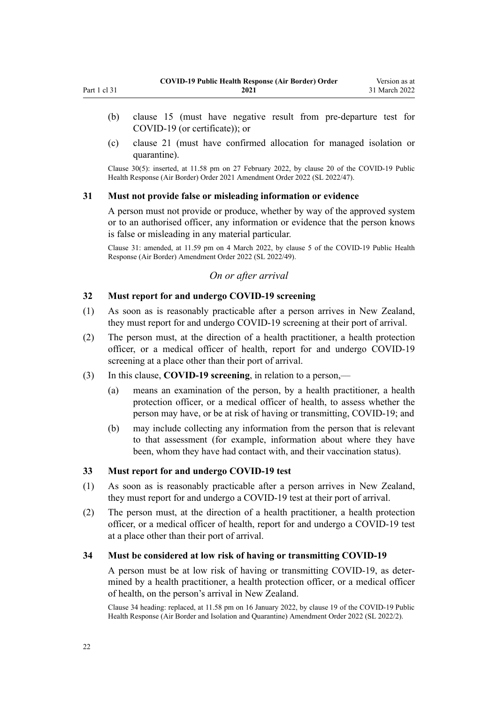- <span id="page-21-0"></span>(b) [clause 15](#page-14-0) (must have negative result from pre-departure test for COVID-19 (or certificate)); or
- (c) [clause 21](#page-16-0) (must have confirmed allocation for managed isolation or quarantine).

Clause 30(5): inserted, at 11.58 pm on 27 February 2022, by [clause 20](http://legislation.govt.nz/pdflink.aspx?id=LMS650843) of the COVID-19 Public Health Response (Air Border) Order 2021 Amendment Order 2022 (SL 2022/47).

#### **31 Must not provide false or misleading information or evidence**

A person must not provide or produce, whether by way of the approved system or to an authorised officer, any information or evidence that the person knows is false or misleading in any material particular.

Clause 31: amended, at 11.59 pm on 4 March 2022, by [clause 5](http://legislation.govt.nz/pdflink.aspx?id=LMS653778) of the COVID-19 Public Health Response (Air Border) Amendment Order 2022 (SL 2022/49).

### *On or after arrival*

## **32 Must report for and undergo COVID-19 screening**

- (1) As soon as is reasonably practicable after a person arrives in New Zealand, they must report for and undergo COVID-19 screening at their port of arrival.
- (2) The person must, at the direction of a health practitioner, a health protection officer, or a medical officer of health, report for and undergo COVID-19 screening at a place other than their port of arrival.
- (3) In this clause, **COVID-19 screening**, in relation to a person,—
	- (a) means an examination of the person, by a health practitioner, a health protection officer, or a medical officer of health, to assess whether the person may have, or be at risk of having or transmitting, COVID-19; and
	- (b) may include collecting any information from the person that is relevant to that assessment (for example, information about where they have been, whom they have had contact with, and their vaccination status).

### **33 Must report for and undergo COVID-19 test**

- (1) As soon as is reasonably practicable after a person arrives in New Zealand, they must report for and undergo a COVID-19 test at their port of arrival.
- (2) The person must, at the direction of a health practitioner, a health protection officer, or a medical officer of health, report for and undergo a COVID-19 test at a place other than their port of arrival.

#### **34 Must be considered at low risk of having or transmitting COVID-19**

A person must be at low risk of having or transmitting COVID-19, as deter‐ mined by a health practitioner, a health protection officer, or a medical officer of health, on the person's arrival in New Zealand.

Clause 34 heading: replaced, at 11.58 pm on 16 January 2022, by [clause 19](http://legislation.govt.nz/pdflink.aspx?id=LMS629301) of the COVID-19 Public Health Response (Air Border and Isolation and Quarantine) Amendment Order 2022 (SL 2022/2).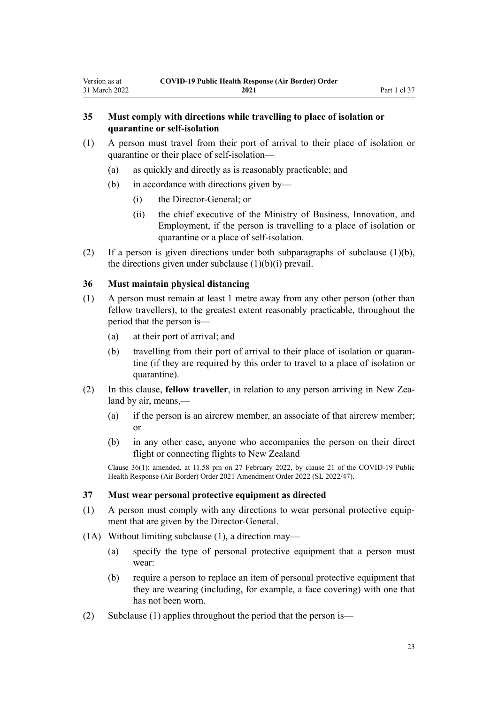# <span id="page-22-0"></span>**35 Must comply with directions while travelling to place of isolation or quarantine or self-isolation**

- (1) A person must travel from their port of arrival to their place of isolation or quarantine or their place of self-isolation—
	- (a) as quickly and directly as is reasonably practicable; and
	- (b) in accordance with directions given by—
		- (i) the Director-General; or
		- (ii) the chief executive of the Ministry of Business, Innovation, and Employment, if the person is travelling to a place of isolation or quarantine or a place of self-isolation.
- (2) If a person is given directions under both subparagraphs of subclause (1)(b), the directions given under subclause  $(1)(b)(i)$  prevail.

#### **36 Must maintain physical distancing**

- (1) A person must remain at least 1 metre away from any other person (other than fellow travellers), to the greatest extent reasonably practicable, throughout the period that the person is—
	- (a) at their port of arrival; and
	- (b) travelling from their port of arrival to their place of isolation or quarantine (if they are required by this order to travel to a place of isolation or quarantine).
- (2) In this clause, **fellow traveller**, in relation to any person arriving in New Zea‐ land by air, means,—
	- (a) if the person is an aircrew member, an associate of that aircrew member; or
	- (b) in any other case, anyone who accompanies the person on their direct flight or connecting flights to New Zealand

Clause 36(1): amended, at 11.58 pm on 27 February 2022, by [clause 21](http://legislation.govt.nz/pdflink.aspx?id=LMS650844) of the COVID-19 Public Health Response (Air Border) Order 2021 Amendment Order 2022 (SL 2022/47).

#### **37 Must wear personal protective equipment as directed**

- (1) A person must comply with any directions to wear personal protective equip‐ ment that are given by the Director-General.
- (1A) Without limiting subclause (1), a direction may—
	- (a) specify the type of personal protective equipment that a person must wear:
	- (b) require a person to replace an item of personal protective equipment that they are wearing (including, for example, a face covering) with one that has not been worn.
- (2) Subclause (1) applies throughout the period that the person is—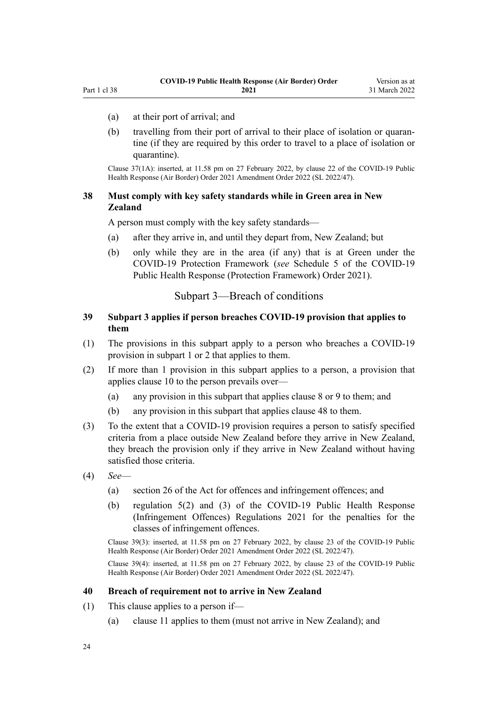- <span id="page-23-0"></span>(a) at their port of arrival; and
	- (b) travelling from their port of arrival to their place of isolation or quarantine (if they are required by this order to travel to a place of isolation or quarantine).

Clause 37(1A): inserted, at 11.58 pm on 27 February 2022, by [clause 22](http://legislation.govt.nz/pdflink.aspx?id=LMS650845) of the COVID-19 Public Health Response (Air Border) Order 2021 Amendment Order 2022 (SL 2022/47).

## **38 Must comply with key safety standards while in Green area in New Zealand**

A person must comply with the key safety standards—

- (a) after they arrive in, and until they depart from, New Zealand; but
- (b) only while they are in the area (if any) that is at Green under the COVID-19 Protection Framework (*see* [Schedule 5](http://legislation.govt.nz/pdflink.aspx?id=LMS566881) of the COVID-19 Public Health Response (Protection Framework) Order 2021).

## Subpart 3—Breach of conditions

# **39 Subpart 3 applies if person breaches COVID-19 provision that applies to them**

- (1) The provisions in this subpart apply to a person who breaches a COVID-19 provision in [subpart 1](#page-11-0) or [2](#page-12-0) that applies to them.
- (2) If more than 1 provision in this subpart applies to a person, a provision that applies [clause 10](#page-12-0) to the person prevails over—
	- (a) any provision in this subpart that applies [clause 8](#page-11-0) or [9](#page-11-0) to them; and
	- (b) any provision in this subpart that applies [clause 48](#page-26-0) to them.
- (3) To the extent that a COVID-19 provision requires a person to satisfy specified criteria from a place outside New Zealand before they arrive in New Zealand, they breach the provision only if they arrive in New Zealand without having satisfied those criteria.
- (4) *See*
	- (a) [section 26](http://legislation.govt.nz/pdflink.aspx?id=LMS344200) of the Act for offences and infringement offences; and
	- (b) [regulation 5\(2\) and \(3\)](http://legislation.govt.nz/pdflink.aspx?id=LMS600713) of the COVID-19 Public Health Response (Infringement Offences) Regulations 2021 for the penalties for the classes of infringement offences.

Clause 39(3): inserted, at 11.58 pm on 27 February 2022, by [clause 23](http://legislation.govt.nz/pdflink.aspx?id=LMS650846) of the COVID-19 Public Health Response (Air Border) Order 2021 Amendment Order 2022 (SL 2022/47).

Clause 39(4): inserted, at 11.58 pm on 27 February 2022, by [clause 23](http://legislation.govt.nz/pdflink.aspx?id=LMS650846) of the COVID-19 Public Health Response (Air Border) Order 2021 Amendment Order 2022 (SL 2022/47).

#### **40 Breach of requirement not to arrive in New Zealand**

- (1) This clause applies to a person if—
	- (a) [clause 11](#page-12-0) applies to them (must not arrive in New Zealand); and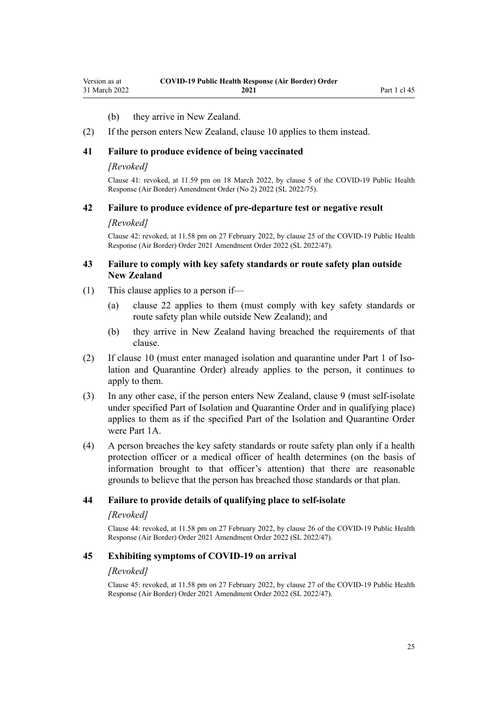#### (b) they arrive in New Zealand.

<span id="page-24-0"></span>(2) If the person enters New Zealand, [clause 10](#page-12-0) applies to them instead.

#### **41 Failure to produce evidence of being vaccinated**

#### *[Revoked]*

Clause 41: revoked, at 11.59 pm on 18 March 2022, by [clause 5](http://legislation.govt.nz/pdflink.aspx?id=LMS664427) of the COVID-19 Public Health Response (Air Border) Amendment Order (No 2) 2022 (SL 2022/75).

#### **42 Failure to produce evidence of pre-departure test or negative result**

#### *[Revoked]*

Clause 42: revoked, at 11.58 pm on 27 February 2022, by [clause 25](http://legislation.govt.nz/pdflink.aspx?id=LMS650848) of the COVID-19 Public Health Response (Air Border) Order 2021 Amendment Order 2022 (SL 2022/47).

## **43 Failure to comply with key safety standards or route safety plan outside New Zealand**

- (1) This clause applies to a person if—
	- (a) [clause 22](#page-16-0) applies to them (must comply with key safety standards or route safety plan while outside New Zealand); and
	- (b) they arrive in New Zealand having breached the requirements of that clause.
- (2) If [clause 10](#page-12-0) (must enter managed isolation and quarantine under [Part 1](http://legislation.govt.nz/pdflink.aspx?id=LMS401726) of Isolation and Quarantine Order) already applies to the person, it continues to apply to them.
- (3) In any other case, if the person enters New Zealand, [clause 9](#page-11-0) (must self-isolate under specified Part of Isolation and Quarantine Order and in qualifying place) applies to them as if the specified Part of the Isolation and Quarantine Order were [Part 1A.](http://legislation.govt.nz/pdflink.aspx?id=LMS415267)
- (4) A person breaches the key safety standards or route safety plan only if a health protection officer or a medical officer of health determines (on the basis of information brought to that officer's attention) that there are reasonable grounds to believe that the person has breached those standards or that plan.

#### **44 Failure to provide details of qualifying place to self-isolate**

#### *[Revoked]*

Clause 44: revoked, at 11.58 pm on 27 February 2022, by [clause 26](http://legislation.govt.nz/pdflink.aspx?id=LMS650849) of the COVID-19 Public Health Response (Air Border) Order 2021 Amendment Order 2022 (SL 2022/47).

#### **45 Exhibiting symptoms of COVID-19 on arrival**

#### *[Revoked]*

Clause 45: revoked, at 11.58 pm on 27 February 2022, by [clause 27](http://legislation.govt.nz/pdflink.aspx?id=LMS650850) of the COVID-19 Public Health Response (Air Border) Order 2021 Amendment Order 2022 (SL 2022/47).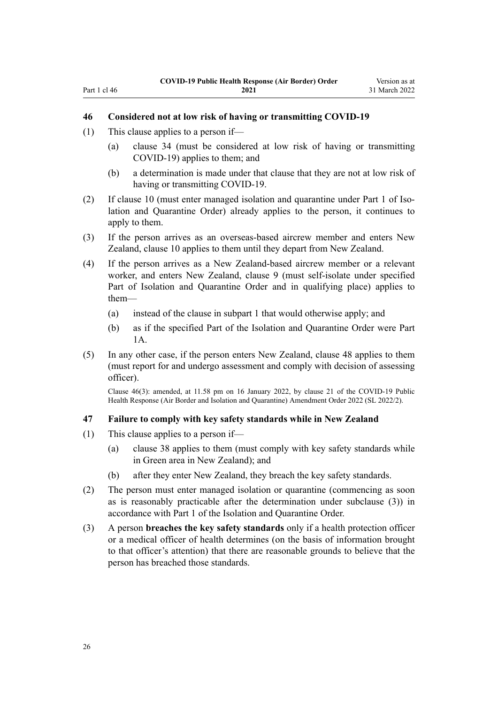#### **46 Considered not at low risk of having or transmitting COVID-19**

- (1) This clause applies to a person if—
	- (a) [clause 34](#page-21-0) (must be considered at low risk of having or transmitting COVID-19) applies to them; and
	- (b) a determination is made under that clause that they are not at low risk of having or transmitting COVID-19.
- (2) If [clause 10](#page-12-0) (must enter managed isolation and quarantine under [Part 1](http://legislation.govt.nz/pdflink.aspx?id=LMS401726) of Isolation and Quarantine Order) already applies to the person, it continues to apply to them.
- (3) If the person arrives as an overseas-based aircrew member and enters New Zealand, [clause 10](#page-12-0) applies to them until they depart from New Zealand.
- (4) If the person arrives as a New Zealand-based aircrew member or a relevant worker, and enters New Zealand, [clause 9](#page-11-0) (must self-isolate under specified Part of Isolation and Quarantine Order and in qualifying place) applies to them—
	- (a) instead of the clause in [subpart 1](#page-11-0) that would otherwise apply; and
	- (b) as if the specified Part of the Isolation and Quarantine Order were [Part](http://legislation.govt.nz/pdflink.aspx?id=LMS415267) [1A](http://legislation.govt.nz/pdflink.aspx?id=LMS415267).
- (5) In any other case, if the person enters New Zealand, [clause 48](#page-26-0) applies to them (must report for and undergo assessment and comply with decision of assessing officer).

Clause 46(3): amended, at 11.58 pm on 16 January 2022, by [clause 21](http://legislation.govt.nz/pdflink.aspx?id=LMS629303) of the COVID-19 Public Health Response (Air Border and Isolation and Quarantine) Amendment Order 2022 (SL 2022/2).

#### **47 Failure to comply with key safety standards while in New Zealand**

- (1) This clause applies to a person if—
	- (a) [clause 38](#page-23-0) applies to them (must comply with key safety standards while in Green area in New Zealand); and
	- (b) after they enter New Zealand, they breach the key safety standards.
- (2) The person must enter managed isolation or quarantine (commencing as soon as is reasonably practicable after the determination under subclause (3)) in accordance with [Part 1](http://legislation.govt.nz/pdflink.aspx?id=LMS401726) of the Isolation and Quarantine Order.
- (3) A person **breaches the key safety standards** only if a health protection officer or a medical officer of health determines (on the basis of information brought to that officer's attention) that there are reasonable grounds to believe that the person has breached those standards.

26

<span id="page-25-0"></span>Part 1 cl 46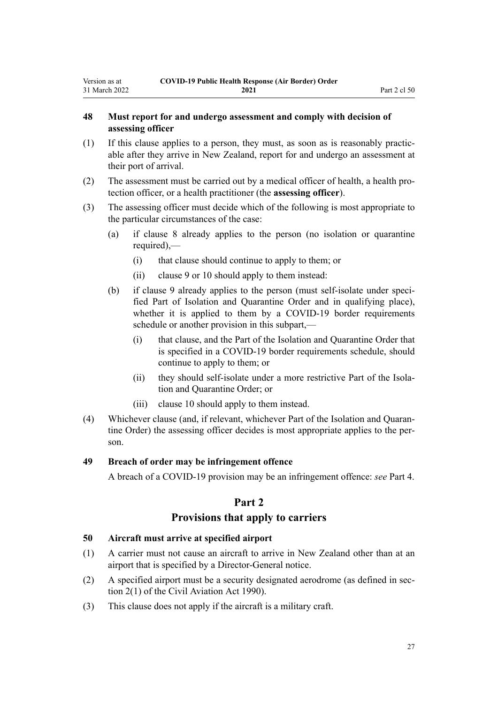# <span id="page-26-0"></span>**48 Must report for and undergo assessment and comply with decision of assessing officer**

- (1) If this clause applies to a person, they must, as soon as is reasonably practic‐ able after they arrive in New Zealand, report for and undergo an assessment at their port of arrival.
- (2) The assessment must be carried out by a medical officer of health, a health pro‐ tection officer, or a health practitioner (the **assessing officer**).
- (3) The assessing officer must decide which of the following is most appropriate to the particular circumstances of the case:
	- (a) if [clause 8](#page-11-0) already applies to the person (no isolation or quarantine required),—
		- (i) that clause should continue to apply to them; or
		- (ii) [clause 9](#page-11-0) or [10](#page-12-0) should apply to them instead:
	- (b) if [clause 9](#page-11-0) already applies to the person (must self-isolate under specified Part of Isolation and Quarantine Order and in qualifying place), whether it is applied to them by a COVID-19 border requirements schedule or another provision in this subpart,—
		- (i) that clause, and the Part of the Isolation and Quarantine Order that is specified in a COVID-19 border requirements schedule, should continue to apply to them; or
		- (ii) they should self-isolate under a more restrictive Part of the Isolation and Quarantine Order; or
		- (iii) [clause 10](#page-12-0) should apply to them instead.
- (4) Whichever clause (and, if relevant, whichever Part of the Isolation and Quaran‐ tine Order) the assessing officer decides is most appropriate applies to the person.

#### **49 Breach of order may be infringement offence**

A breach of a COVID-19 provision may be an infringement offence: *see* [Part 4.](#page-33-0)

# **Part 2**

# **Provisions that apply to carriers**

#### **50 Aircraft must arrive at specified airport**

- (1) A carrier must not cause an aircraft to arrive in New Zealand other than at an airport that is specified by a Director-General notice.
- (2) A specified airport must be a security designated aerodrome (as defined in sec[tion 2\(1\)](http://legislation.govt.nz/pdflink.aspx?id=DLM214692) of the Civil Aviation Act 1990).
- (3) This clause does not apply if the aircraft is a military craft.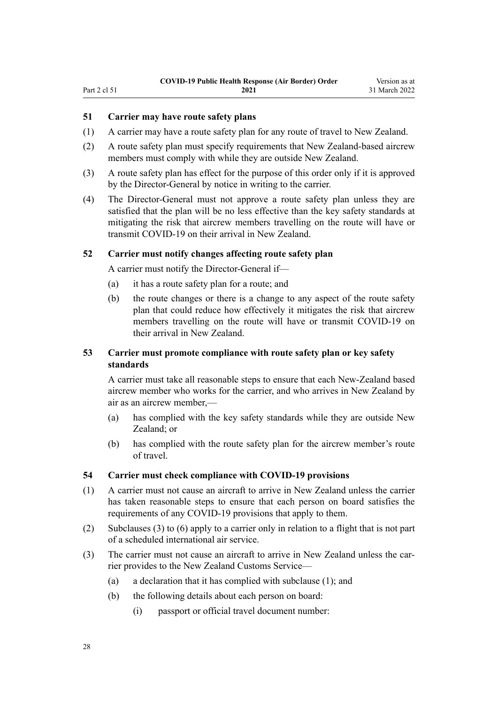# <span id="page-27-0"></span>Part 2 cl 51

# **51 Carrier may have route safety plans**

- (1) A carrier may have a route safety plan for any route of travel to New Zealand.
- (2) A route safety plan must specify requirements that New Zealand-based aircrew members must comply with while they are outside New Zealand.
- (3) A route safety plan has effect for the purpose of this order only if it is approved by the Director-General by notice in writing to the carrier.
- (4) The Director-General must not approve a route safety plan unless they are satisfied that the plan will be no less effective than the key safety standards at mitigating the risk that aircrew members travelling on the route will have or transmit COVID-19 on their arrival in New Zealand.

#### **52 Carrier must notify changes affecting route safety plan**

A carrier must notify the Director-General if—

- (a) it has a route safety plan for a route; and
- (b) the route changes or there is a change to any aspect of the route safety plan that could reduce how effectively it mitigates the risk that aircrew members travelling on the route will have or transmit COVID-19 on their arrival in New Zealand.

# **53 Carrier must promote compliance with route safety plan or key safety standards**

A carrier must take all reasonable steps to ensure that each New-Zealand based aircrew member who works for the carrier, and who arrives in New Zealand by air as an aircrew member,—

- (a) has complied with the key safety standards while they are outside New Zealand; or
- (b) has complied with the route safety plan for the aircrew member's route of travel.

#### **54 Carrier must check compliance with COVID-19 provisions**

- (1) A carrier must not cause an aircraft to arrive in New Zealand unless the carrier has taken reasonable steps to ensure that each person on board satisfies the requirements of any COVID-19 provisions that apply to them.
- (2) Subclauses (3) to (6) apply to a carrier only in relation to a flight that is not part of a scheduled international air service.
- (3) The carrier must not cause an aircraft to arrive in New Zealand unless the carrier provides to the New Zealand Customs Service—
	- (a) a declaration that it has complied with subclause (1); and
	- (b) the following details about each person on board:
		- (i) passport or official travel document number: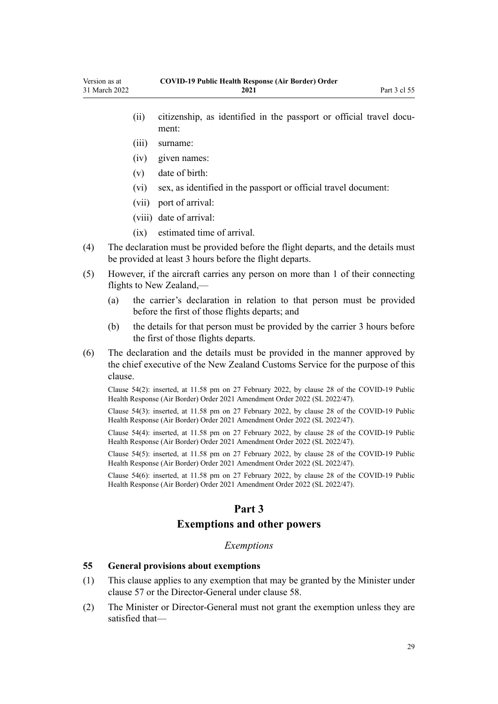- <span id="page-28-0"></span>(ii) citizenship, as identified in the passport or official travel document:
- (iii) surname:
- (iv) given names:
- (v) date of birth:
- (vi) sex, as identified in the passport or official travel document:
- (vii) port of arrival:
- (viii) date of arrival:
- (ix) estimated time of arrival.
- (4) The declaration must be provided before the flight departs, and the details must be provided at least 3 hours before the flight departs.
- (5) However, if the aircraft carries any person on more than 1 of their connecting flights to New Zealand,—
	- (a) the carrier's declaration in relation to that person must be provided before the first of those flights departs; and
	- (b) the details for that person must be provided by the carrier 3 hours before the first of those flights departs.
- (6) The declaration and the details must be provided in the manner approved by the chief executive of the New Zealand Customs Service for the purpose of this clause.

Clause 54(2): inserted, at 11.58 pm on 27 February 2022, by [clause 28](http://legislation.govt.nz/pdflink.aspx?id=LMS650851) of the COVID-19 Public Health Response (Air Border) Order 2021 Amendment Order 2022 (SL 2022/47).

Clause 54(3): inserted, at 11.58 pm on 27 February 2022, by [clause 28](http://legislation.govt.nz/pdflink.aspx?id=LMS650851) of the COVID-19 Public Health Response (Air Border) Order 2021 Amendment Order 2022 (SL 2022/47).

Clause 54(4): inserted, at 11.58 pm on 27 February 2022, by [clause 28](http://legislation.govt.nz/pdflink.aspx?id=LMS650851) of the COVID-19 Public Health Response (Air Border) Order 2021 Amendment Order 2022 (SL 2022/47).

Clause 54(5): inserted, at 11.58 pm on 27 February 2022, by [clause 28](http://legislation.govt.nz/pdflink.aspx?id=LMS650851) of the COVID-19 Public Health Response (Air Border) Order 2021 Amendment Order 2022 (SL 2022/47).

Clause 54(6): inserted, at 11.58 pm on 27 February 2022, by [clause 28](http://legislation.govt.nz/pdflink.aspx?id=LMS650851) of the COVID-19 Public Health Response (Air Border) Order 2021 Amendment Order 2022 (SL 2022/47).

# **Part 3**

### **Exemptions and other powers**

#### *Exemptions*

## **55 General provisions about exemptions**

- (1) This clause applies to any exemption that may be granted by the Minister under [clause 57](#page-30-0) or the Director-General under [clause 58.](#page-30-0)
- (2) The Minister or Director-General must not grant the exemption unless they are satisfied that—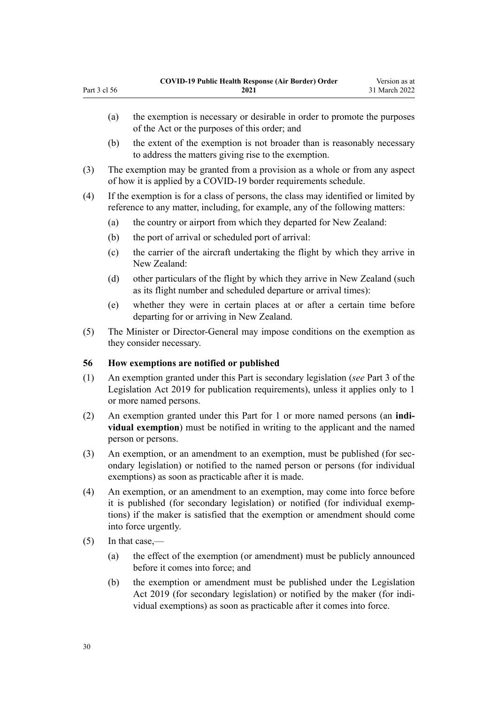- (a) the exemption is necessary or desirable in order to promote the purposes of the Act or the purposes of this order; and
- (b) the extent of the exemption is not broader than is reasonably necessary to address the matters giving rise to the exemption.
- (3) The exemption may be granted from a provision as a whole or from any aspect of how it is applied by a COVID-19 border requirements schedule.
- (4) If the exemption is for a class of persons, the class may identified or limited by reference to any matter, including, for example, any of the following matters:
	- (a) the country or airport from which they departed for New Zealand:
	- (b) the port of arrival or scheduled port of arrival:
	- (c) the carrier of the aircraft undertaking the flight by which they arrive in New Zealand:
	- (d) other particulars of the flight by which they arrive in New Zealand (such as its flight number and scheduled departure or arrival times):
	- (e) whether they were in certain places at or after a certain time before departing for or arriving in New Zealand.
- (5) The Minister or Director-General may impose conditions on the exemption as they consider necessary.

#### **56 How exemptions are notified or published**

- (1) An exemption granted under this Part is secondary legislation (*see* [Part 3](http://legislation.govt.nz/pdflink.aspx?id=DLM7298343) of the Legislation Act 2019 for publication requirements), unless it applies only to 1 or more named persons.
- (2) An exemption granted under this Part for 1 or more named persons (an **indi‐ vidual exemption**) must be notified in writing to the applicant and the named person or persons.
- (3) An exemption, or an amendment to an exemption, must be published (for secondary legislation) or notified to the named person or persons (for individual exemptions) as soon as practicable after it is made.
- (4) An exemption, or an amendment to an exemption, may come into force before it is published (for secondary legislation) or notified (for individual exemp‐ tions) if the maker is satisfied that the exemption or amendment should come into force urgently.
- (5) In that case,—

<span id="page-29-0"></span>Part 3 cl 56

- (a) the effect of the exemption (or amendment) must be publicly announced before it comes into force; and
- (b) the exemption or amendment must be published under the [Legislation](http://legislation.govt.nz/pdflink.aspx?id=DLM7298104) [Act 2019](http://legislation.govt.nz/pdflink.aspx?id=DLM7298104) (for secondary legislation) or notified by the maker (for individual exemptions) as soon as practicable after it comes into force.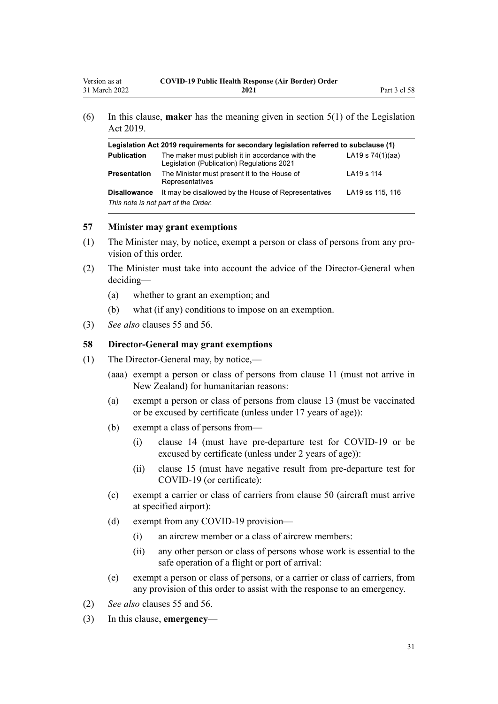<span id="page-30-0"></span>

| Legislation Act 2019 requirements for secondary legislation referred to subclause (1) |                                                                                                |                    |
|---------------------------------------------------------------------------------------|------------------------------------------------------------------------------------------------|--------------------|
| <b>Publication</b>                                                                    | The maker must publish it in accordance with the<br>Legislation (Publication) Regulations 2021 | LA19 s $74(1)(aa)$ |
| <b>Presentation</b>                                                                   | The Minister must present it to the House of<br>Representatives                                | LA19 s 114         |
| <b>Disallowance</b>                                                                   | It may be disallowed by the House of Representatives<br>This note is not part of the Order.    | LA19 ss 115, 116   |

#### **57 Minister may grant exemptions**

- (1) The Minister may, by notice, exempt a person or class of persons from any pro‐ vision of this order.
- (2) The Minister must take into account the advice of the Director-General when deciding—
	- (a) whether to grant an exemption; and
	- (b) what (if any) conditions to impose on an exemption.
- (3) *See also* [clauses 55](#page-28-0) and [56.](#page-29-0)

## **58 Director-General may grant exemptions**

- (1) The Director-General may, by notice,—
	- (aaa) exempt a person or class of persons from [clause 11](#page-12-0) (must not arrive in New Zealand) for humanitarian reasons:
	- (a) exempt a person or class of persons from [clause 13](#page-12-0) (must be vaccinated or be excused by certificate (unless under 17 years of age)):
	- (b) exempt a class of persons from—
		- (i) [clause 14](#page-14-0) (must have pre-departure test for COVID-19 or be excused by certificate (unless under 2 years of age)):
		- (ii) [clause 15](#page-14-0) (must have negative result from pre-departure test for COVID-19 (or certificate):
	- (c) exempt a carrier or class of carriers from [clause 50](#page-26-0) (aircraft must arrive at specified airport):
	- (d) exempt from any COVID-19 provision—
		- (i) an aircrew member or a class of aircrew members:
		- (ii) any other person or class of persons whose work is essential to the safe operation of a flight or port of arrival:
	- (e) exempt a person or class of persons, or a carrier or class of carriers, from any provision of this order to assist with the response to an emergency.
- (2) *See also* [clauses 55](#page-28-0) and [56.](#page-29-0)
- (3) In this clause, **emergency**—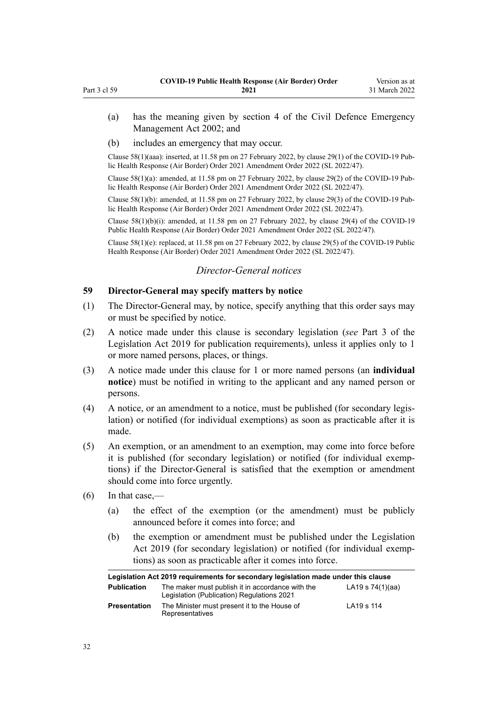- (a) has the meaning given by [section 4](http://legislation.govt.nz/pdflink.aspx?id=DLM149796) of the Civil Defence Emergency Management Act 2002; and
- (b) includes an emergency that may occur.

Clause 58(1)(aaa): inserted, at 11.58 pm on 27 February 2022, by [clause 29\(1\)](http://legislation.govt.nz/pdflink.aspx?id=LMS650852) of the COVID-19 Pub‐ lic Health Response (Air Border) Order 2021 Amendment Order 2022 (SL 2022/47).

Clause 58(1)(a): amended, at 11.58 pm on 27 February 2022, by [clause 29\(2\)](http://legislation.govt.nz/pdflink.aspx?id=LMS650852) of the COVID-19 Pub‐ lic Health Response (Air Border) Order 2021 Amendment Order 2022 (SL 2022/47).

Clause  $58(1)(b)$ : amended, at 11.58 pm on 27 February 2022, by [clause 29\(3\)](http://legislation.govt.nz/pdflink.aspx?id=LMS650852) of the COVID-19 Public Health Response (Air Border) Order 2021 Amendment Order 2022 (SL 2022/47).

Clause 58(1)(b)(i): amended, at 11.58 pm on 27 February 2022, by [clause 29\(4\)](http://legislation.govt.nz/pdflink.aspx?id=LMS650852) of the COVID-19 Public Health Response (Air Border) Order 2021 Amendment Order 2022 (SL 2022/47).

Clause 58(1)(e): replaced, at 11.58 pm on 27 February 2022, by [clause 29\(5\)](http://legislation.govt.nz/pdflink.aspx?id=LMS650852) of the COVID-19 Public Health Response (Air Border) Order 2021 Amendment Order 2022 (SL 2022/47).

# *Director-General notices*

## **59 Director-General may specify matters by notice**

- (1) The Director-General may, by notice, specify anything that this order says may or must be specified by notice.
- (2) A notice made under this clause is secondary legislation (*see* [Part 3](http://legislation.govt.nz/pdflink.aspx?id=DLM7298343) of the Legislation Act 2019 for publication requirements), unless it applies only to 1 or more named persons, places, or things.
- (3) A notice made under this clause for 1 or more named persons (an **individual notice**) must be notified in writing to the applicant and any named person or persons.
- (4) A notice, or an amendment to a notice, must be published (for secondary legis‐ lation) or notified (for individual exemptions) as soon as practicable after it is made.
- (5) An exemption, or an amendment to an exemption, may come into force before it is published (for secondary legislation) or notified (for individual exemp‐ tions) if the Director-General is satisfied that the exemption or amendment should come into force urgently.
- $(6)$  In that case,—

<span id="page-31-0"></span>Part 3 cl 59

- (a) the effect of the exemption (or the amendment) must be publicly announced before it comes into force; and
- (b) the exemption or amendment must be published under the [Legislation](http://legislation.govt.nz/pdflink.aspx?id=DLM7298104) [Act 2019](http://legislation.govt.nz/pdflink.aspx?id=DLM7298104) (for secondary legislation) or notified (for individual exemptions) as soon as practicable after it comes into force.

| Legislation Act 2019 requirements for secondary legislation made under this clause |                                                                                                |                    |
|------------------------------------------------------------------------------------|------------------------------------------------------------------------------------------------|--------------------|
| <b>Publication</b>                                                                 | The maker must publish it in accordance with the<br>Legislation (Publication) Regulations 2021 | LA19 s $74(1)(aa)$ |
| <b>Presentation</b>                                                                | The Minister must present it to the House of<br>Representatives                                | LA19 s 114         |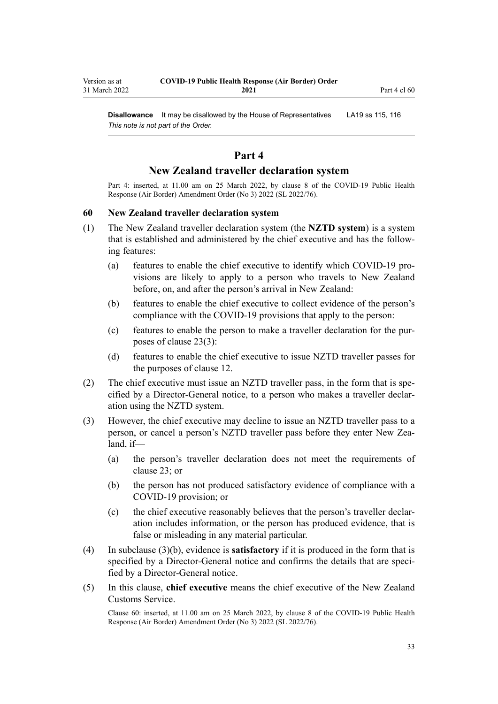<span id="page-32-0"></span>**Disallowance** It may be disallowed by the House of Representatives LA19 [ss 115](http://legislation.govt.nz/pdflink.aspx?id=DLM7298431), [116](http://legislation.govt.nz/pdflink.aspx?id=DLM7298432) *This note is not part of the Order.*

# **Part 4**

# **New Zealand traveller declaration system**

Part 4: inserted, at 11.00 am on 25 March 2022, by [clause 8](http://legislation.govt.nz/pdflink.aspx?id=LMS665869) of the COVID-19 Public Health Response (Air Border) Amendment Order (No 3) 2022 (SL 2022/76).

#### **60 New Zealand traveller declaration system**

- (1) The New Zealand traveller declaration system (the **NZTD system**) is a system that is established and administered by the chief executive and has the follow‐ ing features:
	- (a) features to enable the chief executive to identify which COVID-19 pro‐ visions are likely to apply to a person who travels to New Zealand before, on, and after the person's arrival in New Zealand:
	- (b) features to enable the chief executive to collect evidence of the person's compliance with the COVID-19 provisions that apply to the person:
	- (c) features to enable the person to make a traveller declaration for the pur‐ poses of [clause 23\(3\):](#page-17-0)
	- (d) features to enable the chief executive to issue NZTD traveller passes for the purposes of [clause 12](#page-12-0).
- (2) The chief executive must issue an NZTD traveller pass, in the form that is specified by a Director-General notice, to a person who makes a traveller declar‐ ation using the NZTD system.
- (3) However, the chief executive may decline to issue an NZTD traveller pass to a person, or cancel a person's NZTD traveller pass before they enter New Zealand, if—
	- (a) the person's traveller declaration does not meet the requirements of [clause 23](#page-17-0); or
	- (b) the person has not produced satisfactory evidence of compliance with a COVID-19 provision; or
	- (c) the chief executive reasonably believes that the person's traveller declar‐ ation includes information, or the person has produced evidence, that is false or misleading in any material particular.
- (4) In subclause (3)(b), evidence is **satisfactory** if it is produced in the form that is specified by a Director-General notice and confirms the details that are specified by a Director-General notice.
- (5) In this clause, **chief executive** means the chief executive of the New Zealand Customs Service.

Clause 60: inserted, at 11.00 am on 25 March 2022, by [clause 8](http://legislation.govt.nz/pdflink.aspx?id=LMS665869) of the COVID-19 Public Health Response (Air Border) Amendment Order (No 3) 2022 (SL 2022/76).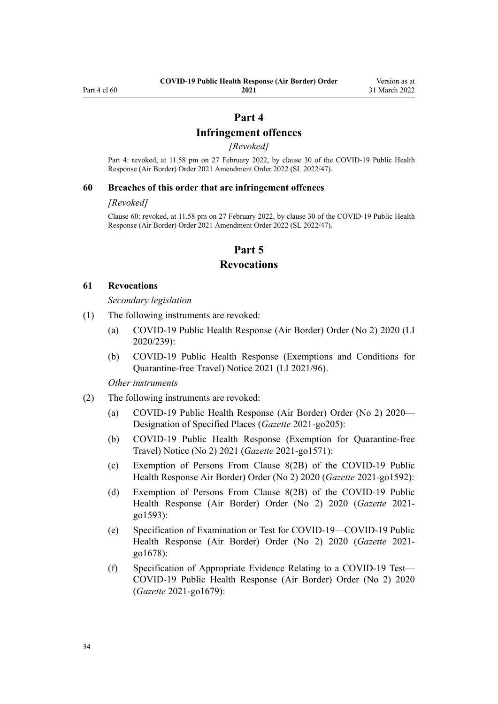## **Part 4**

## **Infringement offences**

*[Revoked]*

<span id="page-33-0"></span>Part 4: revoked, at 11.58 pm on 27 February 2022, by [clause 30](http://legislation.govt.nz/pdflink.aspx?id=LMS650853) of the COVID-19 Public Health Response (Air Border) Order 2021 Amendment Order 2022 (SL 2022/47).

#### **60 Breaches of this order that are infringement offences**

#### *[Revoked]*

Clause 60: revoked, at 11.58 pm on 27 February 2022, by [clause 30](http://legislation.govt.nz/pdflink.aspx?id=LMS650853) of the COVID-19 Public Health Response (Air Border) Order 2021 Amendment Order 2022 (SL 2022/47).

## **Part 5**

#### **Revocations**

#### **61 Revocations**

*Secondary legislation*

- (1) The following instruments are revoked:
	- (a) [COVID-19 Public Health Response \(Air Border\) Order \(No 2\) 2020](http://legislation.govt.nz/pdflink.aspx?id=LMS403345) (LI 2020/239):
	- (b) [COVID-19 Public Health Response \(Exemptions and Conditions for](http://legislation.govt.nz/pdflink.aspx?id=LMS492859) [Quarantine-free Travel\) Notice 2021](http://legislation.govt.nz/pdflink.aspx?id=LMS492859) (LI 2021/96).

*Other instruments*

- (2) The following instruments are revoked:
	- (a) [COVID-19 Public Health Response \(Air Border\) Order \(No 2\) 2020—](https://gazette.govt.nz/notice/id/2021-go205) [Designation of Specified Places](https://gazette.govt.nz/notice/id/2021-go205) (*Gazette* 2021-go205):
	- (b) [COVID-19 Public Health Response \(Exemption for Quarantine-free](https://gazette.govt.nz/notice/id/2021-go1571?year=2021=1571) [Travel\) Notice \(No 2\) 2021](https://gazette.govt.nz/notice/id/2021-go1571?year=2021=1571) (*Gazette* 2021-go1571):
	- (c) [Exemption of Persons From Clause 8\(2B\) of the COVID-19 Public](https://gazette.govt.nz/notice/id/2021-go1592?year=2021=1592) [Health Response Air Border\) Order \(No 2\) 2020](https://gazette.govt.nz/notice/id/2021-go1592?year=2021=1592) (*Gazette* 2021-go1592):
	- (d) [Exemption of Persons From Clause 8\(2B\) of the COVID-19 Public](https://gazette.govt.nz/notice/id/2021-go1593?year=2021=1593) [Health Response \(Air Border\) Order \(No 2\) 2020](https://gazette.govt.nz/notice/id/2021-go1593?year=2021=1593) (*Gazette* 2021 go1593):
	- (e) [Specification of Examination or Test for COVID-19—COVID-19 Public](https://gazette.govt.nz/notice/id/2021-go1678?year=2021=1678) [Health Response \(Air Border\) Order \(No 2\) 2020](https://gazette.govt.nz/notice/id/2021-go1678?year=2021=1678) (*Gazette* 2021 go1678):
	- (f) [Specification of Appropriate Evidence Relating to a COVID-19 Test—](https://gazette.govt.nz/notice/id/2021-go1679?year=2021=1679) [COVID-19 Public Health Response \(Air Border\) Order \(No 2\) 2020](https://gazette.govt.nz/notice/id/2021-go1679?year=2021=1679) (*Gazette* 2021-go1679):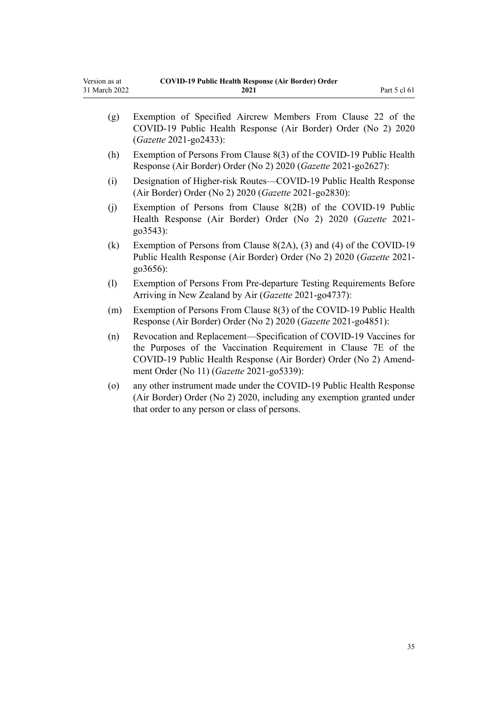| Version as at | <b>COVID-19 Public Health Response (Air Border) Order</b> |              |
|---------------|-----------------------------------------------------------|--------------|
| 31 March 2022 | 2021                                                      | Part 5 cl 61 |

| (g)     | Exemption of Specified Aircrew Members From Clause 22 of the<br>COVID-19 Public Health Response (Air Border) Order (No 2) 2020<br>(Gazette 2021-go2433):                                                                                              |
|---------|-------------------------------------------------------------------------------------------------------------------------------------------------------------------------------------------------------------------------------------------------------|
| (h)     | Exemption of Persons From Clause 8(3) of the COVID-19 Public Health<br>Response (Air Border) Order (No 2) 2020 (Gazette 2021-go2627):                                                                                                                 |
| (i)     | Designation of Higher-risk Routes—COVID-19 Public Health Response<br>(Air Border) Order (No 2) 2020 (Gazette 2021-go2830):                                                                                                                            |
| (j)     | Exemption of Persons from Clause 8(2B) of the COVID-19 Public<br>Health Response (Air Border) Order (No 2) 2020 (Gazette 2021-<br>go3543):                                                                                                            |
| (k)     | Exemption of Persons from Clause $8(2A)$ , (3) and (4) of the COVID-19<br>Public Health Response (Air Border) Order (No 2) 2020 (Gazette 2021-<br>go3656):                                                                                            |
| (1)     | Exemption of Persons From Pre-departure Testing Requirements Before<br>Arriving in New Zealand by Air (Gazette 2021-go4737):                                                                                                                          |
| (m)     | Exemption of Persons From Clause 8(3) of the COVID-19 Public Health<br>Response (Air Border) Order (No 2) 2020 (Gazette 2021-go4851):                                                                                                                 |
| (n)     | Revocation and Replacement-Specification of COVID-19 Vaccines for<br>the Purposes of the Vaccination Requirement in Clause 7E of the<br>COVID-19 Public Health Response (Air Border) Order (No 2) Amend-<br>ment Order (No 11) (Gazette 2021-go5339): |
| $\circ$ | any other instrument made under the COVID-19 Public Health Response<br>(Air Border) Order (No 2) 2020, including any exemption granted under<br>that order to any person or class of persons.                                                         |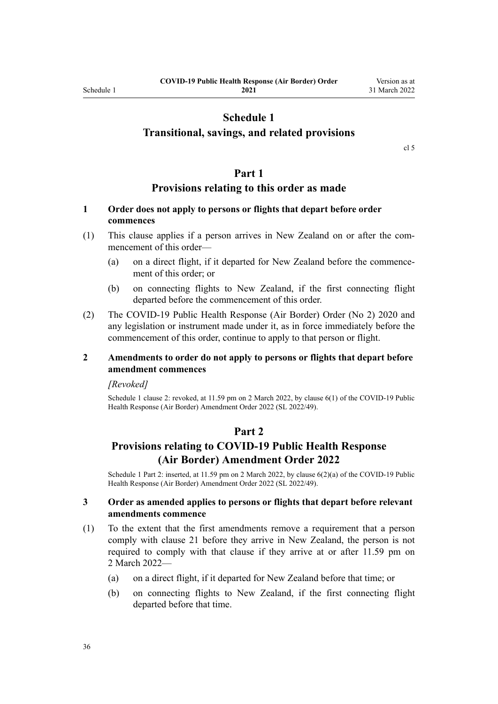# **Schedule 1**

# <span id="page-35-0"></span>**Transitional, savings, and related provisions**

[cl 5](#page-9-0)

## **Part 1**

## **Provisions relating to this order as made**

# **1 Order does not apply to persons or flights that depart before order commences**

- (1) This clause applies if a person arrives in New Zealand on or after the com‐ mencement of this order—
	- (a) on a direct flight, if it departed for New Zealand before the commence‐ ment of this order; or
	- (b) on connecting flights to New Zealand, if the first connecting flight departed before the commencement of this order.
- (2) The [COVID-19 Public Health Response \(Air Border\) Order \(No 2\) 2020](http://legislation.govt.nz/pdflink.aspx?id=LMS403345) and any legislation or instrument made under it, as in force immediately before the commencement of this order, continue to apply to that person or flight.

## **2 Amendments to order do not apply to persons or flights that depart before amendment commences**

#### *[Revoked]*

Schedule 1 clause 2: revoked, at 11.59 pm on 2 March 2022, by [clause 6\(1\)](http://legislation.govt.nz/pdflink.aspx?id=LMS653779) of the COVID-19 Public Health Response (Air Border) Amendment Order 2022 (SL 2022/49).

#### **Part 2**

# **Provisions relating to COVID-19 Public Health Response (Air Border) Amendment Order 2022**

Schedule 1 Part 2: inserted, at 11.59 pm on 2 March 2022, by [clause 6\(2\)\(a\)](http://legislation.govt.nz/pdflink.aspx?id=LMS653779) of the COVID-19 Public Health Response (Air Border) Amendment Order 2022 (SL 2022/49).

#### **3 Order as amended applies to persons or flights that depart before relevant amendments commence**

- (1) To the extent that the first amendments remove a requirement that a person comply with [clause 21](#page-16-0) before they arrive in New Zealand, the person is not required to comply with that clause if they arrive at or after 11.59 pm on 2 March 2022—
	- (a) on a direct flight, if it departed for New Zealand before that time; or
	- (b) on connecting flights to New Zealand, if the first connecting flight departed before that time.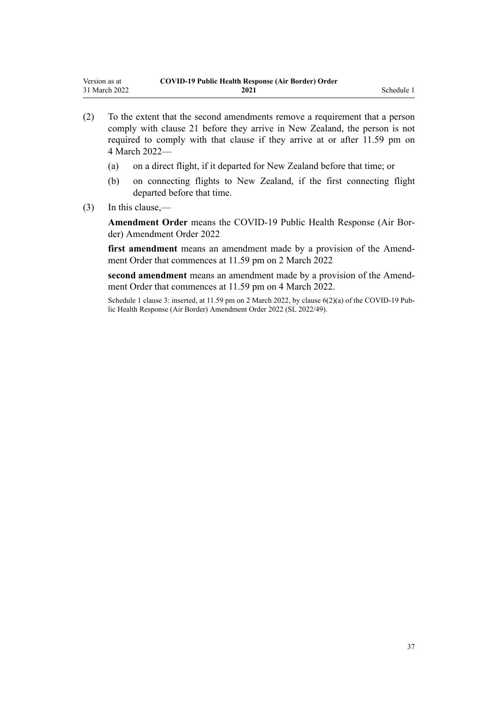- (2) To the extent that the second amendments remove a requirement that a person comply with [clause 21](#page-16-0) before they arrive in New Zealand, the person is not required to comply with that clause if they arrive at or after 11.59 pm on 4 March 2022—
	- (a) on a direct flight, if it departed for New Zealand before that time; or
	- (b) on connecting flights to New Zealand, if the first connecting flight departed before that time.
- (3) In this clause,—

**Amendment Order** means the [COVID-19 Public Health Response \(Air Bor‐](http://legislation.govt.nz/pdflink.aspx?id=LMS653771) [der\) Amendment Order 2022](http://legislation.govt.nz/pdflink.aspx?id=LMS653771)

first amendment means an amendment made by a provision of the Amendment Order that commences at 11.59 pm on 2 March 2022

second amendment means an amendment made by a provision of the Amendment Order that commences at 11.59 pm on 4 March 2022.

Schedule 1 clause 3: inserted, at 11.59 pm on 2 March 2022, by [clause 6\(2\)\(a\)](http://legislation.govt.nz/pdflink.aspx?id=LMS653779) of the COVID-19 Public Health Response (Air Border) Amendment Order 2022 (SL 2022/49).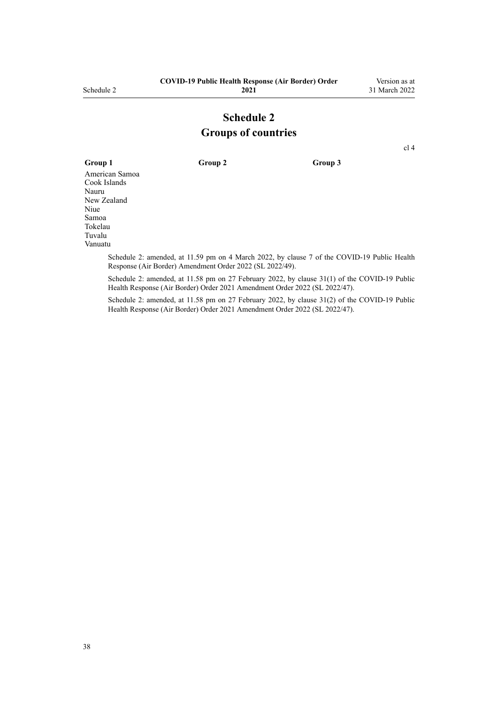# **Schedule 2 Groups of countries**

[cl 4](#page-4-0)

**Group 1 Group 2 Group 3** American Samoa Cook Islands Nauru New Zealand Niue Samoa Tokelau Tuvalu Vanuatu

Schedule 2: amended, at 11.59 pm on 4 March 2022, by [clause 7](http://legislation.govt.nz/pdflink.aspx?id=LMS653780) of the COVID-19 Public Health Response (Air Border) Amendment Order 2022 (SL 2022/49).

Schedule 2: amended, at 11.58 pm on 27 February 2022, by [clause 31\(1\)](http://legislation.govt.nz/pdflink.aspx?id=LMS650856) of the COVID-19 Public Health Response (Air Border) Order 2021 Amendment Order 2022 (SL 2022/47).

Schedule 2: amended, at 11.58 pm on 27 February 2022, by [clause 31\(2\)](http://legislation.govt.nz/pdflink.aspx?id=LMS650856) of the COVID-19 Public Health Response (Air Border) Order 2021 Amendment Order 2022 (SL 2022/47).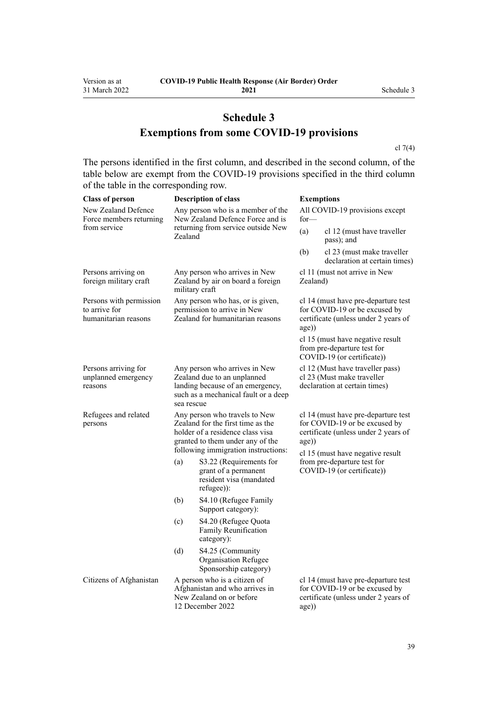# **Schedule 3 Exemptions from some COVID-19 provisions**

[cl 7\(4\)](#page-9-0)

The persons identified in the first column, and described in the second column, of the table below are exempt from the COVID-19 provisions specified in the third column of the table in the corresponding row.

| <b>Class of person</b>                                           |                                                                                                                                                                                   | <b>Description of class</b>                                                                                                              | <b>Exemptions</b>                                                                                                                                         |                                                                                                              |  |
|------------------------------------------------------------------|-----------------------------------------------------------------------------------------------------------------------------------------------------------------------------------|------------------------------------------------------------------------------------------------------------------------------------------|-----------------------------------------------------------------------------------------------------------------------------------------------------------|--------------------------------------------------------------------------------------------------------------|--|
| New Zealand Defence<br>Force members returning                   | Any person who is a member of the<br>New Zealand Defence Force and is<br>returning from service outside New<br>Zealand                                                            |                                                                                                                                          | All COVID-19 provisions except<br>$for-$                                                                                                                  |                                                                                                              |  |
| from service                                                     |                                                                                                                                                                                   |                                                                                                                                          | (a)                                                                                                                                                       | cl 12 (must have traveller<br>pass); and                                                                     |  |
|                                                                  |                                                                                                                                                                                   |                                                                                                                                          | (b)                                                                                                                                                       | cl 23 (must make traveller<br>declaration at certain times)                                                  |  |
| Persons arriving on<br>foreign military craft                    | military craft                                                                                                                                                                    | Any person who arrives in New<br>Zealand by air on board a foreign                                                                       | cl 11 (must not arrive in New<br>Zealand)                                                                                                                 |                                                                                                              |  |
| Persons with permission<br>to arrive for<br>humanitarian reasons | Any person who has, or is given,<br>permission to arrive in New<br>Zealand for humanitarian reasons                                                                               |                                                                                                                                          | cl 14 (must have pre-departure test<br>for COVID-19 or be excused by<br>certificate (unless under 2 years of<br>age))                                     |                                                                                                              |  |
|                                                                  |                                                                                                                                                                                   |                                                                                                                                          | cl 15 (must have negative result<br>from pre-departure test for<br>COVID-19 (or certificate))                                                             |                                                                                                              |  |
| Persons arriving for<br>unplanned emergency<br>reasons           | sea rescue                                                                                                                                                                        | Any person who arrives in New<br>Zealand due to an unplanned<br>landing because of an emergency,<br>such as a mechanical fault or a deep | cl 12 (Must have traveller pass)<br>cl 23 (Must make traveller<br>declaration at certain times)                                                           |                                                                                                              |  |
| Refugees and related<br>persons                                  | Any person who travels to New<br>Zealand for the first time as the<br>holder of a residence class visa<br>granted to them under any of the<br>following immigration instructions: |                                                                                                                                          | cl 14 (must have pre-departure test<br>for COVID-19 or be excused by<br>certificate (unless under 2 years of<br>age))<br>cl 15 (must have negative result |                                                                                                              |  |
|                                                                  | (a)                                                                                                                                                                               | S3.22 (Requirements for<br>grant of a permanent<br>resident visa (mandated<br>refugee)):                                                 |                                                                                                                                                           | from pre-departure test for<br>COVID-19 (or certificate))                                                    |  |
|                                                                  | (b)                                                                                                                                                                               | S4.10 (Refugee Family<br>Support category):                                                                                              |                                                                                                                                                           |                                                                                                              |  |
|                                                                  | (c)                                                                                                                                                                               | S4.20 (Refugee Quota<br>Family Reunification<br>category):                                                                               |                                                                                                                                                           |                                                                                                              |  |
|                                                                  | (d)                                                                                                                                                                               | S4.25 (Community<br>Organisation Refugee<br>Sponsorship category)                                                                        |                                                                                                                                                           |                                                                                                              |  |
| Citizens of Afghanistan                                          |                                                                                                                                                                                   | A person who is a citizen of<br>Afghanistan and who arrives in<br>New Zealand on or before<br>12 December 2022                           | age))                                                                                                                                                     | cl 14 (must have pre-departure test<br>for COVID-19 or be excused by<br>certificate (unless under 2 years of |  |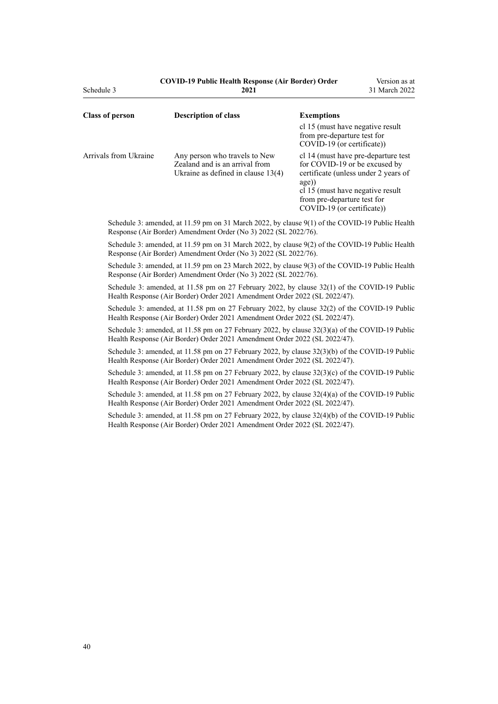| <b>COVID-19 Public Health Response (Air Border) Order</b> |  |      |  |  |
|-----------------------------------------------------------|--|------|--|--|
|                                                           |  | 2021 |  |  |

| <b>Class of person</b> | <b>Description of class</b>                                                                             | <b>Exemptions</b>                                                                                                                                                                                                          |
|------------------------|---------------------------------------------------------------------------------------------------------|----------------------------------------------------------------------------------------------------------------------------------------------------------------------------------------------------------------------------|
|                        |                                                                                                         | cl 15 (must have negative result<br>from pre-departure test for<br>COVID-19 (or certificate))                                                                                                                              |
| Arrivals from Ukraine  | Any person who travels to New<br>Zealand and is an arrival from<br>Ukraine as defined in clause $13(4)$ | cl 14 (must have pre-departure test)<br>for COVID-19 or be excused by<br>certificate (unless under 2 years of<br>$ago)$ )<br>cl 15 (must have negative result<br>from pre-departure test for<br>COVID-19 (or certificate)) |

Schedule 3: amended, at 11.59 pm on 31 March 2022, by [clause 9\(1\)](http://legislation.govt.nz/pdflink.aspx?id=LMS665873) of the COVID-19 Public Health Response (Air Border) Amendment Order (No 3) 2022 (SL 2022/76).

Schedule 3: amended, at 11.59 pm on 31 March 2022, by [clause 9\(2\)](http://legislation.govt.nz/pdflink.aspx?id=LMS665873) of the COVID-19 Public Health Response (Air Border) Amendment Order (No 3) 2022 (SL 2022/76).

Schedule 3: amended, at 11.59 pm on 23 March 2022, by [clause 9\(3\)](http://legislation.govt.nz/pdflink.aspx?id=LMS665873) of the COVID-19 Public Health Response (Air Border) Amendment Order (No 3) 2022 (SL 2022/76).

Schedule 3: amended, at 11.58 pm on 27 February 2022, by [clause 32\(1\)](http://legislation.govt.nz/pdflink.aspx?id=LMS650857) of the COVID-19 Public Health Response (Air Border) Order 2021 Amendment Order 2022 (SL 2022/47).

Schedule 3: amended, at 11.58 pm on 27 February 2022, by [clause 32\(2\)](http://legislation.govt.nz/pdflink.aspx?id=LMS650857) of the COVID-19 Public Health Response (Air Border) Order 2021 Amendment Order 2022 (SL 2022/47).

Schedule 3: amended, at 11.58 pm on 27 February 2022, by [clause 32\(3\)\(a\)](http://legislation.govt.nz/pdflink.aspx?id=LMS650857) of the COVID-19 Public Health Response (Air Border) Order 2021 Amendment Order 2022 (SL 2022/47).

Schedule 3: amended, at 11.58 pm on 27 February 2022, by [clause 32\(3\)\(b\)](http://legislation.govt.nz/pdflink.aspx?id=LMS650857) of the COVID-19 Public Health Response (Air Border) Order 2021 Amendment Order 2022 (SL 2022/47).

Schedule 3: amended, at 11.58 pm on 27 February 2022, by [clause 32\(3\)\(c\)](http://legislation.govt.nz/pdflink.aspx?id=LMS650857) of the COVID-19 Public Health Response (Air Border) Order 2021 Amendment Order 2022 (SL 2022/47).

Schedule 3: amended, at 11.58 pm on 27 February 2022, by [clause 32\(4\)\(a\)](http://legislation.govt.nz/pdflink.aspx?id=LMS650857) of the COVID-19 Public Health Response (Air Border) Order 2021 Amendment Order 2022 (SL 2022/47).

Schedule 3: amended, at 11.58 pm on 27 February 2022, by [clause 32\(4\)\(b\)](http://legislation.govt.nz/pdflink.aspx?id=LMS650857) of the COVID-19 Public Health Response (Air Border) Order 2021 Amendment Order 2022 (SL 2022/47).

Schedule 3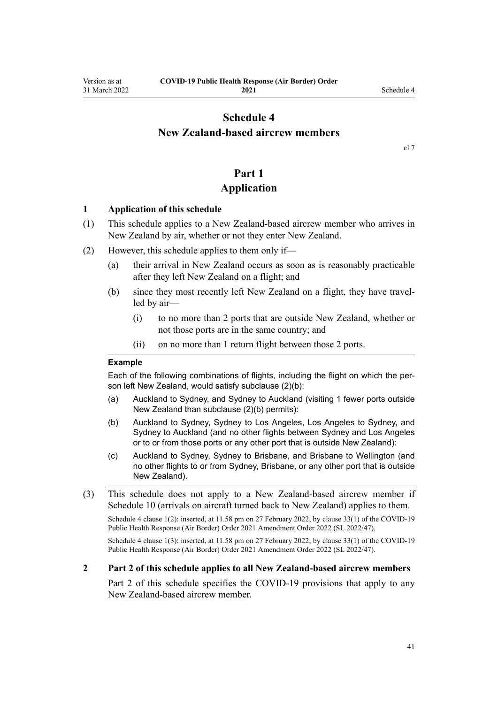# <span id="page-40-0"></span>**Schedule 4 New Zealand-based aircrew members**

[cl 7](#page-9-0)

# **Part 1**

# **Application**

### **1 Application of this schedule**

- (1) This schedule applies to a New Zealand-based aircrew member who arrives in New Zealand by air, whether or not they enter New Zealand.
- (2) However, this schedule applies to them only if—
	- (a) their arrival in New Zealand occurs as soon as is reasonably practicable after they left New Zealand on a flight; and
	- (b) since they most recently left New Zealand on a flight, they have travelled by air—
		- (i) to no more than 2 ports that are outside New Zealand, whether or not those ports are in the same country; and
		- (ii) on no more than 1 return flight between those 2 ports.

### **Example**

Each of the following combinations of flights, including the flight on which the person left New Zealand, would satisfy subclause (2)(b):

- (a) Auckland to Sydney, and Sydney to Auckland (visiting 1 fewer ports outside New Zealand than subclause (2)(b) permits):
- (b) Auckland to Sydney, Sydney to Los Angeles, Los Angeles to Sydney, and Sydney to Auckland (and no other flights between Sydney and Los Angeles or to or from those ports or any other port that is outside New Zealand):
- (c) Auckland to Sydney, Sydney to Brisbane, and Brisbane to Wellington (and no other flights to or from Sydney, Brisbane, or any other port that is outside New Zealand).
- (3) This schedule does not apply to a New Zealand-based aircrew member if [Schedule 10](#page-61-0) (arrivals on aircraft turned back to New Zealand) applies to them.

Schedule 4 clause 1(2): inserted, at 11.58 pm on 27 February 2022, by [clause 33\(1\)](http://legislation.govt.nz/pdflink.aspx?id=LMS650859) of the COVID-19 Public Health Response (Air Border) Order 2021 Amendment Order 2022 (SL 2022/47).

Schedule 4 clause 1(3): inserted, at 11.58 pm on 27 February 2022, by [clause 33\(1\)](http://legislation.govt.nz/pdflink.aspx?id=LMS650859) of the COVID-19 Public Health Response (Air Border) Order 2021 Amendment Order 2022 (SL 2022/47).

### **2 Part 2 of this schedule applies to all New Zealand-based aircrew members**

[Part 2](#page-41-0) of this schedule specifies the COVID-19 provisions that apply to any New Zealand-based aircrew member.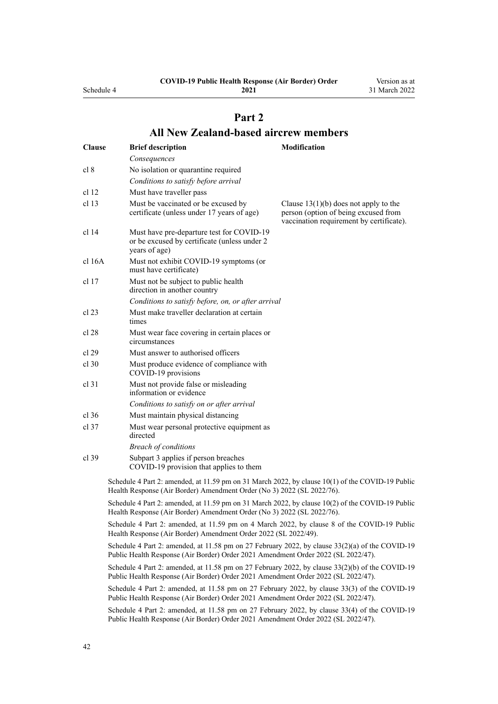<span id="page-41-0"></span>Schedule 4

**2021**

Version as at 31 March 2022

# **Part 2 All New Zealand-based aircrew members**

| <b>Clause</b> | <b>Brief description</b>                                                                                                                                                               | <b>Modification</b>                                                                                                         |
|---------------|----------------------------------------------------------------------------------------------------------------------------------------------------------------------------------------|-----------------------------------------------------------------------------------------------------------------------------|
|               | Consequences                                                                                                                                                                           |                                                                                                                             |
| cl 8          | No isolation or quarantine required                                                                                                                                                    |                                                                                                                             |
|               | Conditions to satisfy before arrival                                                                                                                                                   |                                                                                                                             |
| cl 12         | Must have traveller pass                                                                                                                                                               |                                                                                                                             |
| cl 13         | Must be vaccinated or be excused by<br>certificate (unless under 17 years of age)                                                                                                      | Clause $13(1)(b)$ does not apply to the<br>person (option of being excused from<br>vaccination requirement by certificate). |
| cl 14         | Must have pre-departure test for COVID-19<br>or be excused by certificate (unless under 2<br>years of age)                                                                             |                                                                                                                             |
| cl 16A        | Must not exhibit COVID-19 symptoms (or<br>must have certificate)                                                                                                                       |                                                                                                                             |
| cl 17         | Must not be subject to public health<br>direction in another country                                                                                                                   |                                                                                                                             |
|               | Conditions to satisfy before, on, or after arrival                                                                                                                                     |                                                                                                                             |
| cl 23         | Must make traveller declaration at certain<br>times                                                                                                                                    |                                                                                                                             |
| cl 28         | Must wear face covering in certain places or<br>circumstances                                                                                                                          |                                                                                                                             |
| cl 29         | Must answer to authorised officers                                                                                                                                                     |                                                                                                                             |
| $cl$ 30       | Must produce evidence of compliance with<br>COVID-19 provisions                                                                                                                        |                                                                                                                             |
| $cl$ 31       | Must not provide false or misleading<br>information or evidence                                                                                                                        |                                                                                                                             |
|               | Conditions to satisfy on or after arrival                                                                                                                                              |                                                                                                                             |
| $cl$ 36       | Must maintain physical distancing                                                                                                                                                      |                                                                                                                             |
| cl 37         | Must wear personal protective equipment as<br>directed                                                                                                                                 |                                                                                                                             |
|               | <b>Breach of conditions</b>                                                                                                                                                            |                                                                                                                             |
| $cl$ 39       | Subpart 3 applies if person breaches<br>COVID-19 provision that applies to them                                                                                                        |                                                                                                                             |
|               | Schedule 4 Part 2: amended, at 11.59 pm on 31 March 2022, by clause 10(1) of the COVID-19 Public<br>Health Response (Air Border) Amendment Order (No 3) 2022 (SL 2022/76).             |                                                                                                                             |
|               | Schedule 4 Part 2: amended, at 11.59 pm on 31 March 2022, by clause 10(2) of the COVID-19 Public<br>Health Response (Air Border) Amendment Order (No 3) 2022 (SL 2022/76).             |                                                                                                                             |
|               | Schedule 4 Part 2: amended, at 11.59 pm on 4 March 2022, by clause 8 of the COVID-19 Public<br>Health Response (Air Border) Amendment Order 2022 (SL 2022/49).                         |                                                                                                                             |
|               | Schedule 4 Part 2: amended, at 11.58 pm on 27 February 2022, by clause $33(2)(a)$ of the COVID-19<br>Public Health Response (Air Border) Order 2021 Amendment Order 2022 (SL 2022/47). |                                                                                                                             |
|               | Schedule 4 Part 2: amended, at 11.58 pm on 27 February 2022, by clause $33(2)(b)$ of the COVID-19<br>Public Health Response (Air Border) Order 2021 Amendment Order 2022 (SL 2022/47). |                                                                                                                             |
|               | Schedule 4 Part 2: amended, at 11.58 pm on 27 February 2022, by clause 33(3) of the COVID-19<br>Public Health Response (Air Border) Order 2021 Amendment Order 2022 (SL 2022/47).      |                                                                                                                             |
|               | Schedule 4 Part 2: amended, at 11.58 pm on 27 February 2022, by clause 33(4) of the COVID-19<br>Public Health Response (Air Border) Order 2021 Amendment Order 2022 (SL 2022/47).      |                                                                                                                             |
|               |                                                                                                                                                                                        |                                                                                                                             |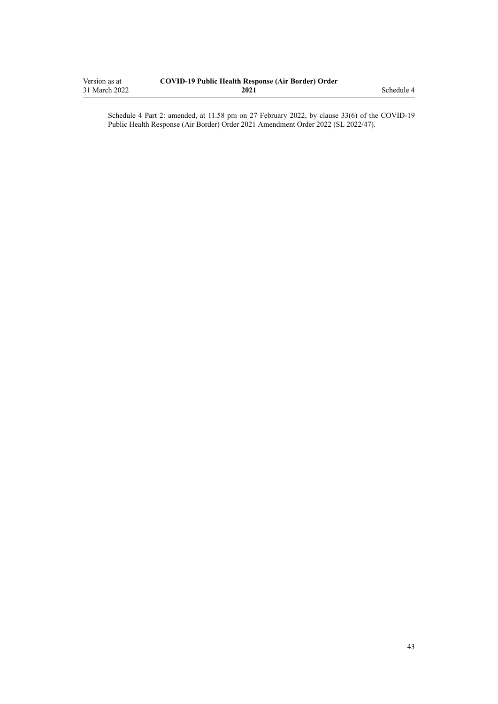| Version as at | <b>COVID-19 Public Health Response (Air Border) Order</b> |            |
|---------------|-----------------------------------------------------------|------------|
| 31 March 2022 | 2021                                                      | Schedule 4 |

Schedule 4 Part 2: amended, at 11.58 pm on 27 February 2022, by [clause 33\(6\)](http://legislation.govt.nz/pdflink.aspx?id=LMS650859) of the COVID-19 Public Health Response (Air Border) Order 2021 Amendment Order 2022 (SL 2022/47).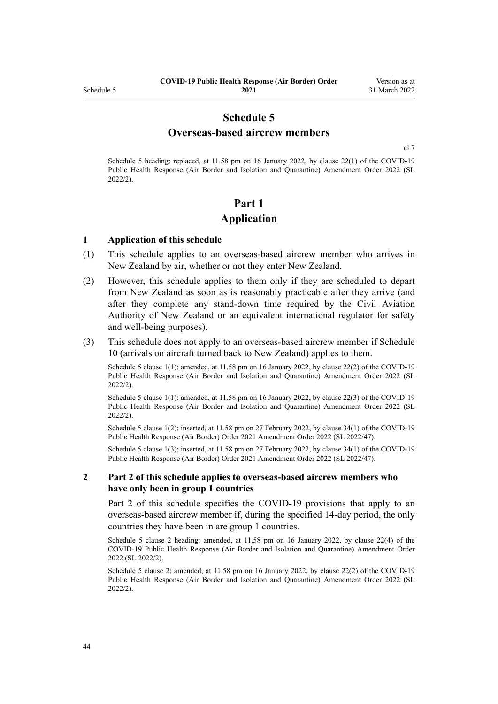## **Schedule 5 Overseas-based aircrew members**

[cl 7](#page-9-0)

<span id="page-43-0"></span>Schedule 5 heading: replaced, at 11.58 pm on 16 January 2022, by [clause 22\(1\)](http://legislation.govt.nz/pdflink.aspx?id=LMS629305) of the COVID-19 Public Health Response (Air Border and Isolation and Quarantine) Amendment Order 2022 (SL 2022/2).

# **Part 1 Application**

### **1 Application of this schedule**

- (1) This schedule applies to an overseas-based aircrew member who arrives in New Zealand by air, whether or not they enter New Zealand.
- (2) However, this schedule applies to them only if they are scheduled to depart from New Zealand as soon as is reasonably practicable after they arrive (and after they complete any stand-down time required by the Civil Aviation Authority of New Zealand or an equivalent international regulator for safety and well-being purposes).
- (3) This schedule does not apply to an overseas-based aircrew member if [Schedule](#page-61-0) [10](#page-61-0) (arrivals on aircraft turned back to New Zealand) applies to them.

Schedule 5 clause 1(1): amended, at 11.58 pm on 16 January 2022, by [clause 22\(2\)](http://legislation.govt.nz/pdflink.aspx?id=LMS629305) of the COVID-19 Public Health Response (Air Border and Isolation and Quarantine) Amendment Order 2022 (SL 2022/2).

Schedule 5 clause 1(1): amended, at 11.58 pm on 16 January 2022, by [clause 22\(3\)](http://legislation.govt.nz/pdflink.aspx?id=LMS629305) of the COVID-19 Public Health Response (Air Border and Isolation and Quarantine) Amendment Order 2022 (SL 2022/2).

Schedule 5 clause 1(2): inserted, at 11.58 pm on 27 February 2022, by [clause 34\(1\)](http://legislation.govt.nz/pdflink.aspx?id=LMS650864) of the COVID-19 Public Health Response (Air Border) Order 2021 Amendment Order 2022 (SL 2022/47).

Schedule 5 clause 1(3): inserted, at 11.58 pm on 27 February 2022, by [clause 34\(1\)](http://legislation.govt.nz/pdflink.aspx?id=LMS650864) of the COVID-19 Public Health Response (Air Border) Order 2021 Amendment Order 2022 (SL 2022/47).

### **2 Part 2 of this schedule applies to overseas-based aircrew members who have only been in group 1 countries**

[Part 2](#page-44-0) of this schedule specifies the COVID-19 provisions that apply to an overseas-based aircrew member if, during the specified 14-day period, the only countries they have been in are group 1 countries.

Schedule 5 clause 2 heading: amended, at 11.58 pm on 16 January 2022, by [clause 22\(4\)](http://legislation.govt.nz/pdflink.aspx?id=LMS629305) of the COVID-19 Public Health Response (Air Border and Isolation and Quarantine) Amendment Order 2022 (SL 2022/2).

Schedule 5 clause 2: amended, at 11.58 pm on 16 January 2022, by [clause 22\(2\)](http://legislation.govt.nz/pdflink.aspx?id=LMS629305) of the COVID-19 Public Health Response (Air Border and Isolation and Quarantine) Amendment Order 2022 (SL 2022/2).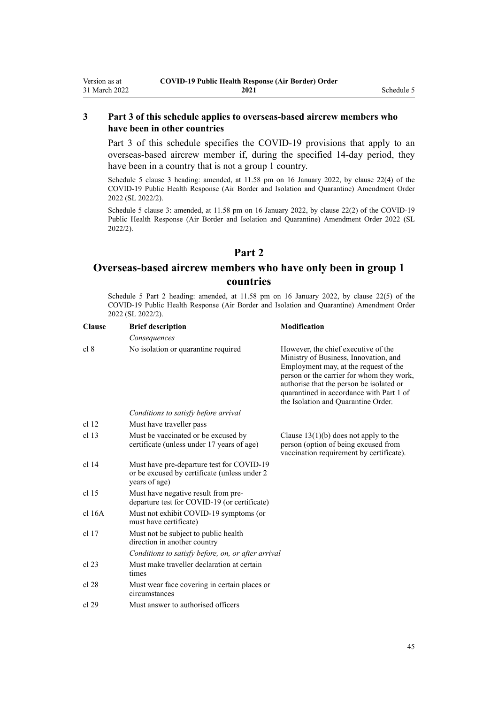### <span id="page-44-0"></span>**3 Part 3 of this schedule applies to overseas-based aircrew members who have been in other countries**

[Part 3](#page-45-0) of this schedule specifies the COVID-19 provisions that apply to an overseas-based aircrew member if, during the specified 14-day period, they have been in a country that is not a group 1 country.

Schedule 5 clause 3 heading: amended, at 11.58 pm on 16 January 2022, by [clause 22\(4\)](http://legislation.govt.nz/pdflink.aspx?id=LMS629305) of the COVID-19 Public Health Response (Air Border and Isolation and Quarantine) Amendment Order 2022 (SL 2022/2).

Schedule 5 clause 3: amended, at 11.58 pm on 16 January 2022, by [clause 22\(2\)](http://legislation.govt.nz/pdflink.aspx?id=LMS629305) of the COVID-19 Public Health Response (Air Border and Isolation and Quarantine) Amendment Order 2022 (SL 2022/2).

## **Part 2**

# **Overseas-based aircrew members who have only been in group 1 countries**

Schedule 5 Part 2 heading: amended, at 11.58 pm on 16 January 2022, by [clause 22\(5\)](http://legislation.govt.nz/pdflink.aspx?id=LMS629305) of the COVID-19 Public Health Response (Air Border and Isolation and Quarantine) Amendment Order 2022 (SL 2022/2).

| <b>Clause</b>    | <b>Brief description</b>                                                                                   | <b>Modification</b>                                                                                                                                                                                                                                                                               |
|------------------|------------------------------------------------------------------------------------------------------------|---------------------------------------------------------------------------------------------------------------------------------------------------------------------------------------------------------------------------------------------------------------------------------------------------|
|                  | Consequences                                                                                               |                                                                                                                                                                                                                                                                                                   |
| cl 8             | No isolation or quarantine required                                                                        | However, the chief executive of the<br>Ministry of Business, Innovation, and<br>Employment may, at the request of the<br>person or the carrier for whom they work,<br>authorise that the person be isolated or<br>quarantined in accordance with Part 1 of<br>the Isolation and Quarantine Order. |
|                  | Conditions to satisfy before arrival                                                                       |                                                                                                                                                                                                                                                                                                   |
| cl <sub>12</sub> | Must have traveller pass                                                                                   |                                                                                                                                                                                                                                                                                                   |
| cl <sub>13</sub> | Must be vaccinated or be excused by<br>certificate (unless under 17 years of age)                          | Clause $13(1)(b)$ does not apply to the<br>person (option of being excused from<br>vaccination requirement by certificate).                                                                                                                                                                       |
| $cl$ 14          | Must have pre-departure test for COVID-19<br>or be excused by certificate (unless under 2<br>years of age) |                                                                                                                                                                                                                                                                                                   |
| cl 15            | Must have negative result from pre-<br>departure test for COVID-19 (or certificate)                        |                                                                                                                                                                                                                                                                                                   |
| cl 16A           | Must not exhibit COVID-19 symptoms (or<br>must have certificate)                                           |                                                                                                                                                                                                                                                                                                   |
| $cl$ 17          | Must not be subject to public health.<br>direction in another country                                      |                                                                                                                                                                                                                                                                                                   |
|                  | Conditions to satisfy before, on, or after arrival                                                         |                                                                                                                                                                                                                                                                                                   |
| cl 23            | Must make traveller declaration at certain<br>times                                                        |                                                                                                                                                                                                                                                                                                   |
| cl 28            | Must wear face covering in certain places or<br>circumstances                                              |                                                                                                                                                                                                                                                                                                   |
| cl 29            | Must answer to authorised officers                                                                         |                                                                                                                                                                                                                                                                                                   |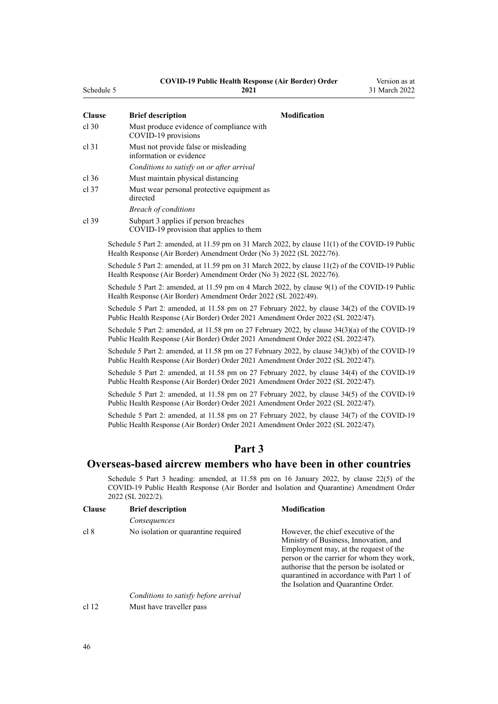### **COVID-19 Public Health Response (Air Border) Order**

Version as at

<span id="page-45-0"></span>

| Schedule 5    | 2021                                                                                                                                                                                   | 31 March 2022 |
|---------------|----------------------------------------------------------------------------------------------------------------------------------------------------------------------------------------|---------------|
| <b>Clause</b> | <b>Brief description</b><br><b>Modification</b>                                                                                                                                        |               |
| $cl$ 30       | Must produce evidence of compliance with<br>COVID-19 provisions                                                                                                                        |               |
| cl 31         | Must not provide false or misleading<br>information or evidence                                                                                                                        |               |
|               | Conditions to satisfy on or after arrival                                                                                                                                              |               |
| cl 36         | Must maintain physical distancing                                                                                                                                                      |               |
| cl 37         | Must wear personal protective equipment as<br>directed                                                                                                                                 |               |
|               | <b>Breach of conditions</b>                                                                                                                                                            |               |
| cl 39         | Subpart 3 applies if person breaches<br>COVID-19 provision that applies to them                                                                                                        |               |
|               | Schedule 5 Part 2: amended, at 11.59 pm on 31 March 2022, by clause 11(1) of the COVID-19 Public<br>Health Response (Air Border) Amendment Order (No 3) 2022 (SL 2022/76).             |               |
|               | Schedule 5 Part 2: amended, at 11.59 pm on 31 March 2022, by clause 11(2) of the COVID-19 Public<br>Health Response (Air Border) Amendment Order (No 3) 2022 (SL 2022/76).             |               |
|               | Schedule 5 Part 2: amended, at 11.59 pm on 4 March 2022, by clause 9(1) of the COVID-19 Public<br>Health Response (Air Border) Amendment Order 2022 (SL 2022/49).                      |               |
|               | Schedule 5 Part 2: amended, at 11.58 pm on 27 February 2022, by clause 34(2) of the COVID-19<br>Public Health Response (Air Border) Order 2021 Amendment Order 2022 (SL 2022/47).      |               |
|               | Schedule 5 Part 2: amended, at 11.58 pm on 27 February 2022, by clause $34(3)(a)$ of the COVID-19<br>Public Health Response (Air Border) Order 2021 Amendment Order 2022 (SL 2022/47). |               |
|               | Schedule 5 Part 2: amended, at 11.58 pm on 27 February 2022, by clause $34(3)(b)$ of the COVID-19<br>Public Health Response (Air Border) Order 2021 Amendment Order 2022 (SL 2022/47). |               |
|               | Schedule 5 Part 2: amended, at 11.58 pm on 27 February 2022, by clause 34(4) of the COVID-19<br>Public Health Response (Air Border) Order 2021 Amendment Order 2022 (SL 2022/47).      |               |
|               | Schedule 5 Part 2: amended, at 11.58 pm on 27 February 2022, by clause 34(5) of the COVID-19<br>Public Health Response (Air Border) Order 2021 Amendment Order 2022 (SL 2022/47).      |               |
|               | Schedule 5 Part 2: amended, at 11.58 pm on 27 February 2022, by clause 34(7) of the COVID-19<br>Public Health Response (Air Border) Order 2021 Amendment Order 2022 (SL 2022/47).      |               |
|               |                                                                                                                                                                                        |               |

## **Part 3**

### **Overseas-based aircrew members who have been in other countries**

Schedule 5 Part 3 heading: amended, at 11.58 pm on 16 January 2022, by [clause 22\(5\)](http://legislation.govt.nz/pdflink.aspx?id=LMS629305) of the COVID-19 Public Health Response (Air Border and Isolation and Quarantine) Amendment Order 2022 (SL 2022/2).

| <b>Clause</b> | <b>Brief description</b>             | <b>Modification</b>                                                                                                                                                                                                                                                                               |
|---------------|--------------------------------------|---------------------------------------------------------------------------------------------------------------------------------------------------------------------------------------------------------------------------------------------------------------------------------------------------|
|               | Consequences                         |                                                                                                                                                                                                                                                                                                   |
| cl 8          | No isolation or quarantine required  | However, the chief executive of the<br>Ministry of Business, Innovation, and<br>Employment may, at the request of the<br>person or the carrier for whom they work,<br>authorise that the person be isolated or<br>quarantined in accordance with Part 1 of<br>the Isolation and Quarantine Order. |
|               | Conditions to satisfy before arrival |                                                                                                                                                                                                                                                                                                   |
| cl 12         | Must have traveller pass             |                                                                                                                                                                                                                                                                                                   |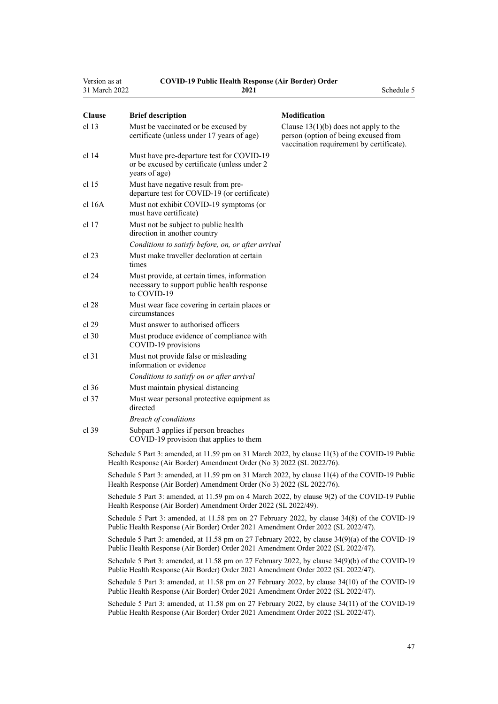| Version as at    | 31 March 2022 | <b>COVID-19 Public Health Response (Air Border) Order</b><br>2021                                                                                                                    | Schedule 5                                                                                                                  |  |
|------------------|---------------|--------------------------------------------------------------------------------------------------------------------------------------------------------------------------------------|-----------------------------------------------------------------------------------------------------------------------------|--|
| <b>Clause</b>    |               | <b>Brief description</b>                                                                                                                                                             | Modification                                                                                                                |  |
| cl <sub>13</sub> |               | Must be vaccinated or be excused by<br>certificate (unless under 17 years of age)                                                                                                    | Clause $13(1)(b)$ does not apply to the<br>person (option of being excused from<br>vaccination requirement by certificate). |  |
| cl 14            |               | Must have pre-departure test for COVID-19<br>or be excused by certificate (unless under 2<br>years of age)                                                                           |                                                                                                                             |  |
| cl 15            |               | Must have negative result from pre-<br>departure test for COVID-19 (or certificate)                                                                                                  |                                                                                                                             |  |
| cl 16A           |               | Must not exhibit COVID-19 symptoms (or<br>must have certificate)                                                                                                                     |                                                                                                                             |  |
| cl 17            |               | Must not be subject to public health<br>direction in another country                                                                                                                 |                                                                                                                             |  |
|                  |               | Conditions to satisfy before, on, or after arrival                                                                                                                                   |                                                                                                                             |  |
| cl 23            |               | Must make traveller declaration at certain<br>times                                                                                                                                  |                                                                                                                             |  |
| cl 24            |               | Must provide, at certain times, information<br>necessary to support public health response<br>to COVID-19                                                                            |                                                                                                                             |  |
| cl 28            |               | Must wear face covering in certain places or<br>circumstances                                                                                                                        |                                                                                                                             |  |
| cl 29            |               | Must answer to authorised officers                                                                                                                                                   |                                                                                                                             |  |
| cl.30            |               | Must produce evidence of compliance with<br>COVID-19 provisions                                                                                                                      |                                                                                                                             |  |
| $cl$ 31          |               | Must not provide false or misleading<br>information or evidence                                                                                                                      |                                                                                                                             |  |
|                  |               | Conditions to satisfy on or after arrival                                                                                                                                            |                                                                                                                             |  |
| cl.36            |               | Must maintain physical distancing                                                                                                                                                    |                                                                                                                             |  |
| $cl$ 37          |               | Must wear personal protective equipment as<br>directed                                                                                                                               |                                                                                                                             |  |
|                  |               | <b>Breach of conditions</b>                                                                                                                                                          |                                                                                                                             |  |
| $cl$ 39          |               | Subpart 3 applies if person breaches<br>COVID-19 provision that applies to them                                                                                                      |                                                                                                                             |  |
|                  |               | Schedule 5 Part 3: amended, at 11.59 pm on 31 March 2022, by clause 11(3) of the COVID-19 Public<br>Health Response (Air Border) Amendment Order (No 3) 2022 (SL 2022/76).           |                                                                                                                             |  |
|                  |               | Schedule 5 Part 3: amended, at 11.59 pm on 31 March 2022, by clause 11(4) of the COVID-19 Public<br>Health Response (Air Border) Amendment Order (No 3) 2022 (SL 2022/76).           |                                                                                                                             |  |
|                  |               | Schedule 5 Part 3: amended, at 11.59 pm on 4 March 2022, by clause 9(2) of the COVID-19 Public<br>Health Response (Air Border) Amendment Order 2022 (SL 2022/49).                    |                                                                                                                             |  |
|                  |               | Schedule 5 Part 3: amended, at 11.58 pm on 27 February 2022, by clause 34(8) of the COVID-19<br>Public Health Response (Air Border) Order 2021 Amendment Order 2022 (SL 2022/47).    |                                                                                                                             |  |
|                  |               | Schedule 5 Part 3: amended, at 11.58 pm on 27 February 2022, by clause 34(9)(a) of the COVID-19<br>Public Health Response (Air Border) Order 2021 Amendment Order 2022 (SL 2022/47). |                                                                                                                             |  |
|                  |               | Schedule 5 Part 3: amended, at 11.58 pm on 27 February 2022, by clause 34(9)(b) of the COVID-19<br>Public Health Response (Air Border) Order 2021 Amendment Order 2022 (SL 2022/47). |                                                                                                                             |  |
|                  |               | Schedule 5 Part 3: amended, at 11.58 pm on 27 February 2022, by clause 34(10) of the COVID-19<br>Public Health Response (Air Border) Order 2021 Amendment Order 2022 (SL 2022/47).   |                                                                                                                             |  |
|                  |               | Schedule 5 Part 3: amended, at 11.58 pm on 27 February 2022, by clause 34(11) of the COVID-19<br>Public Health Response (Air Border) Order 2021 Amendment Order 2022 (SL 2022/47).   |                                                                                                                             |  |
|                  |               |                                                                                                                                                                                      |                                                                                                                             |  |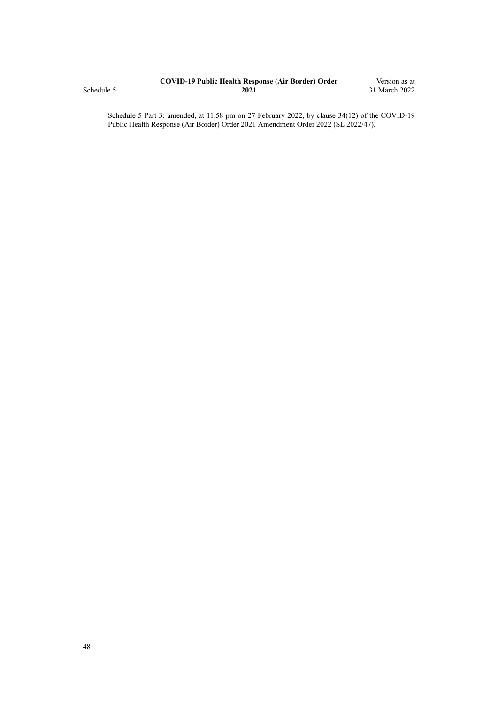|            | <b>COVID-19 Public Health Response (Air Border) Order</b> | Version as at |
|------------|-----------------------------------------------------------|---------------|
| Schedule 5 | 2021                                                      | 31 March 2022 |

Schedule 5 Part 3: amended, at 11.58 pm on 27 February 2022, by [clause 34\(12\)](http://legislation.govt.nz/pdflink.aspx?id=LMS650864) of the COVID-19 Public Health Response (Air Border) Order 2021 Amendment Order 2022 (SL 2022/47).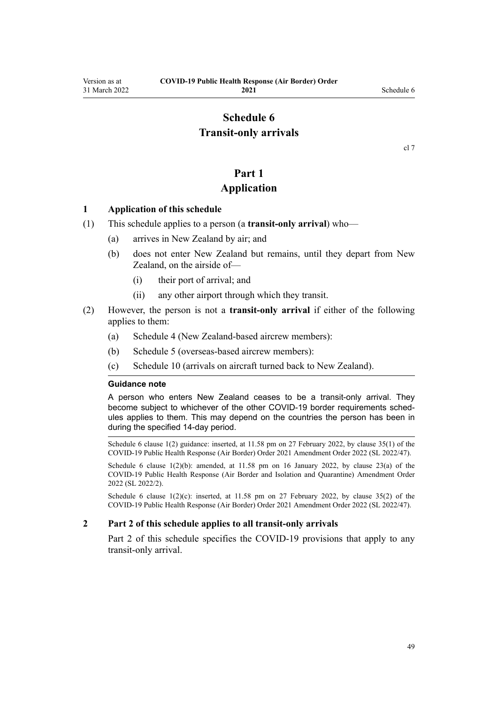# **Schedule 6 Transit-only arrivals**

### **Part 1**

### **Application**

### <span id="page-48-0"></span>**1 Application of this schedule**

- (1) This schedule applies to a person (a **transit-only arrival**) who—
	- (a) arrives in New Zealand by air; and
	- (b) does not enter New Zealand but remains, until they depart from New Zealand, on the airside of—
		- (i) their port of arrival; and
		- (ii) any other airport through which they transit.
- (2) However, the person is not a **transit-only arrival** if either of the following applies to them:
	- (a) [Schedule 4](#page-40-0) (New Zealand-based aircrew members):
	- (b) [Schedule 5](#page-43-0) (overseas-based aircrew members):
	- (c) [Schedule 10](#page-61-0) (arrivals on aircraft turned back to New Zealand).

### **Guidance note**

A person who enters New Zealand ceases to be a transit-only arrival. They become subject to whichever of the other COVID-19 border requirements schedules applies to them. This may depend on the countries the person has been in during the specified 14-day period.

Schedule 6 clause 1(2) guidance: inserted, at 11.58 pm on 27 February 2022, by [clause 35\(1\)](http://legislation.govt.nz/pdflink.aspx?id=LMS650867) of the COVID-19 Public Health Response (Air Border) Order 2021 Amendment Order 2022 (SL 2022/47).

Schedule 6 clause  $1(2)(b)$ : amended, at  $11.58$  pm on 16 January 2022, by [clause 23\(a\)](http://legislation.govt.nz/pdflink.aspx?id=LMS629306) of the COVID-19 Public Health Response (Air Border and Isolation and Quarantine) Amendment Order 2022 (SL 2022/2).

Schedule 6 clause  $1(2)(c)$ : inserted, at 11.58 pm on 27 February 2022, by [clause 35\(2\)](http://legislation.govt.nz/pdflink.aspx?id=LMS650867) of the COVID-19 Public Health Response (Air Border) Order 2021 Amendment Order 2022 (SL 2022/47).

### **2 Part 2 of this schedule applies to all transit-only arrivals**

[Part 2](#page-49-0) of this schedule specifies the COVID-19 provisions that apply to any transit-only arrival.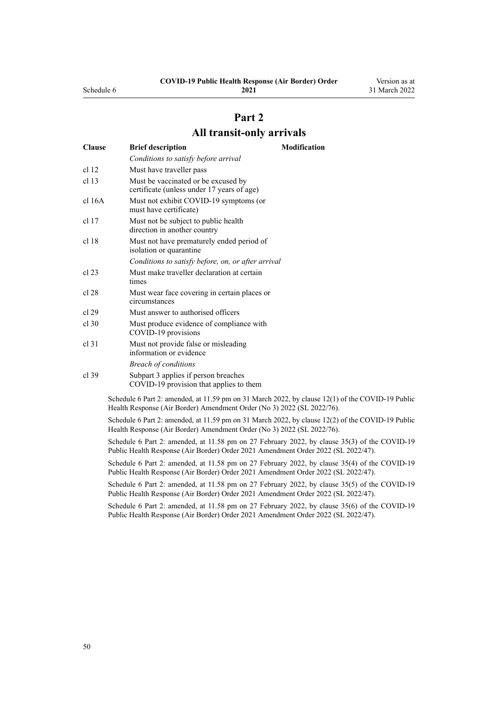**2021**

# **Part 2**

## **All transit-only arrivals**

<span id="page-49-0"></span>

| <b>Clause</b>    | <b>Brief description</b>                                                          | <b>Modification</b> |
|------------------|-----------------------------------------------------------------------------------|---------------------|
|                  | Conditions to satisfy before arrival                                              |                     |
| cl <sub>12</sub> | Must have traveller pass                                                          |                     |
| cl <sub>13</sub> | Must be vaccinated or be excused by<br>certificate (unless under 17 years of age) |                     |
| $cl$ 16A         | Must not exhibit COVID-19 symptoms (or<br>must have certificate)                  |                     |
| $cl$ 17          | Must not be subject to public health<br>direction in another country              |                     |
| cl 18            | Must not have prematurely ended period of<br>isolation or quarantine              |                     |
|                  | Conditions to satisfy before, on, or after arrival                                |                     |
| cl 23            | Must make traveller declaration at certain<br>times                               |                     |
| cl 28            | Must wear face covering in certain places or<br>circumstances                     |                     |
| cl.29            | Must answer to authorised officers                                                |                     |
| $cl$ 30          | Must produce evidence of compliance with<br>COVID-19 provisions                   |                     |
| $cl$ 31          | Must not provide false or misleading<br>information or evidence                   |                     |
|                  | <b>Breach of conditions</b>                                                       |                     |
| $cl$ 39          | Subpart 3 applies if person breaches<br>COVID-19 provision that applies to them   |                     |

Schedule 6 Part 2: amended, at 11.59 pm on 31 March 2022, by [clause 12\(1\)](http://legislation.govt.nz/pdflink.aspx?id=LMS665881) of the COVID-19 Public Health Response (Air Border) Amendment Order (No 3) 2022 (SL 2022/76).

Schedule 6 Part 2: amended, at 11.59 pm on 31 March 2022, by [clause 12\(2\)](http://legislation.govt.nz/pdflink.aspx?id=LMS665881) of the COVID-19 Public Health Response (Air Border) Amendment Order (No 3) 2022 (SL 2022/76).

Schedule 6 Part 2: amended, at 11.58 pm on 27 February 2022, by [clause 35\(3\)](http://legislation.govt.nz/pdflink.aspx?id=LMS650867) of the COVID-19 Public Health Response (Air Border) Order 2021 Amendment Order 2022 (SL 2022/47).

Schedule 6 Part 2: amended, at 11.58 pm on 27 February 2022, by [clause 35\(4\)](http://legislation.govt.nz/pdflink.aspx?id=LMS650867) of the COVID-19 Public Health Response (Air Border) Order 2021 Amendment Order 2022 (SL 2022/47).

Schedule 6 Part 2: amended, at 11.58 pm on 27 February 2022, by [clause 35\(5\)](http://legislation.govt.nz/pdflink.aspx?id=LMS650867) of the COVID-19 Public Health Response (Air Border) Order 2021 Amendment Order 2022 (SL 2022/47).

Schedule 6 Part 2: amended, at 11.58 pm on 27 February 2022, by [clause 35\(6\)](http://legislation.govt.nz/pdflink.aspx?id=LMS650867) of the COVID-19 Public Health Response (Air Border) Order 2021 Amendment Order 2022 (SL 2022/47).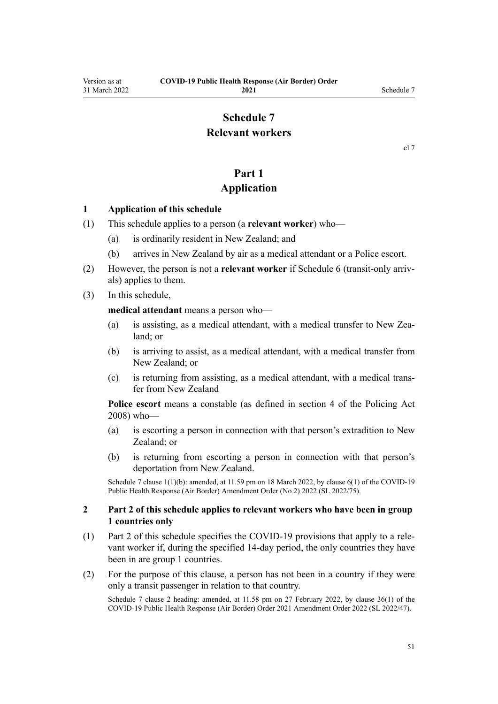# **Schedule 7**

# **Relevant workers**

[cl 7](#page-9-0)

# **Part 1**

## **Application**

### <span id="page-50-0"></span>**1 Application of this schedule**

- (1) This schedule applies to a person (a **relevant worker**) who—
	- (a) is ordinarily resident in New Zealand; and
	- (b) arrives in New Zealand by air as a medical attendant or a Police escort.
- (2) However, the person is not a **relevant worker** if [Schedule 6](#page-48-0) (transit-only arriv‐ als) applies to them.
- (3) In this schedule,

**medical attendant** means a person who—

- (a) is assisting, as a medical attendant, with a medical transfer to New Zealand; or
- (b) is arriving to assist, as a medical attendant, with a medical transfer from New Zealand; or
- (c) is returning from assisting, as a medical attendant, with a medical trans‐ fer from New Zealand

**Police escort** means a constable (as defined in [section 4](http://legislation.govt.nz/pdflink.aspx?id=DLM1102132) of the Policing Act 2008) who—

- (a) is escorting a person in connection with that person's extradition to New Zealand; or
- (b) is returning from escorting a person in connection with that person's deportation from New Zealand.

Schedule 7 clause 1(1)(b): amended, at 11.59 pm on 18 March 2022, by [clause 6\(1\)](http://legislation.govt.nz/pdflink.aspx?id=LMS664430) of the COVID-19 Public Health Response (Air Border) Amendment Order (No 2) 2022 (SL 2022/75).

### **2 Part 2 of this schedule applies to relevant workers who have been in group 1 countries only**

- (1) [Part 2](#page-51-0) of this schedule specifies the COVID-19 provisions that apply to a rele‐ vant worker if, during the specified 14-day period, the only countries they have been in are group 1 countries.
- (2) For the purpose of this clause, a person has not been in a country if they were only a transit passenger in relation to that country.

Schedule 7 clause 2 heading: amended, at 11.58 pm on 27 February 2022, by [clause 36\(1\)](http://legislation.govt.nz/pdflink.aspx?id=LMS650876) of the COVID-19 Public Health Response (Air Border) Order 2021 Amendment Order 2022 (SL 2022/47).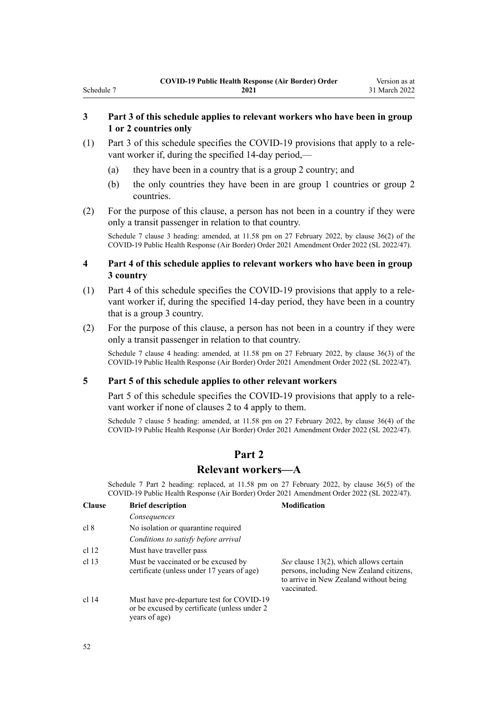### **3 Part 3 of this schedule applies to relevant workers who have been in group 1 or 2 countries only**

- (1) [Part 3](#page-53-0) of this schedule specifies the COVID-19 provisions that apply to a rele‐ vant worker if, during the specified 14-day period,—
	- (a) they have been in a country that is a group 2 country; and
	- (b) the only countries they have been in are group 1 countries or group 2 countries.
- (2) For the purpose of this clause, a person has not been in a country if they were only a transit passenger in relation to that country.

Schedule 7 clause 3 heading: amended, at 11.58 pm on 27 February 2022, by [clause 36\(2\)](http://legislation.govt.nz/pdflink.aspx?id=LMS650876) of the COVID-19 Public Health Response (Air Border) Order 2021 Amendment Order 2022 (SL 2022/47).

### **4 Part 4 of this schedule applies to relevant workers who have been in group 3 country**

- (1) [Part 4](#page-54-0) of this schedule specifies the COVID-19 provisions that apply to a rele‐ vant worker if, during the specified 14-day period, they have been in a country that is a group 3 country.
- (2) For the purpose of this clause, a person has not been in a country if they were only a transit passenger in relation to that country.

Schedule 7 clause 4 heading: amended, at 11.58 pm on 27 February 2022, by [clause 36\(3\)](http://legislation.govt.nz/pdflink.aspx?id=LMS650876) of the COVID-19 Public Health Response (Air Border) Order 2021 Amendment Order 2022 (SL 2022/47).

### **5 Part 5 of this schedule applies to other relevant workers**

[Part 5](#page-55-0) of this schedule specifies the COVID-19 provisions that apply to a relevant worker if none of [clauses 2 to 4](#page-50-0) apply to them.

Schedule 7 clause 5 heading: amended, at 11.58 pm on 27 February 2022, by [clause 36\(4\)](http://legislation.govt.nz/pdflink.aspx?id=LMS650876) of the COVID-19 Public Health Response (Air Border) Order 2021 Amendment Order 2022 (SL 2022/47).

## **Part 2**

### **Relevant workers—A**

Schedule 7 Part 2 heading: replaced, at 11.58 pm on 27 February 2022, by [clause 36\(5\)](http://legislation.govt.nz/pdflink.aspx?id=LMS650876) of the COVID-19 Public Health Response (Air Border) Order 2021 Amendment Order 2022 (SL 2022/47).

| <b>Clause</b>    | <b>Brief description</b>                                                                                    | <b>Modification</b>                                                                                                                         |
|------------------|-------------------------------------------------------------------------------------------------------------|---------------------------------------------------------------------------------------------------------------------------------------------|
|                  | Consequences                                                                                                |                                                                                                                                             |
| cl 8             | No isolation or quarantine required                                                                         |                                                                                                                                             |
|                  | Conditions to satisfy before arrival                                                                        |                                                                                                                                             |
| cl <sub>12</sub> | Must have traveller pass                                                                                    |                                                                                                                                             |
| cl <sub>13</sub> | Must be vaccinated or be excused by<br>certificate (unless under 17 years of age)                           | See clause 13(2), which allows certain<br>persons, including New Zealand citizens,<br>to arrive in New Zealand without being<br>vaccinated. |
| cl <sub>14</sub> | Must have pre-departure test for COVID-19<br>or be excused by certificate (unless under 2)<br>years of age) |                                                                                                                                             |

<span id="page-51-0"></span>Schedule 7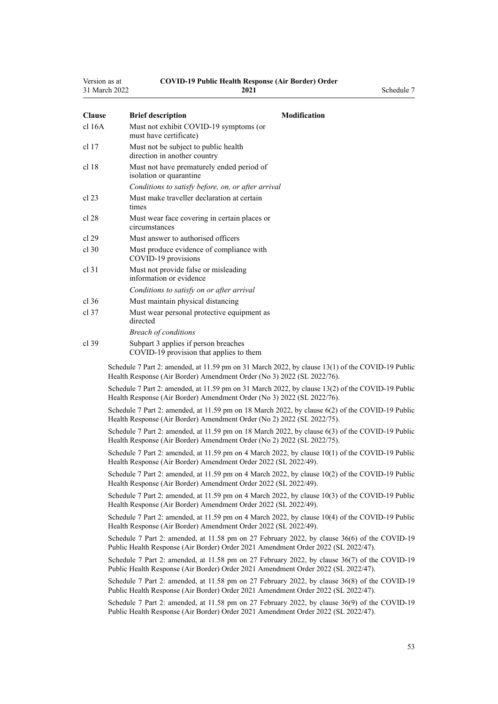| Version as at    | <b>COVID-19 Public Health Response (Air Border) Order</b><br>31 March 2022<br>2021 | Schedule 7                                                                                                     |
|------------------|------------------------------------------------------------------------------------|----------------------------------------------------------------------------------------------------------------|
| <b>Clause</b>    | <b>Brief description</b>                                                           | <b>Modification</b>                                                                                            |
| $cl$ 16 $A$      | Must not exhibit COVID-19 symptoms (or<br>must have certificate)                   |                                                                                                                |
| cl <sub>17</sub> | Must not be subject to public health<br>direction in another country               |                                                                                                                |
| cl <sub>18</sub> | Must not have prematurely ended period of<br>isolation or quarantine               |                                                                                                                |
|                  | Conditions to satisfy before, on, or after arrival                                 |                                                                                                                |
| cl 23            | Must make traveller declaration at certain<br>times                                |                                                                                                                |
| cl 28            | Must wear face covering in certain places or<br>circumstances                      |                                                                                                                |
| cl 29            | Must answer to authorised officers                                                 |                                                                                                                |
| $cl$ 30          | Must produce evidence of compliance with<br>COVID-19 provisions                    |                                                                                                                |
| $cl$ 31          | Must not provide false or misleading<br>information or evidence                    |                                                                                                                |
|                  | Conditions to satisfy on or after arrival                                          |                                                                                                                |
| $cl$ 36          | Must maintain physical distancing                                                  |                                                                                                                |
| $cl$ 37          | Must wear personal protective equipment as<br>directed                             |                                                                                                                |
|                  | <b>Breach of conditions</b>                                                        |                                                                                                                |
| cl 39            | Subpart 3 applies if person breaches<br>COVID-19 provision that applies to them    |                                                                                                                |
|                  | Health Response (Air Border) Amendment Order (No 3) 2022 (SL 2022/76).             | Schedule 7 Part 2: amended, at 11.59 pm on 31 March 2022, by clause 13(1) of the COVID-19 Public               |
|                  | Health Response (Air Border) Amendment Order (No 3) 2022 (SL 2022/76).             | Schedule 7 Part 2: amended, at 11.59 pm on 31 March 2022, by clause 13(2) of the COVID-19 Public               |
|                  | Health Response (Air Border) Amendment Order (No 2) 2022 (SL 2022/75).             | Schedule 7 Part 2: amended, at 11.59 pm on 18 March 2022, by clause 6(2) of the COVID-19 Public                |
|                  | Health Response (Air Border) Amendment Order (No 2) 2022 (SL 2022/75).             | Schedule 7 Part 2: amended, at 11.59 pm on 18 March 2022, by clause 6(3) of the COVID-19 Public                |
|                  | Health Response (Air Border) Amendment Order 2022 (SL 2022/49).                    | Schedule 7 Part 2: amended, at 11.59 pm on 4 March 2022, by clause 10(1) of the COVID-19 Public                |
|                  | Health Response (Air Border) Amendment Order 2022 (SL 2022/49).                    | Schedule 7 Part 2: amended, at 11.59 pm on 4 March 2022, by clause 10(2) of the COVID-19 Public                |
|                  | Health Response (Air Border) Amendment Order 2022 (SL 2022/49).                    | Schedule 7 Part 2: amended, at 11.59 pm on 4 March 2022, by clause 10(3) of the COVID-19 Public                |
|                  |                                                                                    | $6 - 1$ , dr. 1, 7 Deed 2, covered at 11.50 nm on 4 March 2022, lay classes $10(4)$ , $64 - 60$ MD $10$ Bablic |

Schedule 7 Part 2: amended, at 11.59 pm on 4 March 2022, by [clause 10\(4\)](http://legislation.govt.nz/pdflink.aspx?id=LMS653792) of the COVID-19 Public Health Response (Air Border) Amendment Order 2022 (SL 2022/49).

Schedule 7 Part 2: amended, at 11.58 pm on 27 February 2022, by [clause 36\(6\)](http://legislation.govt.nz/pdflink.aspx?id=LMS650876) of the COVID-19 Public Health Response (Air Border) Order 2021 Amendment Order 2022 (SL 2022/47).

Schedule 7 Part 2: amended, at 11.58 pm on 27 February 2022, by [clause 36\(7\)](http://legislation.govt.nz/pdflink.aspx?id=LMS650876) of the COVID-19 Public Health Response (Air Border) Order 2021 Amendment Order 2022 (SL 2022/47).

Schedule 7 Part 2: amended, at 11.58 pm on 27 February 2022, by [clause 36\(8\)](http://legislation.govt.nz/pdflink.aspx?id=LMS650876) of the COVID-19 Public Health Response (Air Border) Order 2021 Amendment Order 2022 (SL 2022/47).

Schedule 7 Part 2: amended, at 11.58 pm on 27 February 2022, by [clause 36\(9\)](http://legislation.govt.nz/pdflink.aspx?id=LMS650876) of the COVID-19 Public Health Response (Air Border) Order 2021 Amendment Order 2022 (SL 2022/47).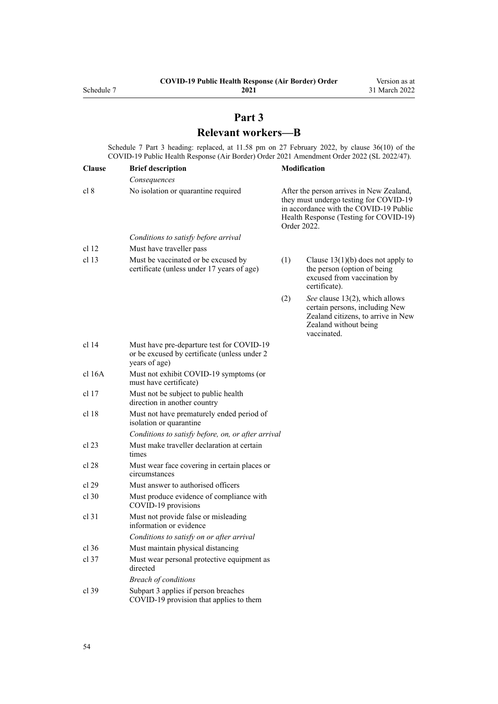# **Part 3 Relevant workers—B**

<span id="page-53-0"></span>Schedule 7 Part 3 heading: replaced, at 11.58 pm on 27 February 2022, by [clause 36\(10\)](http://legislation.govt.nz/pdflink.aspx?id=LMS650876) of the COVID-19 Public Health Response (Air Border) Order 2021 Amendment Order 2022 (SL 2022/47).

| <b>Clause</b>    | <b>Brief description</b>                                                                                   |     | Modification                                                                                                                                                                          |
|------------------|------------------------------------------------------------------------------------------------------------|-----|---------------------------------------------------------------------------------------------------------------------------------------------------------------------------------------|
|                  | Consequences                                                                                               |     |                                                                                                                                                                                       |
| cl 8             | No isolation or quarantine required                                                                        |     | After the person arrives in New Zealand,<br>they must undergo testing for COVID-19<br>in accordance with the COVID-19 Public<br>Health Response (Testing for COVID-19)<br>Order 2022. |
|                  | Conditions to satisfy before arrival                                                                       |     |                                                                                                                                                                                       |
| cl <sub>12</sub> | Must have traveller pass                                                                                   |     |                                                                                                                                                                                       |
| cl <sub>13</sub> | Must be vaccinated or be excused by<br>certificate (unless under 17 years of age)                          | (1) | Clause $13(1)(b)$ does not apply to<br>the person (option of being<br>excused from vaccination by<br>certificate).                                                                    |
|                  |                                                                                                            | (2) | See clause 13(2), which allows<br>certain persons, including New<br>Zealand citizens, to arrive in New<br>Zealand without being<br>vaccinated.                                        |
| $cl$ 14          | Must have pre-departure test for COVID-19<br>or be excused by certificate (unless under 2<br>years of age) |     |                                                                                                                                                                                       |
| cl 16A           | Must not exhibit COVID-19 symptoms (or<br>must have certificate)                                           |     |                                                                                                                                                                                       |
| cl 17            | Must not be subject to public health<br>direction in another country                                       |     |                                                                                                                                                                                       |
| cl <sub>18</sub> | Must not have prematurely ended period of<br>isolation or quarantine                                       |     |                                                                                                                                                                                       |
|                  | Conditions to satisfy before, on, or after arrival                                                         |     |                                                                                                                                                                                       |
| $cl$ 23          | Must make traveller declaration at certain<br>times                                                        |     |                                                                                                                                                                                       |
| cl 28            | Must wear face covering in certain places or<br>circumstances                                              |     |                                                                                                                                                                                       |
| cl 29            | Must answer to authorised officers                                                                         |     |                                                                                                                                                                                       |
| $cl$ 30          | Must produce evidence of compliance with<br>COVID-19 provisions                                            |     |                                                                                                                                                                                       |
| $cl$ 31          | Must not provide false or misleading<br>information or evidence                                            |     |                                                                                                                                                                                       |
|                  | Conditions to satisfy on or after arrival                                                                  |     |                                                                                                                                                                                       |
| $cl$ 36          | Must maintain physical distancing                                                                          |     |                                                                                                                                                                                       |
| $cl$ 37          | Must wear personal protective equipment as<br>directed                                                     |     |                                                                                                                                                                                       |
|                  | <b>Breach of conditions</b>                                                                                |     |                                                                                                                                                                                       |
| cl 39            | Subpart 3 applies if person breaches<br>COVID-19 provision that applies to them                            |     |                                                                                                                                                                                       |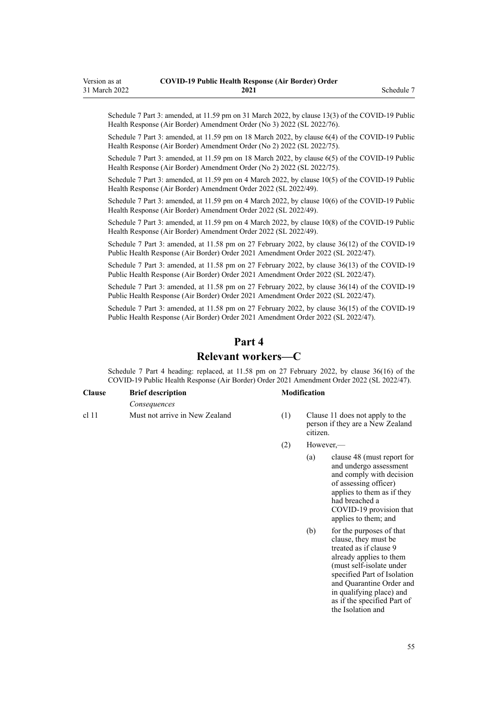<span id="page-54-0"></span>Schedule 7 Part 3: amended, at 11.59 pm on 31 March 2022, by [clause 13\(3\)](http://legislation.govt.nz/pdflink.aspx?id=LMS665887) of the COVID-19 Public Health Response (Air Border) Amendment Order (No 3) 2022 (SL 2022/76).

Schedule 7 Part 3: amended, at 11.59 pm on 18 March 2022, by [clause 6\(4\)](http://legislation.govt.nz/pdflink.aspx?id=LMS664430) of the COVID-19 Public Health Response (Air Border) Amendment Order (No 2) 2022 (SL 2022/75).

Schedule 7 Part 3: amended, at 11.59 pm on 18 March 2022, by [clause 6\(5\)](http://legislation.govt.nz/pdflink.aspx?id=LMS664430) of the COVID-19 Public Health Response (Air Border) Amendment Order (No 2) 2022 (SL 2022/75).

Schedule 7 Part 3: amended, at 11.59 pm on 4 March 2022, by [clause 10\(5\)](http://legislation.govt.nz/pdflink.aspx?id=LMS653792) of the COVID-19 Public Health Response (Air Border) Amendment Order 2022 (SL 2022/49).

Schedule 7 Part 3: amended, at 11.59 pm on 4 March 2022, by [clause 10\(6\)](http://legislation.govt.nz/pdflink.aspx?id=LMS653792) of the COVID-19 Public Health Response (Air Border) Amendment Order 2022 (SL 2022/49).

Schedule 7 Part 3: amended, at 11.59 pm on 4 March 2022, by [clause 10\(8\)](http://legislation.govt.nz/pdflink.aspx?id=LMS653792) of the COVID-19 Public Health Response (Air Border) Amendment Order 2022 (SL 2022/49).

Schedule 7 Part 3: amended, at 11.58 pm on 27 February 2022, by [clause 36\(12\)](http://legislation.govt.nz/pdflink.aspx?id=LMS650876) of the COVID-19 Public Health Response (Air Border) Order 2021 Amendment Order 2022 (SL 2022/47).

Schedule 7 Part 3: amended, at 11.58 pm on 27 February 2022, by [clause 36\(13\)](http://legislation.govt.nz/pdflink.aspx?id=LMS650876) of the COVID-19 Public Health Response (Air Border) Order 2021 Amendment Order 2022 (SL 2022/47).

Schedule 7 Part 3: amended, at 11.58 pm on 27 February 2022, by [clause 36\(14\)](http://legislation.govt.nz/pdflink.aspx?id=LMS650876) of the COVID-19 Public Health Response (Air Border) Order 2021 Amendment Order 2022 (SL 2022/47).

Schedule 7 Part 3: amended, at 11.58 pm on 27 February 2022, by [clause 36\(15\)](http://legislation.govt.nz/pdflink.aspx?id=LMS650876) of the COVID-19 Public Health Response (Air Border) Order 2021 Amendment Order 2022 (SL 2022/47).

### **Part 4**

### **Relevant workers—C**

Schedule 7 Part 4 heading: replaced, at 11.58 pm on 27 February 2022, by [clause 36\(16\)](http://legislation.govt.nz/pdflink.aspx?id=LMS650876) of the COVID-19 Public Health Response (Air Border) Order 2021 Amendment Order 2022 (SL 2022/47).

### **Clause Brief description Modification**

[cl 11](#page-12-0) Must not arrive in New Zealand (1) [Clause 11](#page-12-0) does not apply to the

*Consequences*

- person if they are a New Zealand citizen.
- (2) However,—
	- (a) [clause 48](#page-26-0) (must report for and undergo assessment and comply with decision of assessing officer) applies to them as if they had breached a COVID-19 provision that applies to them; and
	- (b) for the purposes of that clause, they must be treated as if [clause 9](#page-11-0) already applies to them (must self-isolate under specified Part of Isolation and Quarantine Order and in qualifying place) and as if the specified Part of the Isolation and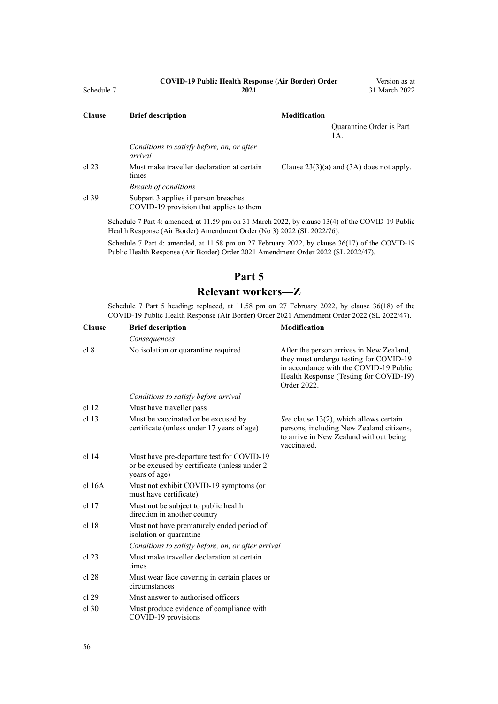<span id="page-55-0"></span>

| Schedule 7    | <b>COVID-19 Public Health Response (Air Border) Order</b><br>2021                                |                                              | Version as at<br>31 March 2022 |  |
|---------------|--------------------------------------------------------------------------------------------------|----------------------------------------------|--------------------------------|--|
| <b>Clause</b> | <b>Modification</b><br><b>Brief description</b>                                                  |                                              |                                |  |
|               |                                                                                                  | 1A.                                          | Quarantine Order is Part       |  |
|               | Conditions to satisfy before, on, or after<br>arrival                                            |                                              |                                |  |
| cl 23         | Must make traveller declaration at certain<br>times                                              | Clause $23(3)(a)$ and $(3A)$ does not apply. |                                |  |
|               | <b>Breach of conditions</b>                                                                      |                                              |                                |  |
| cl.39         | Subpart 3 applies if person breaches<br>COVID-19 provision that applies to them                  |                                              |                                |  |
|               | Schedule 7 Part 4: amended at 11.50 pm on 31 March 2022, by clause $13/4$ of the COVID-10 Public |                                              |                                |  |

Schedule 7 Part 4: amended, at 11.59 pm on 31 March 2022, by [clause 13\(4\)](http://legislation.govt.nz/pdflink.aspx?id=LMS665887) of the COVID-19 Public Health Response (Air Border) Amendment Order (No 3) 2022 (SL 2022/76).

Schedule 7 Part 4: amended, at 11.58 pm on 27 February 2022, by [clause 36\(17\)](http://legislation.govt.nz/pdflink.aspx?id=LMS650876) of the COVID-19 Public Health Response (Air Border) Order 2021 Amendment Order 2022 (SL 2022/47).

# **Part 5**

# **Relevant workers—Z**

Schedule 7 Part 5 heading: replaced, at 11.58 pm on 27 February 2022, by [clause 36\(18\)](http://legislation.govt.nz/pdflink.aspx?id=LMS650876) of the COVID-19 Public Health Response (Air Border) Order 2021 Amendment Order 2022 (SL 2022/47).

| <b>Clause</b>    | <b>Brief description</b>                                                                                    | <b>Modification</b>                                                                                                                                                                   |
|------------------|-------------------------------------------------------------------------------------------------------------|---------------------------------------------------------------------------------------------------------------------------------------------------------------------------------------|
|                  | Consequences                                                                                                |                                                                                                                                                                                       |
| cl 8             | No isolation or quarantine required                                                                         | After the person arrives in New Zealand,<br>they must undergo testing for COVID-19<br>in accordance with the COVID-19 Public<br>Health Response (Testing for COVID-19)<br>Order 2022. |
|                  | Conditions to satisfy before arrival                                                                        |                                                                                                                                                                                       |
| cl <sub>12</sub> | Must have traveller pass                                                                                    |                                                                                                                                                                                       |
| cl <sub>13</sub> | Must be vaccinated or be excused by<br>certificate (unless under 17 years of age)                           | See clause 13(2), which allows certain<br>persons, including New Zealand citizens,<br>to arrive in New Zealand without being<br>vaccinated.                                           |
| cl <sub>14</sub> | Must have pre-departure test for COVID-19<br>or be excused by certificate (unless under 2)<br>years of age) |                                                                                                                                                                                       |
| cl 16A           | Must not exhibit COVID-19 symptoms (or<br>must have certificate)                                            |                                                                                                                                                                                       |
| cl 17            | Must not be subject to public health<br>direction in another country                                        |                                                                                                                                                                                       |
| cl 18            | Must not have prematurely ended period of<br>isolation or quarantine                                        |                                                                                                                                                                                       |
|                  | Conditions to satisfy before, on, or after arrival                                                          |                                                                                                                                                                                       |
| cl 23            | Must make traveller declaration at certain<br>times                                                         |                                                                                                                                                                                       |
| cl 28            | Must wear face covering in certain places or<br>circumstances                                               |                                                                                                                                                                                       |
| cl 29            | Must answer to authorised officers                                                                          |                                                                                                                                                                                       |
| $cl$ 30          | Must produce evidence of compliance with<br>COVID-19 provisions                                             |                                                                                                                                                                                       |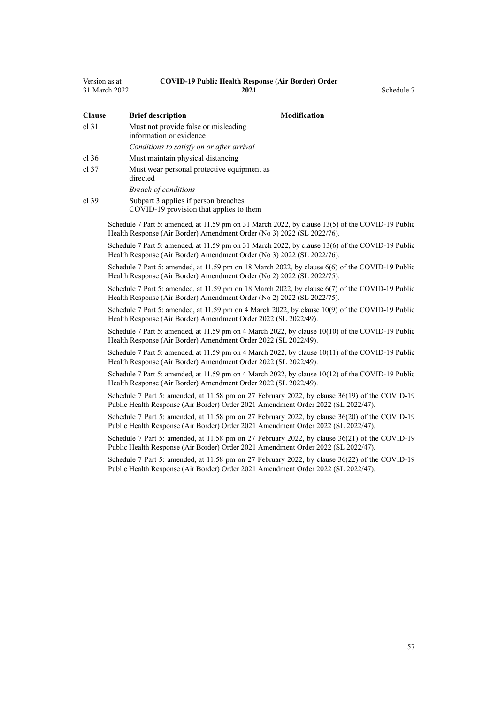| Version as at<br>31 March 2022 |  | <b>COVID-19 Public Health Response (Air Border) Order</b><br>2021               |                                                                                                                                                                                    | Schedule 7 |
|--------------------------------|--|---------------------------------------------------------------------------------|------------------------------------------------------------------------------------------------------------------------------------------------------------------------------------|------------|
| <b>Clause</b>                  |  | <b>Brief description</b>                                                        | <b>Modification</b>                                                                                                                                                                |            |
| $cl$ 31                        |  | Must not provide false or misleading<br>information or evidence                 |                                                                                                                                                                                    |            |
|                                |  | Conditions to satisfy on or after arrival                                       |                                                                                                                                                                                    |            |
| cl.36                          |  | Must maintain physical distancing                                               |                                                                                                                                                                                    |            |
| cl.37                          |  | Must wear personal protective equipment as<br>directed                          |                                                                                                                                                                                    |            |
|                                |  | <b>Breach of conditions</b>                                                     |                                                                                                                                                                                    |            |
| cl.39                          |  | Subpart 3 applies if person breaches<br>COVID-19 provision that applies to them |                                                                                                                                                                                    |            |
|                                |  |                                                                                 | Schedule 7 Part 5: amended, at 11.59 pm on 31 March 2022, by clause 13(5) of the COVID-19 Public<br>Health Response (Air Border) Amendment Order (No 3) 2022 (SL 2022/76).         |            |
|                                |  |                                                                                 | Schedule 7 Part 5: amended, at 11.59 pm on 31 March 2022, by clause 13(6) of the COVID-19 Public<br>Health Response (Air Border) Amendment Order (No 3) 2022 (SL 2022/76).         |            |
|                                |  |                                                                                 | Schedule 7 Part 5: amended, at 11.59 pm on 18 March 2022, by clause 6(6) of the COVID-19 Public<br>Health Response (Air Border) Amendment Order (No 2) 2022 (SL 2022/75).          |            |
|                                |  |                                                                                 | Schedule 7 Part 5: amended, at 11.59 pm on 18 March 2022, by clause 6(7) of the COVID-19 Public<br>Health Response (Air Border) Amendment Order (No 2) 2022 (SL 2022/75).          |            |
|                                |  | Health Response (Air Border) Amendment Order 2022 (SL 2022/49).                 | Schedule 7 Part 5: amended, at 11.59 pm on 4 March 2022, by clause 10(9) of the COVID-19 Public                                                                                    |            |
|                                |  | Health Response (Air Border) Amendment Order 2022 (SL 2022/49).                 | Schedule 7 Part 5: amended, at 11.59 pm on 4 March 2022, by clause 10(10) of the COVID-19 Public                                                                                   |            |
|                                |  | Health Response (Air Border) Amendment Order 2022 (SL 2022/49).                 | Schedule 7 Part 5: amended, at 11.59 pm on 4 March 2022, by clause 10(11) of the COVID-19 Public                                                                                   |            |
|                                |  | Health Response (Air Border) Amendment Order 2022 (SL 2022/49).                 | Schedule 7 Part 5: amended, at 11.59 pm on 4 March 2022, by clause 10(12) of the COVID-19 Public                                                                                   |            |
|                                |  |                                                                                 | Schedule 7 Part 5: amended, at 11.58 pm on 27 February 2022, by clause 36(19) of the COVID-19<br>Public Health Response (Air Border) Order 2021 Amendment Order 2022 (SL 2022/47). |            |
|                                |  |                                                                                 | Schedule 7 Part 5: amended, at 11.58 pm on 27 February 2022, by clause 36(20) of the COVID-19<br>Public Health Response (Air Border) Order 2021 Amendment Order 2022 (SL 2022/47). |            |
|                                |  |                                                                                 | Schedule 7 Part 5: amended, at 11.58 pm on 27 February 2022, by clause 36(21) of the COVID-19<br>Public Health Response (Air Border) Order 2021 Amendment Order 2022 (SL 2022/47). |            |
|                                |  |                                                                                 | Schedule 7 Part 5: amended, at 11.58 pm on 27 February 2022, by clause 36(22) of the COVID-19<br>Public Health Response (Air Border) Order 2021 Amendment Order 2022 (SL 2022/47). |            |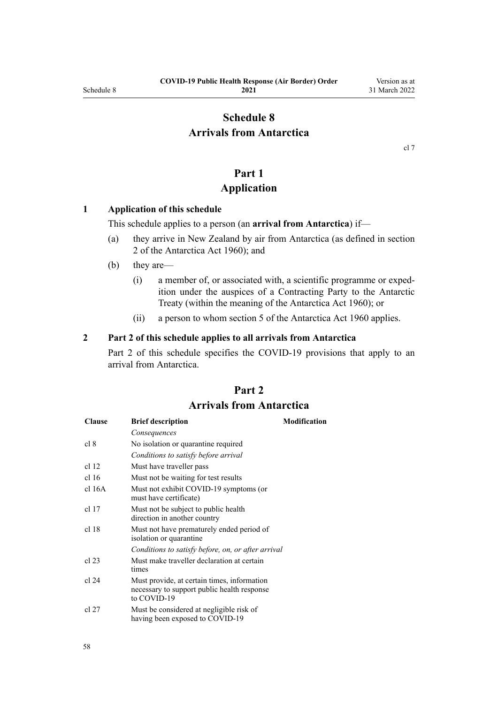# <span id="page-57-0"></span>**Schedule 8 Arrivals from Antarctica**

[cl 7](#page-9-0)

# **Part 1**

## **Application**

### **1 Application of this schedule**

This schedule applies to a person (an **arrival from Antarctica**) if—

- (a) they arrive in New Zealand by air from Antarctica (as defined in [section](http://legislation.govt.nz/pdflink.aspx?id=DLM325200) [2](http://legislation.govt.nz/pdflink.aspx?id=DLM325200) of the Antarctica Act 1960); and
- (b) they are—
	- (i) a member of, or associated with, a scientific programme or exped‐ ition under the auspices of a Contracting Party to the Antarctic Treaty (within the meaning of the [Antarctica Act 1960\)](http://legislation.govt.nz/pdflink.aspx?id=DLM325093); or
	- (ii) a person to whom [section 5](http://legislation.govt.nz/pdflink.aspx?id=DLM325218) of the Antarctica Act 1960 applies.

### **2 Part 2 of this schedule applies to all arrivals from Antarctica**

Part 2 of this schedule specifies the COVID-19 provisions that apply to an arrival from Antarctica.

# **Part 2 Arrivals from Antarctica**

| <b>Clause</b>    | <b>Brief description</b>                                                                                  | <b>Modification</b> |
|------------------|-----------------------------------------------------------------------------------------------------------|---------------------|
|                  | Consequences                                                                                              |                     |
| cl 8             | No isolation or quarantine required                                                                       |                     |
|                  | Conditions to satisfy before arrival                                                                      |                     |
| cl <sub>12</sub> | Must have traveller pass                                                                                  |                     |
| cl <sub>16</sub> | Must not be waiting for test results                                                                      |                     |
| cl 16A           | Must not exhibit COVID-19 symptoms (or<br>must have certificate)                                          |                     |
| cl 17            | Must not be subject to public health.<br>direction in another country                                     |                     |
| cl 18            | Must not have prematurely ended period of<br>isolation or quarantine                                      |                     |
|                  | Conditions to satisfy before, on, or after arrival                                                        |                     |
| cl 23            | Must make traveller declaration at certain<br>times                                                       |                     |
| cl 24            | Must provide, at certain times, information<br>necessary to support public health response<br>to COVID-19 |                     |
| cl 27            | Must be considered at negligible risk of<br>having been exposed to COVID-19                               |                     |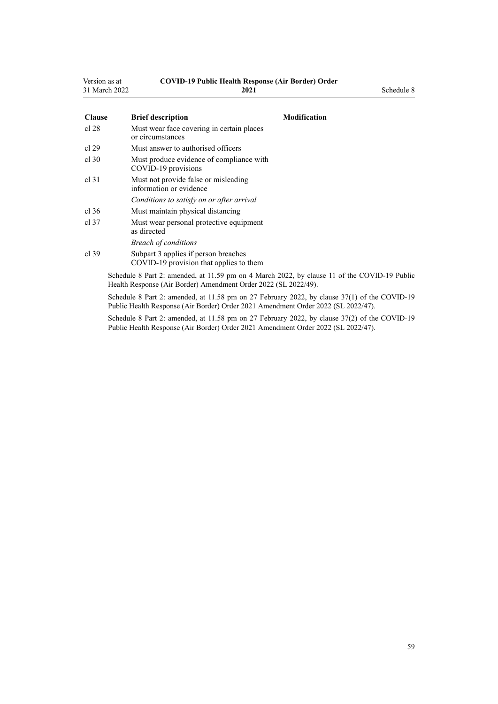| Version as at | <b>COVID-19 Public Health Response (Air Border) Order</b> |            |
|---------------|-----------------------------------------------------------|------------|
| 31 March 2022 | 2021                                                      | Schedule 8 |

| <b>Clause</b>    | <b>Brief description</b><br><b>Modification</b>                                                                                                                 |
|------------------|-----------------------------------------------------------------------------------------------------------------------------------------------------------------|
| cl 28            | Must wear face covering in certain places<br>or circumstances                                                                                                   |
| cl 29            | Must answer to authorised officers                                                                                                                              |
| cl.30            | Must produce evidence of compliance with<br>COVID-19 provisions                                                                                                 |
| cl <sub>31</sub> | Must not provide false or misleading<br>information or evidence                                                                                                 |
|                  | Conditions to satisfy on or after arrival                                                                                                                       |
| cl.36            | Must maintain physical distancing                                                                                                                               |
| cl.37            | Must wear personal protective equipment<br>as directed                                                                                                          |
|                  | <b>Breach of conditions</b>                                                                                                                                     |
| $cl$ 39          | Subpart 3 applies if person breaches<br>COVID-19 provision that applies to them                                                                                 |
|                  | Schedule 8 Part 2: amended, at 11.59 pm on 4 March 2022, by clause 11 of the COVID-19 Public<br>Health Response (Air Border) Amendment Order 2022 (SL 2022/49). |

Schedule 8 Part 2: amended, at 11.58 pm on 27 February 2022, by [clause 37\(1\)](http://legislation.govt.nz/pdflink.aspx?id=LMS650878) of the COVID-19 Public Health Response (Air Border) Order 2021 Amendment Order 2022 (SL 2022/47).

Schedule 8 Part 2: amended, at 11.58 pm on 27 February 2022, by [clause 37\(2\)](http://legislation.govt.nz/pdflink.aspx?id=LMS650878) of the COVID-19 Public Health Response (Air Border) Order 2021 Amendment Order 2022 (SL 2022/47).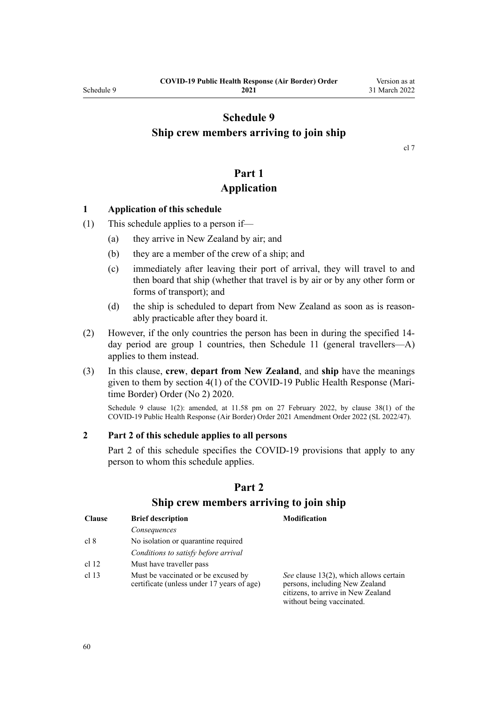# <span id="page-59-0"></span>**Schedule 9 Ship crew members arriving to join ship**

[cl 7](#page-9-0)

# **Part 1 Application**

### **1 Application of this schedule**

- (1) This schedule applies to a person if—
	- (a) they arrive in New Zealand by air; and
	- (b) they are a member of the crew of a ship; and
	- (c) immediately after leaving their port of arrival, they will travel to and then board that ship (whether that travel is by air or by any other form or forms of transport); and
	- (d) the ship is scheduled to depart from New Zealand as soon as is reasonably practicable after they board it.
- (2) However, if the only countries the person has been in during the specified 14 day period are group 1 countries, then [Schedule 11](#page-63-0) (general travellers—A) applies to them instead.
- (3) In this clause, **crew**, **depart from New Zealand**, and **ship** have the meanings given to them by [section 4\(1\)](http://legislation.govt.nz/pdflink.aspx?id=LMS403543) of the COVID-19 Public Health Response (Mari‐ time Border) Order (No 2) 2020.

Schedule 9 clause 1(2): amended, at 11.58 pm on 27 February 2022, by [clause 38\(1\)](http://legislation.govt.nz/pdflink.aspx?id=LMS650881) of the COVID-19 Public Health Response (Air Border) Order 2021 Amendment Order 2022 (SL 2022/47).

### **2 Part 2 of this schedule applies to all persons**

Part 2 of this schedule specifies the COVID-19 provisions that apply to any person to whom this schedule applies.

| <b>Clause</b>    | <b>Brief description</b>                                                          | <b>Modification</b>                                                                                                                         |
|------------------|-----------------------------------------------------------------------------------|---------------------------------------------------------------------------------------------------------------------------------------------|
|                  | Consequences                                                                      |                                                                                                                                             |
| cl 8             | No isolation or quarantine required                                               |                                                                                                                                             |
|                  | Conditions to satisfy before arrival                                              |                                                                                                                                             |
| cl 12            | Must have traveller pass                                                          |                                                                                                                                             |
| cl <sub>13</sub> | Must be vaccinated or be excused by<br>certificate (unless under 17 years of age) | See clause 13(2), which allows certain<br>persons, including New Zealand<br>citizens, to arrive in New Zealand<br>without being vaccinated. |

### **Part 2**

### **Ship crew members arriving to join ship**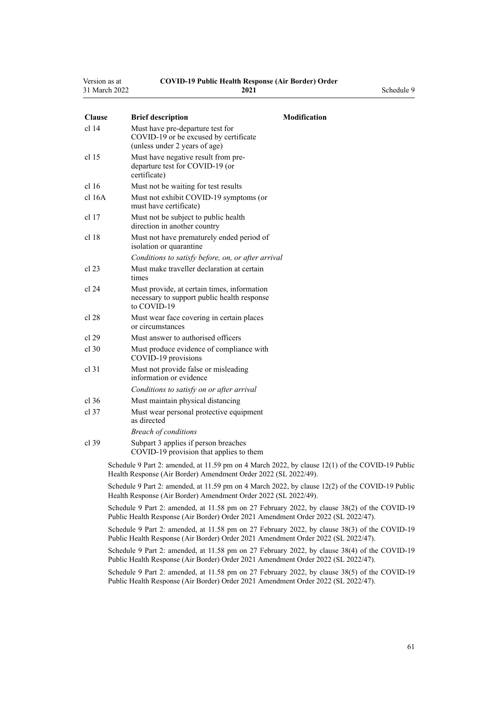| Version as at | <b>COVID-19 Public Health Response (Air Border) Order</b> |
|---------------|-----------------------------------------------------------|
| 31 March 2022 | 2021                                                      |

| i as at | COVID-19 I ADIIC HEARTH RESPONSE (A |
|---------|-------------------------------------|
| ch 2022 | 2021                                |
|         |                                     |

**2021** Schedule 9

| <b>Clause</b>    | <b>Brief description</b>                                                                                                                                                          | Modification |
|------------------|-----------------------------------------------------------------------------------------------------------------------------------------------------------------------------------|--------------|
| cl 14            | Must have pre-departure test for<br>COVID-19 or be excused by certificate<br>(unless under 2 years of age)                                                                        |              |
| cl <sub>15</sub> | Must have negative result from pre-<br>departure test for COVID-19 (or<br>certificate)                                                                                            |              |
| cl <sub>16</sub> | Must not be waiting for test results                                                                                                                                              |              |
| cl 16A           | Must not exhibit COVID-19 symptoms (or<br>must have certificate)                                                                                                                  |              |
| $cl$ 17          | Must not be subject to public health.<br>direction in another country                                                                                                             |              |
| cl <sub>18</sub> | Must not have prematurely ended period of<br>isolation or quarantine                                                                                                              |              |
|                  | Conditions to satisfy before, on, or after arrival                                                                                                                                |              |
| $cl$ 23          | Must make traveller declaration at certain<br>times                                                                                                                               |              |
| cl 24            | Must provide, at certain times, information<br>necessary to support public health response<br>to COVID-19                                                                         |              |
| cl 28            | Must wear face covering in certain places<br>or circumstances                                                                                                                     |              |
| cl 29            | Must answer to authorised officers                                                                                                                                                |              |
| $cl$ 30          | Must produce evidence of compliance with<br>COVID-19 provisions                                                                                                                   |              |
| $cl$ 31          | Must not provide false or misleading<br>information or evidence                                                                                                                   |              |
|                  | Conditions to satisfy on or after arrival                                                                                                                                         |              |
| $cl$ 36          | Must maintain physical distancing                                                                                                                                                 |              |
| cl.37            | Must wear personal protective equipment<br>as directed                                                                                                                            |              |
|                  | <b>Breach of conditions</b>                                                                                                                                                       |              |
| $cl$ 39          | Subpart 3 applies if person breaches<br>COVID-19 provision that applies to them                                                                                                   |              |
|                  | Schedule 9 Part 2: amended, at 11.59 pm on 4 March 2022, by clause 12(1) of the COVID-19 Public<br>Health Response (Air Border) Amendment Order 2022 (SL 2022/49).                |              |
|                  | Schedule 9 Part 2: amended, at 11.59 pm on 4 March 2022, by clause 12(2) of the COVID-19 Public<br>Health Response (Air Border) Amendment Order 2022 (SL 2022/49).                |              |
|                  | Schedule 9 Part 2: amended, at 11.58 pm on 27 February 2022, by clause 38(2) of the COVID-19<br>Public Health Response (Air Border) Order 2021 Amendment Order 2022 (SL 2022/47). |              |
|                  | Schedule 9 Part 2: amended, at 11.58 pm on 27 February 2022, by clause 38(3) of the COVID-19<br>Public Health Response (Air Border) Order 2021 Amendment Order 2022 (SL 2022/47). |              |
|                  |                                                                                                                                                                                   |              |

Schedule 9 Part 2: amended, at 11.58 pm on 27 February 2022, by [clause 38\(4\)](http://legislation.govt.nz/pdflink.aspx?id=LMS650881) of the COVID-19 Public Health Response (Air Border) Order 2021 Amendment Order 2022 (SL 2022/47).

Schedule 9 Part 2: amended, at 11.58 pm on 27 February 2022, by [clause 38\(5\)](http://legislation.govt.nz/pdflink.aspx?id=LMS650881) of the COVID-19 Public Health Response (Air Border) Order 2021 Amendment Order 2022 (SL 2022/47).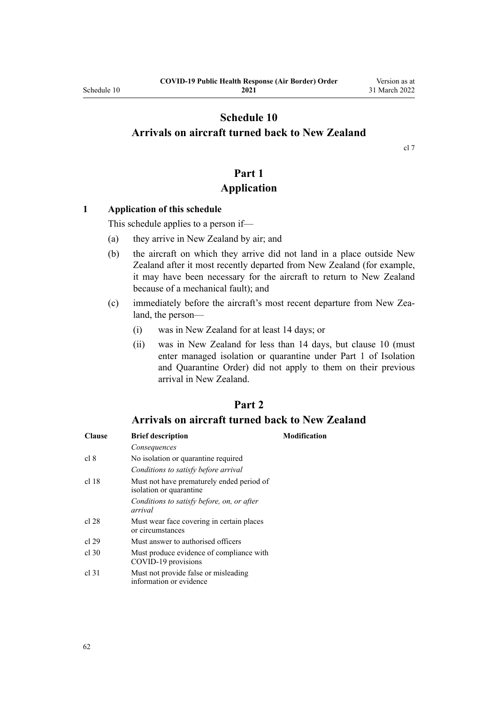# <span id="page-61-0"></span>**Schedule 10 Arrivals on aircraft turned back to New Zealand**

[cl 7](#page-9-0)

# **Part 1 Application**

### **1 Application of this schedule**

This schedule applies to a person if—

- (a) they arrive in New Zealand by air; and
- (b) the aircraft on which they arrive did not land in a place outside New Zealand after it most recently departed from New Zealand (for example, it may have been necessary for the aircraft to return to New Zealand because of a mechanical fault); and
- (c) immediately before the aircraft's most recent departure from New Zea‐ land, the person—
	- (i) was in New Zealand for at least 14 days; or
	- (ii) was in New Zealand for less than 14 days, but [clause 10](#page-12-0) (must enter managed isolation or quarantine under [Part 1](http://legislation.govt.nz/pdflink.aspx?id=LMS401726) of Isolation and Quarantine Order) did not apply to them on their previous arrival in New Zealand.

## **Part 2**

## **Arrivals on aircraft turned back to New Zealand**

| <b>Clause</b> | <b>Brief description</b>                                             | Modification |
|---------------|----------------------------------------------------------------------|--------------|
|               | Consequences                                                         |              |
| cl 8          | No isolation or quarantine required                                  |              |
|               | Conditions to satisfy before arrival                                 |              |
| cl 18         | Must not have prematurely ended period of<br>isolation or quarantine |              |
|               | Conditions to satisfy before, on, or after<br>arrival                |              |
| cl 28         | Must wear face covering in certain places<br>or circumstances        |              |
| cl 29         | Must answer to authorised officers                                   |              |
| $cl$ 30       | Must produce evidence of compliance with<br>COVID-19 provisions      |              |
| cl.31         | Must not provide false or misleading<br>information or evidence      |              |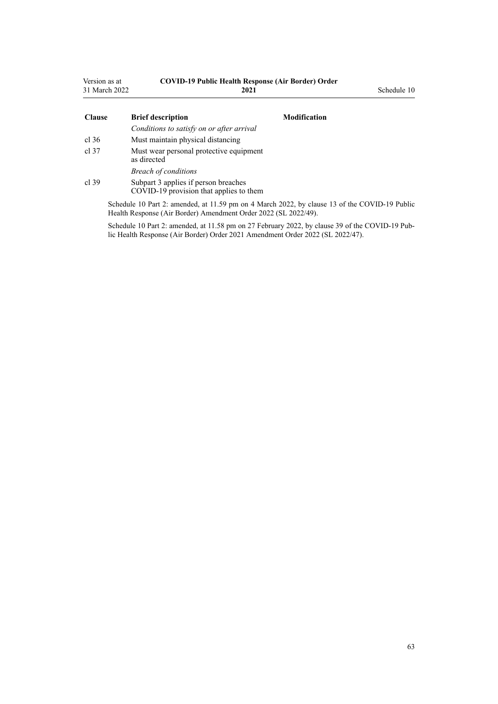| Version as at<br>31 March 2022 | <b>COVID-19 Public Health Response (Air Border) Order</b><br>2021               |                     | Schedule 10 |
|--------------------------------|---------------------------------------------------------------------------------|---------------------|-------------|
| <b>Clause</b>                  | <b>Brief description</b>                                                        | <b>Modification</b> |             |
|                                | Conditions to satisfy on or after arrival                                       |                     |             |
| cl.36                          | Must maintain physical distancing                                               |                     |             |
| cl.37                          | Must wear personal protective equipment<br>as directed                          |                     |             |
|                                | <b>Breach of conditions</b>                                                     |                     |             |
| cl.39                          | Subpart 3 applies if person breaches<br>COVID-19 provision that applies to them |                     |             |

Schedule 10 Part 2: amended, at 11.59 pm on 4 March 2022, by [clause 13](http://legislation.govt.nz/pdflink.aspx?id=LMS653796) of the COVID-19 Public Health Response (Air Border) Amendment Order 2022 (SL 2022/49).

Schedule 10 Part 2: amended, at 11.58 pm on 27 February 2022, by [clause 39](http://legislation.govt.nz/pdflink.aspx?id=LMS650882) of the COVID-19 Public Health Response (Air Border) Order 2021 Amendment Order 2022 (SL 2022/47).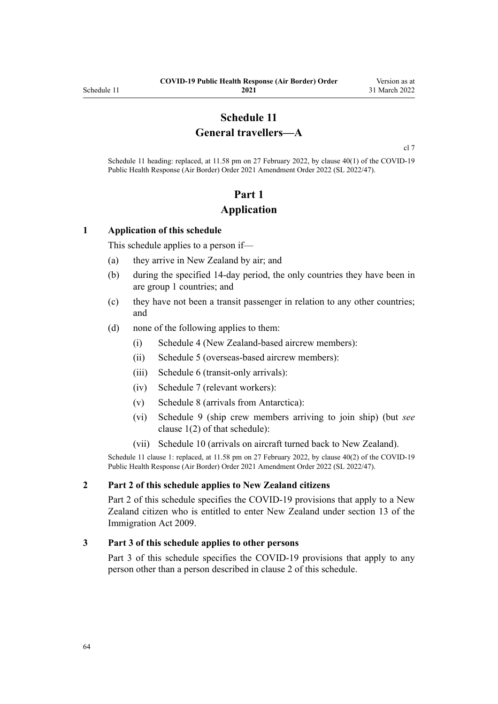# **Schedule 11 General travellers—A**

[cl 7](#page-9-0)

<span id="page-63-0"></span>Schedule 11 heading: replaced, at 11.58 pm on 27 February 2022, by [clause 40\(1\)](http://legislation.govt.nz/pdflink.aspx?id=LMS650887) of the COVID-19 Public Health Response (Air Border) Order 2021 Amendment Order 2022 (SL 2022/47).

# **Part 1 Application**

### **1 Application of this schedule**

This schedule applies to a person if—

- (a) they arrive in New Zealand by air; and
- (b) during the specified 14-day period, the only countries they have been in are group 1 countries; and
- (c) they have not been a transit passenger in relation to any other countries; and
- (d) none of the following applies to them:
	- (i) [Schedule 4](#page-40-0) (New Zealand-based aircrew members):
	- (ii) [Schedule 5](#page-43-0) (overseas-based aircrew members):
	- (iii) [Schedule 6](#page-48-0) (transit-only arrivals):
	- (iv) [Schedule 7](#page-50-0) (relevant workers):
	- (v) [Schedule 8](#page-57-0) (arrivals from Antarctica):
	- (vi) [Schedule 9](#page-59-0) (ship crew members arriving to join ship) (but *see* [clause 1\(2\)](#page-59-0) of that schedule):
	- (vii) [Schedule 10](#page-61-0) (arrivals on aircraft turned back to New Zealand).

Schedule 11 clause 1: replaced, at 11.58 pm on 27 February 2022, by [clause 40\(2\)](http://legislation.govt.nz/pdflink.aspx?id=LMS650887) of the COVID-19 Public Health Response (Air Border) Order 2021 Amendment Order 2022 (SL 2022/47).

### **2 Part 2 of this schedule applies to New Zealand citizens**

[Part 2](#page-64-0) of this schedule specifies the COVID-19 provisions that apply to a New Zealand citizen who is entitled to enter New Zealand under [section 13](http://legislation.govt.nz/pdflink.aspx?id=DLM1440595) of the Immigration Act 2009.

### **3 Part 3 of this schedule applies to other persons**

[Part 3](#page-65-0) of this schedule specifies the COVID-19 provisions that apply to any person other than a person described in clause 2 of this schedule.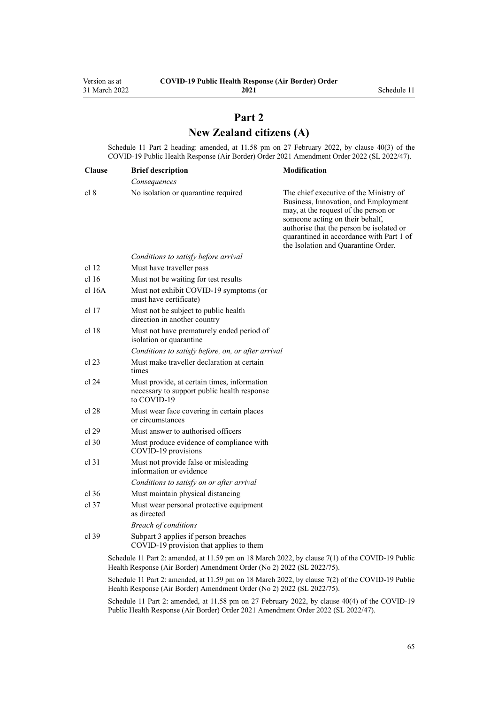# **Part 2 New Zealand citizens (A)**

<span id="page-64-0"></span>Schedule 11 Part 2 heading: amended, at 11.58 pm on 27 February 2022, by [clause 40\(3\)](http://legislation.govt.nz/pdflink.aspx?id=LMS650887) of the COVID-19 Public Health Response (Air Border) Order 2021 Amendment Order 2022 (SL 2022/47).

| <b>Clause</b>    | <b>Brief description</b>                                                                                  | Modification                                                                                                                                                                                                                                                                             |
|------------------|-----------------------------------------------------------------------------------------------------------|------------------------------------------------------------------------------------------------------------------------------------------------------------------------------------------------------------------------------------------------------------------------------------------|
|                  | Consequences                                                                                              |                                                                                                                                                                                                                                                                                          |
| cl 8             | No isolation or quarantine required                                                                       | The chief executive of the Ministry of<br>Business, Innovation, and Employment<br>may, at the request of the person or<br>someone acting on their behalf,<br>authorise that the person be isolated or<br>quarantined in accordance with Part 1 of<br>the Isolation and Quarantine Order. |
|                  | Conditions to satisfy before arrival                                                                      |                                                                                                                                                                                                                                                                                          |
| cl <sub>12</sub> | Must have traveller pass                                                                                  |                                                                                                                                                                                                                                                                                          |
| cl <sub>16</sub> | Must not be waiting for test results                                                                      |                                                                                                                                                                                                                                                                                          |
| $cl$ 16A         | Must not exhibit COVID-19 symptoms (or<br>must have certificate)                                          |                                                                                                                                                                                                                                                                                          |
| cl 17            | Must not be subject to public health<br>direction in another country                                      |                                                                                                                                                                                                                                                                                          |
| cl 18            | Must not have prematurely ended period of<br>isolation or quarantine                                      |                                                                                                                                                                                                                                                                                          |
|                  | Conditions to satisfy before, on, or after arrival                                                        |                                                                                                                                                                                                                                                                                          |
| cl 23            | Must make traveller declaration at certain<br>times                                                       |                                                                                                                                                                                                                                                                                          |
| cl 24            | Must provide, at certain times, information<br>necessary to support public health response<br>to COVID-19 |                                                                                                                                                                                                                                                                                          |
| cl 28            | Must wear face covering in certain places<br>or circumstances                                             |                                                                                                                                                                                                                                                                                          |
| cl 29            | Must answer to authorised officers                                                                        |                                                                                                                                                                                                                                                                                          |
| cl 30            | Must produce evidence of compliance with<br>COVID-19 provisions                                           |                                                                                                                                                                                                                                                                                          |
| $cl$ 31          | Must not provide false or misleading<br>information or evidence                                           |                                                                                                                                                                                                                                                                                          |
|                  | Conditions to satisfy on or after arrival                                                                 |                                                                                                                                                                                                                                                                                          |
| cl.36            | Must maintain physical distancing                                                                         |                                                                                                                                                                                                                                                                                          |
| $cl$ 37          | Must wear personal protective equipment<br>as directed                                                    |                                                                                                                                                                                                                                                                                          |
|                  | <b>Breach of conditions</b>                                                                               |                                                                                                                                                                                                                                                                                          |
| cl.39            | Subpart 3 applies if person breaches<br>COVID-19 provision that applies to them                           |                                                                                                                                                                                                                                                                                          |
|                  | Schedule 11 Part 2: amended, at 11.59 pm on 18 March 2022, by clause 7(1) of the COVID-19 Public          |                                                                                                                                                                                                                                                                                          |

Health Response (Air Border) Amendment Order (No 2) 2022 (SL 2022/75).

Schedule 11 Part 2: amended, at 11.59 pm on 18 March 2022, by [clause 7\(2\)](http://legislation.govt.nz/pdflink.aspx?id=LMS664433) of the COVID-19 Public Health Response (Air Border) Amendment Order (No 2) 2022 (SL 2022/75).

Schedule 11 Part 2: amended, at 11.58 pm on 27 February 2022, by [clause 40\(4\)](http://legislation.govt.nz/pdflink.aspx?id=LMS650887) of the COVID-19 Public Health Response (Air Border) Order 2021 Amendment Order 2022 (SL 2022/47).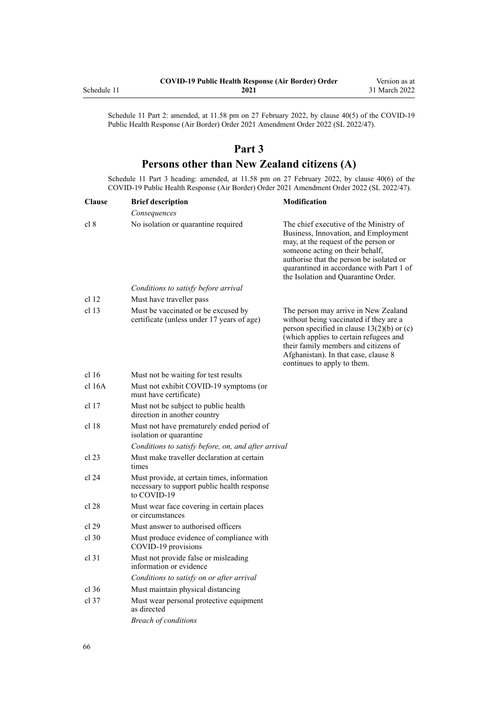<span id="page-65-0"></span>

|             | <b>COVID-19 Public Health Response (Air Border) Order</b> | Version as at |
|-------------|-----------------------------------------------------------|---------------|
| Schedule 11 | 2021                                                      | 31 March 2022 |

Schedule 11 Part 2: amended, at 11.58 pm on 27 February 2022, by [clause 40\(5\)](http://legislation.govt.nz/pdflink.aspx?id=LMS650887) of the COVID-19 Public Health Response (Air Border) Order 2021 Amendment Order 2022 (SL 2022/47).

## **Part 3**

# **Persons other than New Zealand citizens (A)**

Schedule 11 Part 3 heading: amended, at 11.58 pm on 27 February 2022, by [clause 40\(6\)](http://legislation.govt.nz/pdflink.aspx?id=LMS650887) of the COVID-19 Public Health Response (Air Border) Order 2021 Amendment Order 2022 (SL 2022/47).

| <b>Clause</b>    | <b>Brief description</b>                                                                                  | <b>Modification</b>                                                                                                                                                                                                                                                                      |
|------------------|-----------------------------------------------------------------------------------------------------------|------------------------------------------------------------------------------------------------------------------------------------------------------------------------------------------------------------------------------------------------------------------------------------------|
|                  | Consequences                                                                                              |                                                                                                                                                                                                                                                                                          |
| cl 8             | No isolation or quarantine required                                                                       | The chief executive of the Ministry of<br>Business, Innovation, and Employment<br>may, at the request of the person or<br>someone acting on their behalf,<br>authorise that the person be isolated or<br>quarantined in accordance with Part 1 of<br>the Isolation and Quarantine Order. |
|                  | Conditions to satisfy before arrival                                                                      |                                                                                                                                                                                                                                                                                          |
| cl <sub>12</sub> | Must have traveller pass                                                                                  |                                                                                                                                                                                                                                                                                          |
| cl <sub>13</sub> | Must be vaccinated or be excused by<br>certificate (unless under 17 years of age)                         | The person may arrive in New Zealand<br>without being vaccinated if they are a<br>person specified in clause $13(2)(b)$ or (c)<br>(which applies to certain refugees and<br>their family members and citizens of<br>Afghanistan). In that case, clause 8<br>continues to apply to them.  |
| cl 16            | Must not be waiting for test results                                                                      |                                                                                                                                                                                                                                                                                          |
| cl 16A           | Must not exhibit COVID-19 symptoms (or<br>must have certificate)                                          |                                                                                                                                                                                                                                                                                          |
| cl <sub>17</sub> | Must not be subject to public health<br>direction in another country                                      |                                                                                                                                                                                                                                                                                          |
| cl <sub>18</sub> | Must not have prematurely ended period of<br>isolation or quarantine                                      |                                                                                                                                                                                                                                                                                          |
|                  | Conditions to satisfy before, on, and after arrival                                                       |                                                                                                                                                                                                                                                                                          |
| cl 23            | Must make traveller declaration at certain<br>times                                                       |                                                                                                                                                                                                                                                                                          |
| cl 24            | Must provide, at certain times, information<br>necessary to support public health response<br>to COVID-19 |                                                                                                                                                                                                                                                                                          |
| cl 28            | Must wear face covering in certain places<br>or circumstances                                             |                                                                                                                                                                                                                                                                                          |
| cl 29            | Must answer to authorised officers                                                                        |                                                                                                                                                                                                                                                                                          |
| $cl$ 30          | Must produce evidence of compliance with<br>COVID-19 provisions                                           |                                                                                                                                                                                                                                                                                          |
| $cl$ 31          | Must not provide false or misleading<br>information or evidence                                           |                                                                                                                                                                                                                                                                                          |
|                  | Conditions to satisfy on or after arrival                                                                 |                                                                                                                                                                                                                                                                                          |
| cl.36            | Must maintain physical distancing                                                                         |                                                                                                                                                                                                                                                                                          |
| $cl$ 37          | Must wear personal protective equipment<br>as directed                                                    |                                                                                                                                                                                                                                                                                          |
|                  | <b>Breach of conditions</b>                                                                               |                                                                                                                                                                                                                                                                                          |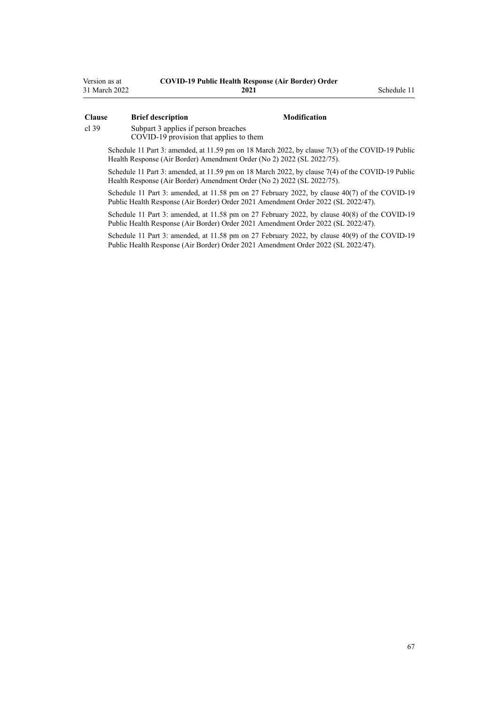| Version as at | <b>COVID-19 Public Health Response (Air Border) Order</b> |
|---------------|-----------------------------------------------------------|
| 31 March 2022 | 2021                                                      |

### **Clause Brief description Modification**

**2021** Schedule 11

[cl 39](#page-23-0) [Subpart 3](#page-23-0) applies if person breaches

COVID-19 provision that applies to them

Schedule 11 Part 3: amended, at 11.59 pm on 18 March 2022, by [clause 7\(3\)](http://legislation.govt.nz/pdflink.aspx?id=LMS664433) of the COVID-19 Public Health Response (Air Border) Amendment Order (No 2) 2022 (SL 2022/75).

Schedule 11 Part 3: amended, at 11.59 pm on 18 March 2022, by [clause 7\(4\)](http://legislation.govt.nz/pdflink.aspx?id=LMS664433) of the COVID-19 Public Health Response (Air Border) Amendment Order (No 2) 2022 (SL 2022/75).

Schedule 11 Part 3: amended, at 11.58 pm on 27 February 2022, by [clause 40\(7\)](http://legislation.govt.nz/pdflink.aspx?id=LMS650887) of the COVID-19 Public Health Response (Air Border) Order 2021 Amendment Order 2022 (SL 2022/47).

Schedule 11 Part 3: amended, at 11.58 pm on 27 February 2022, by [clause 40\(8\)](http://legislation.govt.nz/pdflink.aspx?id=LMS650887) of the COVID-19 Public Health Response (Air Border) Order 2021 Amendment Order 2022 (SL 2022/47).

Schedule 11 Part 3: amended, at 11.58 pm on 27 February 2022, by [clause 40\(9\)](http://legislation.govt.nz/pdflink.aspx?id=LMS650887) of the COVID-19 Public Health Response (Air Border) Order 2021 Amendment Order 2022 (SL 2022/47).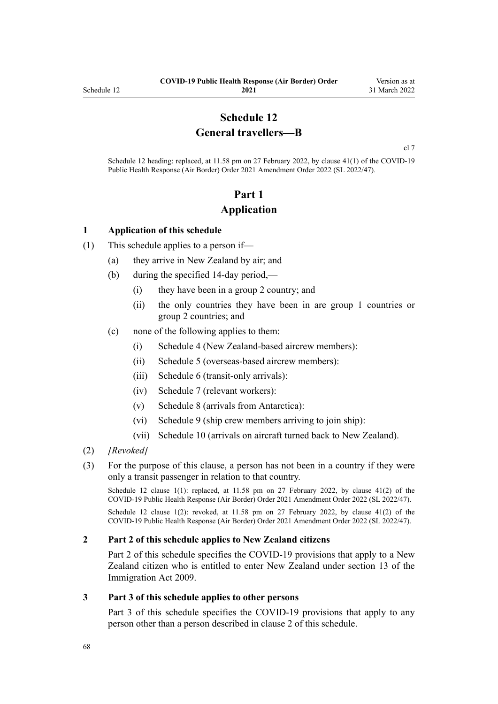# **Schedule 12 General travellers—B**

[cl 7](#page-9-0)

Schedule 12 heading: replaced, at 11.58 pm on 27 February 2022, by [clause 41\(1\)](http://legislation.govt.nz/pdflink.aspx?id=LMS650896) of the COVID-19 Public Health Response (Air Border) Order 2021 Amendment Order 2022 (SL 2022/47).

# **Part 1 Application**

### **1 Application of this schedule**

- (1) This schedule applies to a person if—
	- (a) they arrive in New Zealand by air; and
	- (b) during the specified 14-day period,—
		- (i) they have been in a group 2 country; and
		- (ii) the only countries they have been in are group 1 countries or group 2 countries; and
	- (c) none of the following applies to them:
		- (i) [Schedule 4](#page-40-0) (New Zealand-based aircrew members):
		- (ii) [Schedule 5](#page-43-0) (overseas-based aircrew members):
		- (iii) [Schedule 6](#page-48-0) (transit-only arrivals):
		- (iv) [Schedule 7](#page-50-0) (relevant workers):
		- (v) [Schedule 8](#page-57-0) (arrivals from Antarctica):
		- (vi) [Schedule 9](#page-59-0) (ship crew members arriving to join ship):
		- (vii) [Schedule 10](#page-61-0) (arrivals on aircraft turned back to New Zealand).
- (2) *[Revoked]*
- (3) For the purpose of this clause, a person has not been in a country if they were only a transit passenger in relation to that country.

Schedule 12 clause 1(1): replaced, at 11.58 pm on 27 February 2022, by [clause 41\(2\)](http://legislation.govt.nz/pdflink.aspx?id=LMS650896) of the COVID-19 Public Health Response (Air Border) Order 2021 Amendment Order 2022 (SL 2022/47).

Schedule 12 clause 1(2): revoked, at 11.58 pm on 27 February 2022, by [clause 41\(2\)](http://legislation.govt.nz/pdflink.aspx?id=LMS650896) of the COVID-19 Public Health Response (Air Border) Order 2021 Amendment Order 2022 (SL 2022/47).

### **2 Part 2 of this schedule applies to New Zealand citizens**

[Part 2](#page-68-0) of this schedule specifies the COVID-19 provisions that apply to a New Zealand citizen who is entitled to enter New Zealand under [section 13](http://legislation.govt.nz/pdflink.aspx?id=DLM1440595) of the Immigration Act 2009.

### **3 Part 3 of this schedule applies to other persons**

[Part 3](#page-69-0) of this schedule specifies the COVID-19 provisions that apply to any person other than a person described in clause 2 of this schedule.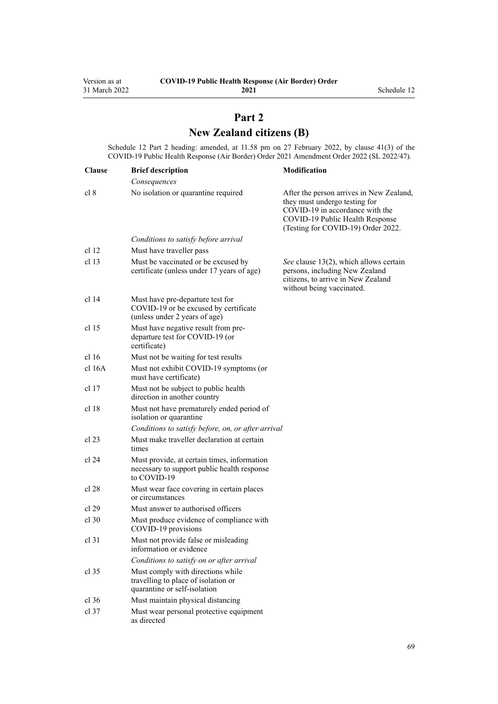# **Part 2 New Zealand citizens (B)**

<span id="page-68-0"></span>Schedule 12 Part 2 heading: amended, at 11.58 pm on 27 February 2022, by [clause 41\(3\)](http://legislation.govt.nz/pdflink.aspx?id=LMS650896) of the COVID-19 Public Health Response (Air Border) Order 2021 Amendment Order 2022 (SL 2022/47).

| <b>Clause</b>    | <b>Brief description</b>                                                                                   | Modification                                                                                                                                                                          |
|------------------|------------------------------------------------------------------------------------------------------------|---------------------------------------------------------------------------------------------------------------------------------------------------------------------------------------|
|                  | Consequences                                                                                               |                                                                                                                                                                                       |
| cl 8             | No isolation or quarantine required                                                                        | After the person arrives in New Zealand,<br>they must undergo testing for<br>COVID-19 in accordance with the<br>COVID-19 Public Health Response<br>(Testing for COVID-19) Order 2022. |
|                  | Conditions to satisfy before arrival                                                                       |                                                                                                                                                                                       |
| cl <sub>12</sub> | Must have traveller pass                                                                                   |                                                                                                                                                                                       |
| cl 13            | Must be vaccinated or be excused by<br>certificate (unless under 17 years of age)                          | See clause 13(2), which allows certain<br>persons, including New Zealand<br>citizens, to arrive in New Zealand<br>without being vaccinated.                                           |
| cl 14            | Must have pre-departure test for<br>COVID-19 or be excused by certificate<br>(unless under 2 years of age) |                                                                                                                                                                                       |
| cl <sub>15</sub> | Must have negative result from pre-<br>departure test for COVID-19 (or<br>certificate)                     |                                                                                                                                                                                       |
| cl 16            | Must not be waiting for test results                                                                       |                                                                                                                                                                                       |
| cl 16A           | Must not exhibit COVID-19 symptoms (or<br>must have certificate)                                           |                                                                                                                                                                                       |
| cl 17            | Must not be subject to public health<br>direction in another country                                       |                                                                                                                                                                                       |
| cl <sub>18</sub> | Must not have prematurely ended period of<br>isolation or quarantine                                       |                                                                                                                                                                                       |
|                  | Conditions to satisfy before, on, or after arrival                                                         |                                                                                                                                                                                       |
| cl 23            | Must make traveller declaration at certain<br>times                                                        |                                                                                                                                                                                       |
| cl 24            | Must provide, at certain times, information<br>necessary to support public health response<br>to COVID-19  |                                                                                                                                                                                       |
| cl 28            | Must wear face covering in certain places<br>or circumstances                                              |                                                                                                                                                                                       |
| cl 29            | Must answer to authorised officers                                                                         |                                                                                                                                                                                       |
| $cl$ 30          | Must produce evidence of compliance with<br>COVID-19 provisions                                            |                                                                                                                                                                                       |
| $cl$ 31          | Must not provide false or misleading<br>information or evidence                                            |                                                                                                                                                                                       |
|                  | Conditions to satisfy on or after arrival                                                                  |                                                                                                                                                                                       |
| $cl$ 35          | Must comply with directions while<br>travelling to place of isolation or<br>quarantine or self-isolation   |                                                                                                                                                                                       |
| $cl$ 36          | Must maintain physical distancing                                                                          |                                                                                                                                                                                       |
| $cl$ 37          | Must wear personal protective equipment<br>as directed                                                     |                                                                                                                                                                                       |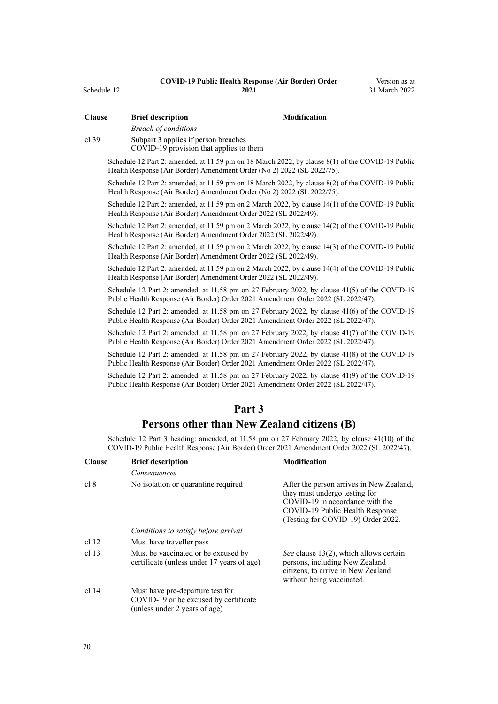| <b>Clause</b>    | <b>Brief description</b>                                                                                                                                                                    | Modification                                                                                                                                                                          |  |  |  |
|------------------|---------------------------------------------------------------------------------------------------------------------------------------------------------------------------------------------|---------------------------------------------------------------------------------------------------------------------------------------------------------------------------------------|--|--|--|
|                  | <b>Breach of conditions</b>                                                                                                                                                                 |                                                                                                                                                                                       |  |  |  |
| $cl$ 39          | Subpart 3 applies if person breaches                                                                                                                                                        |                                                                                                                                                                                       |  |  |  |
|                  | COVID-19 provision that applies to them                                                                                                                                                     |                                                                                                                                                                                       |  |  |  |
|                  | Schedule 12 Part 2: amended, at 11.59 pm on 18 March 2022, by clause 8(1) of the COVID-19 Public<br>Health Response (Air Border) Amendment Order (No 2) 2022 (SL 2022/75).                  |                                                                                                                                                                                       |  |  |  |
|                  | Schedule 12 Part 2: amended, at 11.59 pm on 18 March 2022, by clause 8(2) of the COVID-19 Public<br>Health Response (Air Border) Amendment Order (No 2) 2022 (SL 2022/75).                  |                                                                                                                                                                                       |  |  |  |
|                  | Schedule 12 Part 2: amended, at 11.59 pm on 2 March 2022, by clause 14(1) of the COVID-19 Public<br>Health Response (Air Border) Amendment Order 2022 (SL 2022/49).                         |                                                                                                                                                                                       |  |  |  |
|                  | Schedule 12 Part 2: amended, at 11.59 pm on 2 March 2022, by clause 14(2) of the COVID-19 Public<br>Health Response (Air Border) Amendment Order 2022 (SL 2022/49).                         |                                                                                                                                                                                       |  |  |  |
|                  | Schedule 12 Part 2: amended, at 11.59 pm on 2 March 2022, by clause 14(3) of the COVID-19 Public<br>Health Response (Air Border) Amendment Order 2022 (SL 2022/49).                         |                                                                                                                                                                                       |  |  |  |
|                  | Schedule 12 Part 2: amended, at 11.59 pm on 2 March 2022, by clause 14(4) of the COVID-19 Public<br>Health Response (Air Border) Amendment Order 2022 (SL 2022/49).                         |                                                                                                                                                                                       |  |  |  |
|                  | Schedule 12 Part 2: amended, at 11.58 pm on 27 February 2022, by clause 41(5) of the COVID-19<br>Public Health Response (Air Border) Order 2021 Amendment Order 2022 (SL 2022/47).          |                                                                                                                                                                                       |  |  |  |
|                  | Schedule 12 Part 2: amended, at 11.58 pm on 27 February 2022, by clause 41(6) of the COVID-19<br>Public Health Response (Air Border) Order 2021 Amendment Order 2022 (SL 2022/47).          |                                                                                                                                                                                       |  |  |  |
|                  | Schedule 12 Part 2: amended, at 11.58 pm on 27 February 2022, by clause 41(7) of the COVID-19<br>Public Health Response (Air Border) Order 2021 Amendment Order 2022 (SL 2022/47).          |                                                                                                                                                                                       |  |  |  |
|                  | Schedule 12 Part 2: amended, at 11.58 pm on 27 February 2022, by clause 41(8) of the COVID-19<br>Public Health Response (Air Border) Order 2021 Amendment Order 2022 (SL 2022/47).          |                                                                                                                                                                                       |  |  |  |
|                  | Schedule 12 Part 2: amended, at 11.58 pm on 27 February 2022, by clause 41(9) of the COVID-19<br>Public Health Response (Air Border) Order 2021 Amendment Order 2022 (SL 2022/47).          |                                                                                                                                                                                       |  |  |  |
|                  |                                                                                                                                                                                             |                                                                                                                                                                                       |  |  |  |
|                  | Part <sub>3</sub>                                                                                                                                                                           |                                                                                                                                                                                       |  |  |  |
|                  | Persons other than New Zealand citizens (B)                                                                                                                                                 |                                                                                                                                                                                       |  |  |  |
|                  | Schedule 12 Part 3 heading: amended, at 11.58 pm on 27 February 2022, by clause 41(10) of the<br>COVID-19 Public Health Response (Air Border) Order 2021 Amendment Order 2022 (SL 2022/47). |                                                                                                                                                                                       |  |  |  |
| <b>Clause</b>    | <b>Brief description</b>                                                                                                                                                                    | Modification                                                                                                                                                                          |  |  |  |
|                  | Consequences                                                                                                                                                                                |                                                                                                                                                                                       |  |  |  |
| cl 8             | No isolation or quarantine required                                                                                                                                                         | After the person arrives in New Zealand,<br>they must undergo testing for<br>COVID-19 in accordance with the<br>COVID-19 Public Health Response<br>(Testing for COVID-19) Order 2022. |  |  |  |
|                  | Conditions to satisfy before arrival                                                                                                                                                        |                                                                                                                                                                                       |  |  |  |
| cl <sub>12</sub> | Must have traveller pass                                                                                                                                                                    |                                                                                                                                                                                       |  |  |  |
| cl 13            | Must be vaccinated or be excused by<br>certificate (unless under 17 years of age)                                                                                                           | See clause 13(2), which allows certain<br>persons, including New Zealand<br>citizens, to arrive in New Zealand<br>without being vaccinated.                                           |  |  |  |
| cl 14            | Must have pre-departure test for<br>COVID-19 or be excused by certificate<br>(unless under 2 years of age)                                                                                  |                                                                                                                                                                                       |  |  |  |

<span id="page-69-0"></span>Schedule 12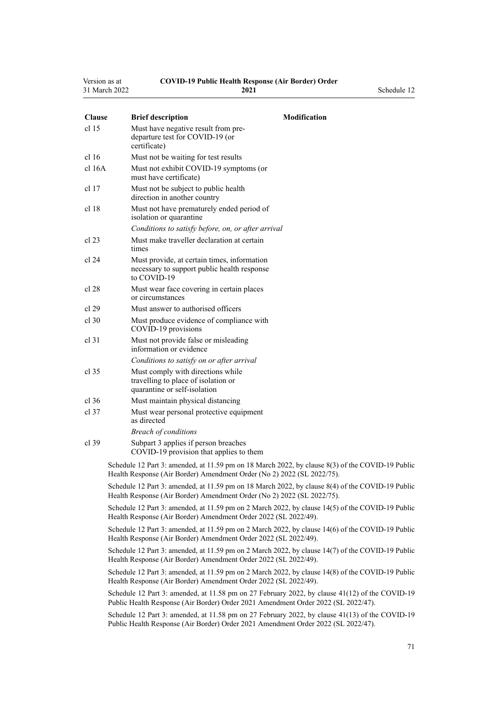| Version as at | <b>COVID-19 Public Health Response (Air Border) Order</b> |             |
|---------------|-----------------------------------------------------------|-------------|
| 31 March 2022 | 2021                                                      | Schedule 12 |

| <b>Clause</b>    | <b>Modification</b><br><b>Brief description</b>                                                                                                                                     |
|------------------|-------------------------------------------------------------------------------------------------------------------------------------------------------------------------------------|
| cl <sub>15</sub> | Must have negative result from pre-<br>departure test for COVID-19 (or<br>certificate)                                                                                              |
| cl <sub>16</sub> | Must not be waiting for test results                                                                                                                                                |
| cl 16A           | Must not exhibit COVID-19 symptoms (or<br>must have certificate)                                                                                                                    |
| cl <sub>17</sub> | Must not be subject to public health<br>direction in another country                                                                                                                |
| cl <sub>18</sub> | Must not have prematurely ended period of<br>isolation or quarantine                                                                                                                |
|                  | Conditions to satisfy before, on, or after arrival                                                                                                                                  |
| cl 23            | Must make traveller declaration at certain<br>times                                                                                                                                 |
| cl 24            | Must provide, at certain times, information<br>necessary to support public health response<br>to COVID-19                                                                           |
| cl 28            | Must wear face covering in certain places<br>or circumstances                                                                                                                       |
| cl 29            | Must answer to authorised officers                                                                                                                                                  |
| $cl$ 30          | Must produce evidence of compliance with<br>COVID-19 provisions                                                                                                                     |
| $cl$ 31          | Must not provide false or misleading<br>information or evidence                                                                                                                     |
|                  | Conditions to satisfy on or after arrival                                                                                                                                           |
| $cl$ 35          | Must comply with directions while<br>travelling to place of isolation or<br>quarantine or self-isolation                                                                            |
| cl.36            | Must maintain physical distancing                                                                                                                                                   |
| $cl$ 37          | Must wear personal protective equipment<br>as directed                                                                                                                              |
|                  | <b>Breach of conditions</b>                                                                                                                                                         |
| $cl$ 39          | Subpart 3 applies if person breaches<br>COVID-19 provision that applies to them                                                                                                     |
|                  | Schedule 12 Part 3: amended, at 11.59 pm on 18 March 2022, by clause 8(3) of the COVID-19 Public<br>Health Response (Air Border) Amendment Order (No 2) 2022 (SL 2022/75).          |
|                  | Schedule 12 Part 3: amended, at 11.59 pm on 18 March 2022, by clause 8(4) of the COVID-19 Public<br>Health Response (Air Border) Amendment Order (No 2) 2022 (SL 2022/75).          |
|                  | Schedule 12 Part 3: amended, at 11.59 pm on 2 March 2022, by clause 14(5) of the COVID-19 Public<br>Health Response (Air Border) Amendment Order 2022 (SL 2022/49).                 |
|                  | Schedule 12 Part 3: amended, at 11.59 pm on 2 March 2022, by clause 14(6) of the COVID-19 Public<br>Health Response (Air Border) Amendment Order 2022 (SL 2022/49).                 |
|                  | Schedule 12 Part 3: amended, at 11.59 pm on 2 March 2022, by clause 14(7) of the COVID-19 Public<br>Health Response (Air Border) Amendment Order 2022 (SL 2022/49).                 |
|                  | Schedule 12 Part 3: amended, at 11.59 pm on 2 March 2022, by clause 14(8) of the COVID-19 Public<br>Health Response (Air Border) Amendment Order 2022 (SL 2022/49).                 |
|                  | Schedule 12 Part 3: amended, at 11.58 pm on 27 February 2022, by clause 41(12) of the COVID-19<br>Public Health Response (Air Border) Order 2021 Amendment Order 2022 (SL 2022/47). |

Schedule 12 Part 3: amended, at 11.58 pm on 27 February 2022, by [clause 41\(13\)](http://legislation.govt.nz/pdflink.aspx?id=LMS650896) of the COVID-19 Public Health Response (Air Border) Order 2021 Amendment Order 2022 (SL 2022/47).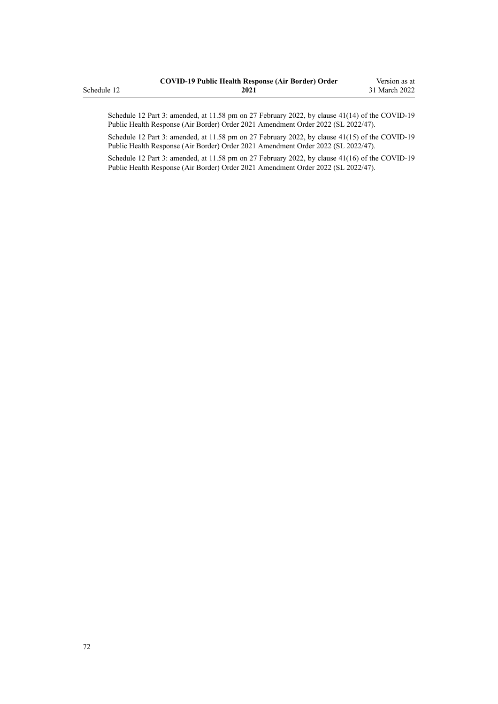|             | <b>COVID-19 Public Health Response (Air Border) Order</b> | Version as at |
|-------------|-----------------------------------------------------------|---------------|
| Schedule 12 | 2021                                                      | 31 March 2022 |

Schedule 12 Part 3: amended, at 11.58 pm on 27 February 2022, by [clause 41\(14\)](http://legislation.govt.nz/pdflink.aspx?id=LMS650896) of the COVID-19 Public Health Response (Air Border) Order 2021 Amendment Order 2022 (SL 2022/47).

Schedule 12 Part 3: amended, at 11.58 pm on 27 February 2022, by [clause 41\(15\)](http://legislation.govt.nz/pdflink.aspx?id=LMS650896) of the COVID-19 Public Health Response (Air Border) Order 2021 Amendment Order 2022 (SL 2022/47).

Schedule 12 Part 3: amended, at 11.58 pm on 27 February 2022, by [clause 41\(16\)](http://legislation.govt.nz/pdflink.aspx?id=LMS650896) of the COVID-19 Public Health Response (Air Border) Order 2021 Amendment Order 2022 (SL 2022/47).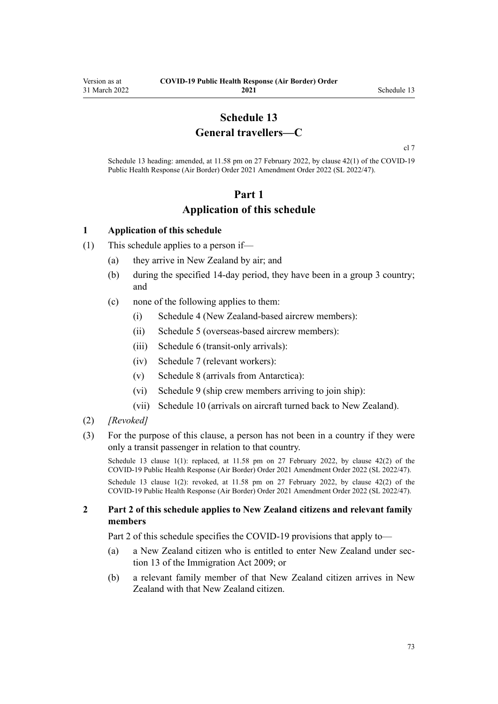# **Schedule 13 General travellers—C**

[cl 7](#page-9-0)

<span id="page-72-0"></span>Schedule 13 heading: amended, at 11.58 pm on 27 February 2022, by [clause 42\(1\)](http://legislation.govt.nz/pdflink.aspx?id=LMS650901) of the COVID-19 Public Health Response (Air Border) Order 2021 Amendment Order 2022 (SL 2022/47).

## **Part 1 Application of this schedule**

### **1 Application of this schedule**

- (1) This schedule applies to a person if—
	- (a) they arrive in New Zealand by air; and
	- (b) during the specified 14-day period, they have been in a group 3 country; and
	- (c) none of the following applies to them:
		- (i) [Schedule 4](#page-40-0) (New Zealand-based aircrew members):
		- (ii) [Schedule 5](#page-43-0) (overseas-based aircrew members):
		- (iii) [Schedule 6](#page-48-0) (transit-only arrivals):
		- (iv) [Schedule 7](#page-50-0) (relevant workers):
		- (v) [Schedule 8](#page-57-0) (arrivals from Antarctica):
		- (vi) [Schedule 9](#page-59-0) (ship crew members arriving to join ship):
		- (vii) [Schedule 10](#page-61-0) (arrivals on aircraft turned back to New Zealand).
- (2) *[Revoked]*
- (3) For the purpose of this clause, a person has not been in a country if they were only a transit passenger in relation to that country.

Schedule 13 clause 1(1): replaced, at 11.58 pm on 27 February 2022, by [clause 42\(2\)](http://legislation.govt.nz/pdflink.aspx?id=LMS650901) of the COVID-19 Public Health Response (Air Border) Order 2021 Amendment Order 2022 (SL 2022/47).

Schedule 13 clause 1(2): revoked, at 11.58 pm on 27 February 2022, by [clause 42\(2\)](http://legislation.govt.nz/pdflink.aspx?id=LMS650901) of the COVID-19 Public Health Response (Air Border) Order 2021 Amendment Order 2022 (SL 2022/47).

### **2 Part 2 of this schedule applies to New Zealand citizens and relevant family members**

[Part 2](#page-73-0) of this schedule specifies the COVID-19 provisions that apply to—

- (a) a New Zealand citizen who is entitled to enter New Zealand under [sec‐](http://legislation.govt.nz/pdflink.aspx?id=DLM1440595) [tion 13](http://legislation.govt.nz/pdflink.aspx?id=DLM1440595) of the Immigration Act 2009; or
- (b) a relevant family member of that New Zealand citizen arrives in New Zealand with that New Zealand citizen.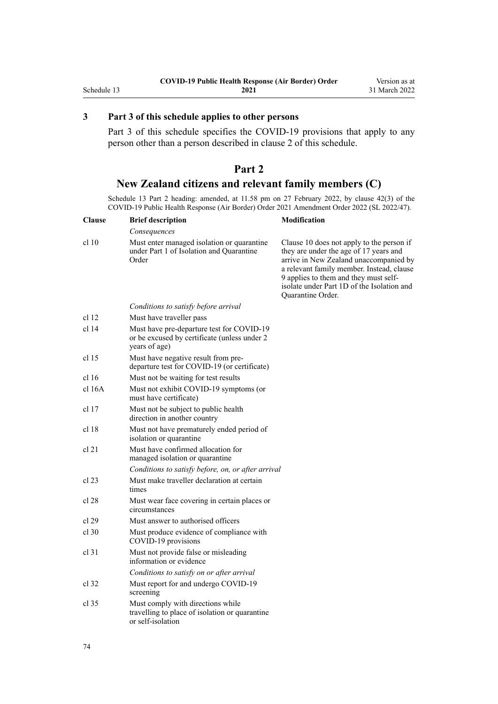## <span id="page-73-0"></span>**3 Part 3 of this schedule applies to other persons**

[Part 3](#page-74-0) of this schedule specifies the COVID-19 provisions that apply to any person other than a person described in [clause 2](#page-72-0) of this schedule.

# **Part 2 New Zealand citizens and relevant family members (C)**

Schedule 13 Part 2 heading: amended, at 11.58 pm on 27 February 2022, by [clause 42\(3\)](http://legislation.govt.nz/pdflink.aspx?id=LMS650901) of the COVID-19 Public Health Response (Air Border) Order 2021 Amendment Order 2022 (SL 2022/47).

| <b>Clause</b>    | <b>Brief description</b>                                                                                    | <b>Modification</b>                                                                                                                                                                                                                                                                    |
|------------------|-------------------------------------------------------------------------------------------------------------|----------------------------------------------------------------------------------------------------------------------------------------------------------------------------------------------------------------------------------------------------------------------------------------|
|                  | Consequences                                                                                                |                                                                                                                                                                                                                                                                                        |
| cl 10            | Must enter managed isolation or quarantine<br>under Part 1 of Isolation and Quarantine<br>Order             | Clause 10 does not apply to the person if<br>they are under the age of 17 years and<br>arrive in New Zealand unaccompanied by<br>a relevant family member. Instead, clause<br>9 applies to them and they must self-<br>isolate under Part 1D of the Isolation and<br>Quarantine Order. |
|                  | Conditions to satisfy before arrival                                                                        |                                                                                                                                                                                                                                                                                        |
| cl 12            | Must have traveller pass                                                                                    |                                                                                                                                                                                                                                                                                        |
| cl 14            | Must have pre-departure test for COVID-19<br>or be excused by certificate (unless under 2)<br>years of age) |                                                                                                                                                                                                                                                                                        |
| cl 15            | Must have negative result from pre-<br>departure test for COVID-19 (or certificate)                         |                                                                                                                                                                                                                                                                                        |
| cl <sub>16</sub> | Must not be waiting for test results                                                                        |                                                                                                                                                                                                                                                                                        |
| cl 16A           | Must not exhibit COVID-19 symptoms (or<br>must have certificate)                                            |                                                                                                                                                                                                                                                                                        |
| cl 17            | Must not be subject to public health<br>direction in another country                                        |                                                                                                                                                                                                                                                                                        |
| cl 18            | Must not have prematurely ended period of<br>isolation or quarantine                                        |                                                                                                                                                                                                                                                                                        |
| cl 21            | Must have confirmed allocation for<br>managed isolation or quarantine                                       |                                                                                                                                                                                                                                                                                        |
|                  | Conditions to satisfy before, on, or after arrival                                                          |                                                                                                                                                                                                                                                                                        |
| cl 23            | Must make traveller declaration at certain<br>times                                                         |                                                                                                                                                                                                                                                                                        |
| cl 28            | Must wear face covering in certain places or<br>circumstances                                               |                                                                                                                                                                                                                                                                                        |
| cl 29            | Must answer to authorised officers                                                                          |                                                                                                                                                                                                                                                                                        |
| $cl$ 30          | Must produce evidence of compliance with<br>COVID-19 provisions                                             |                                                                                                                                                                                                                                                                                        |
| $cl$ 31          | Must not provide false or misleading<br>information or evidence                                             |                                                                                                                                                                                                                                                                                        |
|                  | Conditions to satisfy on or after arrival                                                                   |                                                                                                                                                                                                                                                                                        |
| cl 32            | Must report for and undergo COVID-19<br>screening                                                           |                                                                                                                                                                                                                                                                                        |
| cl 35            | Must comply with directions while<br>travelling to place of isolation or quarantine<br>or self-isolation    |                                                                                                                                                                                                                                                                                        |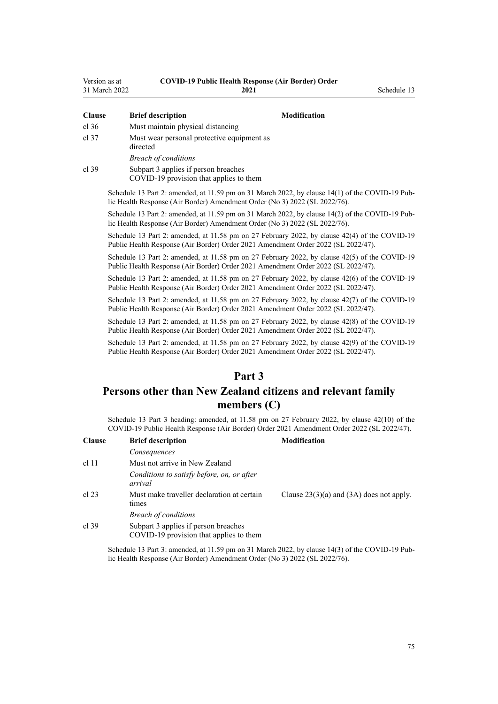<span id="page-74-0"></span>

| Version as at | <b>COVID-19 Public Health Response (Air Border) Order</b> |             |
|---------------|-----------------------------------------------------------|-------------|
| 31 March 2022 | 2021                                                      | Schedule 13 |

| <b>Clause</b> | <b>Brief description</b>                                                        | <b>Modification</b>                                                                             |  |
|---------------|---------------------------------------------------------------------------------|-------------------------------------------------------------------------------------------------|--|
| cl.36         | Must maintain physical distancing                                               |                                                                                                 |  |
| $cl$ 37       | Must wear personal protective equipment as<br>directed                          |                                                                                                 |  |
|               | <b>Breach of conditions</b>                                                     |                                                                                                 |  |
| cl.39         | Subpart 3 applies if person breaches<br>COVID-19 provision that applies to them |                                                                                                 |  |
|               | lic Health Response (Air Border) Amendment Order (No 3) 2022 (SL 2022/76).      | Schedule 13 Part 2: amended, at 11.59 pm on 31 March 2022, by clause 14(1) of the COVID-19 Pub- |  |

Schedule 13 Part 2: amended, at 11.59 pm on 31 March 2022, by [clause 14\(2\)](http://legislation.govt.nz/pdflink.aspx?id=LMS665891) of the COVID-19 Public Health Response (Air Border) Amendment Order (No 3) 2022 (SL 2022/76).

Schedule 13 Part 2: amended, at 11.58 pm on 27 February 2022, by [clause 42\(4\)](http://legislation.govt.nz/pdflink.aspx?id=LMS650901) of the COVID-19 Public Health Response (Air Border) Order 2021 Amendment Order 2022 (SL 2022/47).

Schedule 13 Part 2: amended, at 11.58 pm on 27 February 2022, by [clause 42\(5\)](http://legislation.govt.nz/pdflink.aspx?id=LMS650901) of the COVID-19 Public Health Response (Air Border) Order 2021 Amendment Order 2022 (SL 2022/47).

Schedule 13 Part 2: amended, at 11.58 pm on 27 February 2022, by [clause 42\(6\)](http://legislation.govt.nz/pdflink.aspx?id=LMS650901) of the COVID-19 Public Health Response (Air Border) Order 2021 Amendment Order 2022 (SL 2022/47).

Schedule 13 Part 2: amended, at 11.58 pm on 27 February 2022, by [clause 42\(7\)](http://legislation.govt.nz/pdflink.aspx?id=LMS650901) of the COVID-19 Public Health Response (Air Border) Order 2021 Amendment Order 2022 (SL 2022/47).

Schedule 13 Part 2: amended, at 11.58 pm on 27 February 2022, by [clause 42\(8\)](http://legislation.govt.nz/pdflink.aspx?id=LMS650901) of the COVID-19 Public Health Response (Air Border) Order 2021 Amendment Order 2022 (SL 2022/47).

Schedule 13 Part 2: amended, at 11.58 pm on 27 February 2022, by [clause 42\(9\)](http://legislation.govt.nz/pdflink.aspx?id=LMS650901) of the COVID-19 Public Health Response (Air Border) Order 2021 Amendment Order 2022 (SL 2022/47).

## **Part 3**

# **Persons other than New Zealand citizens and relevant family members (C)**

Schedule 13 Part 3 heading: amended, at 11.58 pm on 27 February 2022, by [clause 42\(10\)](http://legislation.govt.nz/pdflink.aspx?id=LMS650901) of the COVID-19 Public Health Response (Air Border) Order 2021 Amendment Order 2022 (SL 2022/47).

| <b>Clause</b> | <b>Brief description</b>                                                        | <b>Modification</b>                          |
|---------------|---------------------------------------------------------------------------------|----------------------------------------------|
|               | Consequences                                                                    |                                              |
| $cl$ 11       | Must not arrive in New Zealand                                                  |                                              |
|               | Conditions to satisfy before, on, or after<br>arrival                           |                                              |
| cl $23$       | Must make traveller declaration at certain<br>times                             | Clause $23(3)(a)$ and $(3A)$ does not apply. |
|               | <b>Breach of conditions</b>                                                     |                                              |
| cl.39         | Subpart 3 applies if person breaches<br>COVID-19 provision that applies to them |                                              |

Schedule 13 Part 3: amended, at 11.59 pm on 31 March 2022, by [clause 14\(3\)](http://legislation.govt.nz/pdflink.aspx?id=LMS665891) of the COVID-19 Pub‐ lic Health Response (Air Border) Amendment Order (No 3) 2022 (SL 2022/76).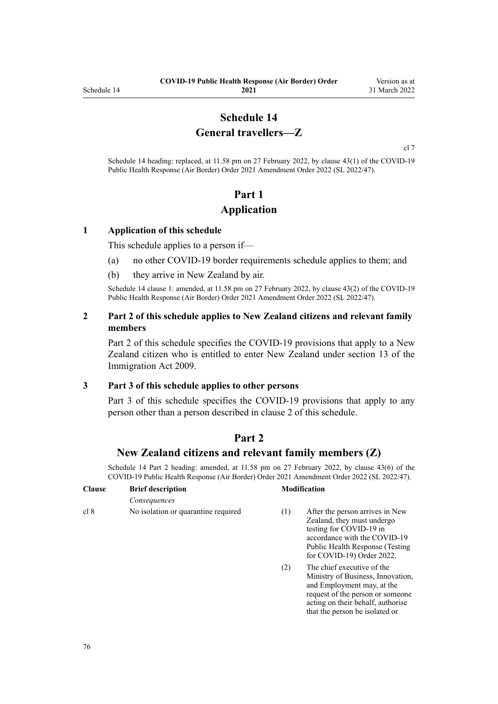# **Schedule 14 General travellers—Z**

[cl 7](#page-9-0)

Schedule 14 heading: replaced, at 11.58 pm on 27 February 2022, by [clause 43\(1\)](http://legislation.govt.nz/pdflink.aspx?id=LMS650909) of the COVID-19 Public Health Response (Air Border) Order 2021 Amendment Order 2022 (SL 2022/47).

# **Part 1 Application**

#### **1 Application of this schedule**

This schedule applies to a person if—

- (a) no other COVID-19 border requirements schedule applies to them; and
- (b) they arrive in New Zealand by air.

Schedule 14 clause 1: amended, at 11.58 pm on 27 February 2022, by [clause 43\(2\)](http://legislation.govt.nz/pdflink.aspx?id=LMS650909) of the COVID-19 Public Health Response (Air Border) Order 2021 Amendment Order 2022 (SL 2022/47).

### **2 Part 2 of this schedule applies to New Zealand citizens and relevant family members**

Part 2 of this schedule specifies the COVID-19 provisions that apply to a New Zealand citizen who is entitled to enter New Zealand under [section 13](http://legislation.govt.nz/pdflink.aspx?id=DLM1440595) of the Immigration Act 2009.

#### **3 Part 3 of this schedule applies to other persons**

[Part 3](#page-77-0) of this schedule specifies the COVID-19 provisions that apply to any person other than a person described in clause 2 of this schedule.

## **Part 2**

## **New Zealand citizens and relevant family members (Z)**

Schedule 14 Part 2 heading: amended, at 11.58 pm on 27 February 2022, by [clause 43\(6\)](http://legislation.govt.nz/pdflink.aspx?id=LMS650909) of the COVID-19 Public Health Response (Air Border) Order 2021 Amendment Order 2022 (SL 2022/47).

| <b>Clause</b> | <b>Brief description</b>            |        | <b>Modification</b>                                                                                                                                                                       |
|---------------|-------------------------------------|--------|-------------------------------------------------------------------------------------------------------------------------------------------------------------------------------------------|
|               | Consequences                        |        |                                                                                                                                                                                           |
| cl 8          | No isolation or quarantine required | (1)    | After the person arrives in New<br>Zealand, they must undergo<br>testing for COVID-19 in<br>accordance with the COVID-19<br>Public Health Response (Testing)<br>for COVID-19) Order 2022. |
|               |                                     | $\sim$ | – ••• • • •                                                                                                                                                                               |

(2) The chief executive of the Ministry of Business, Innovation, and Employment may, at the request of the person or someone acting on their behalf, authorise that the person be isolated or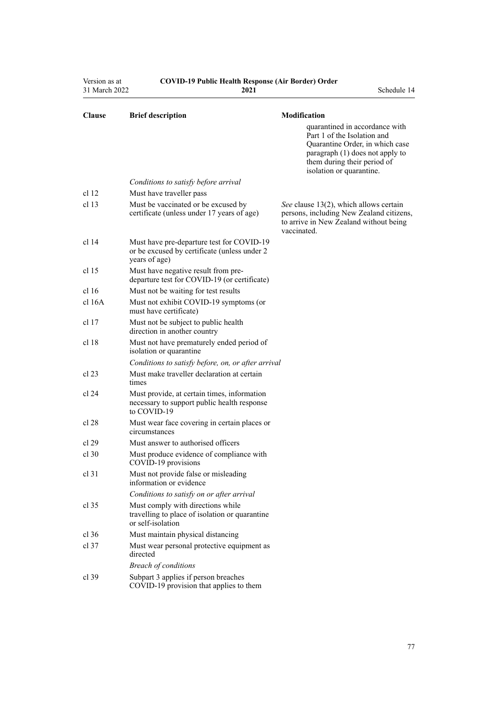| Version as at<br>31 March 2022 | <b>COVID-19 Public Health Response (Air Border) Order</b><br>2021                                          | Schedule 14                                                                                                                                         |
|--------------------------------|------------------------------------------------------------------------------------------------------------|-----------------------------------------------------------------------------------------------------------------------------------------------------|
| <b>Clause</b>                  | <b>Brief description</b>                                                                                   | Modification<br>quarantined in accordance with<br>Part 1 of the Isolation and<br>Quarantine Order, in which case<br>paragraph (1) does not apply to |
|                                |                                                                                                            | them during their period of<br>isolation or quarantine.                                                                                             |
|                                | Conditions to satisfy before arrival                                                                       |                                                                                                                                                     |
| cl <sub>12</sub>               | Must have traveller pass                                                                                   |                                                                                                                                                     |
| cl 13                          | Must be vaccinated or be excused by<br>certificate (unless under 17 years of age)                          | See clause 13(2), which allows certain<br>persons, including New Zealand citizens,<br>to arrive in New Zealand without being<br>vaccinated.         |
| cl 14                          | Must have pre-departure test for COVID-19<br>or be excused by certificate (unless under 2<br>years of age) |                                                                                                                                                     |
| cl <sub>15</sub>               | Must have negative result from pre-<br>departure test for COVID-19 (or certificate)                        |                                                                                                                                                     |
| cl <sub>16</sub>               | Must not be waiting for test results                                                                       |                                                                                                                                                     |
| $cl$ 16A                       | Must not exhibit COVID-19 symptoms (or<br>must have certificate)                                           |                                                                                                                                                     |
| cl 17                          | Must not be subject to public health<br>direction in another country                                       |                                                                                                                                                     |
| cl 18                          | Must not have prematurely ended period of<br>isolation or quarantine                                       |                                                                                                                                                     |
|                                | Conditions to satisfy before, on, or after arrival                                                         |                                                                                                                                                     |
| cl 23                          | Must make traveller declaration at certain<br>times                                                        |                                                                                                                                                     |
| cl 24                          | Must provide, at certain times, information<br>necessary to support public health response<br>to COVID-19  |                                                                                                                                                     |
| cl 28                          | Must wear face covering in certain places or<br>circumstances                                              |                                                                                                                                                     |
| cl 29                          | Must answer to authorised officers                                                                         |                                                                                                                                                     |
| cl 30                          | Must produce evidence of compliance with<br>COVID-19 provisions                                            |                                                                                                                                                     |
| cl <sub>31</sub>               | Must not provide false or misleading<br>information or evidence                                            |                                                                                                                                                     |
|                                | Conditions to satisfy on or after arrival                                                                  |                                                                                                                                                     |
| cl 35                          | Must comply with directions while<br>travelling to place of isolation or quarantine<br>or self-isolation   |                                                                                                                                                     |
| $cl$ 36                        | Must maintain physical distancing                                                                          |                                                                                                                                                     |
| $cl$ 37                        | Must wear personal protective equipment as<br>directed                                                     |                                                                                                                                                     |
|                                | <b>Breach of conditions</b>                                                                                |                                                                                                                                                     |
| $cl$ 39                        | Subpart 3 applies if person breaches<br>COVID-19 provision that applies to them                            |                                                                                                                                                     |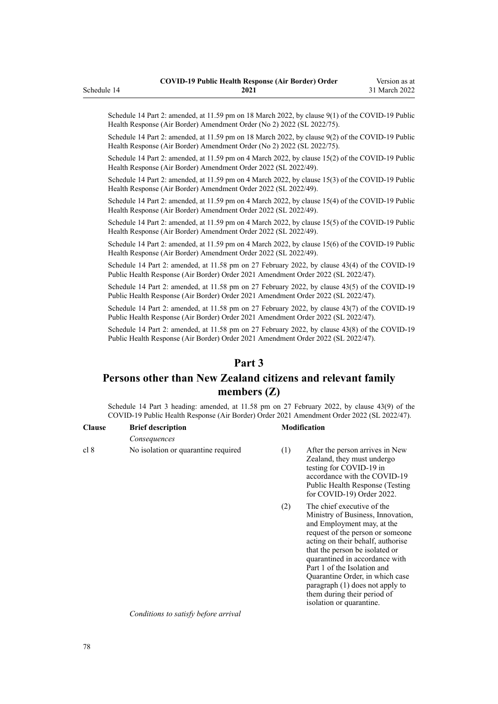Schedule 14 Part 2: amended, at 11.59 pm on 18 March 2022, by [clause 9\(1\)](http://legislation.govt.nz/pdflink.aspx?id=LMS664439) of the COVID-19 Public Health Response (Air Border) Amendment Order (No 2) 2022 (SL 2022/75).

Schedule 14 Part 2: amended, at 11.59 pm on 18 March 2022, by [clause 9\(2\)](http://legislation.govt.nz/pdflink.aspx?id=LMS664439) of the COVID-19 Public Health Response (Air Border) Amendment Order (No 2) 2022 (SL 2022/75).

Schedule 14 Part 2: amended, at 11.59 pm on 4 March 2022, by [clause 15\(2\)](http://legislation.govt.nz/pdflink.aspx?id=LMS653815) of the COVID-19 Public Health Response (Air Border) Amendment Order 2022 (SL 2022/49).

Schedule 14 Part 2: amended, at 11.59 pm on 4 March 2022, by [clause 15\(3\)](http://legislation.govt.nz/pdflink.aspx?id=LMS653815) of the COVID-19 Public Health Response (Air Border) Amendment Order 2022 (SL 2022/49).

Schedule 14 Part 2: amended, at 11.59 pm on 4 March 2022, by [clause 15\(4\)](http://legislation.govt.nz/pdflink.aspx?id=LMS653815) of the COVID-19 Public Health Response (Air Border) Amendment Order 2022 (SL 2022/49).

Schedule 14 Part 2: amended, at 11.59 pm on 4 March 2022, by [clause 15\(5\)](http://legislation.govt.nz/pdflink.aspx?id=LMS653815) of the COVID-19 Public Health Response (Air Border) Amendment Order 2022 (SL 2022/49).

Schedule 14 Part 2: amended, at 11.59 pm on 4 March 2022, by [clause 15\(6\)](http://legislation.govt.nz/pdflink.aspx?id=LMS653815) of the COVID-19 Public Health Response (Air Border) Amendment Order 2022 (SL 2022/49).

Schedule 14 Part 2: amended, at 11.58 pm on 27 February 2022, by [clause 43\(4\)](http://legislation.govt.nz/pdflink.aspx?id=LMS650909) of the COVID-19 Public Health Response (Air Border) Order 2021 Amendment Order 2022 (SL 2022/47).

Schedule 14 Part 2: amended, at 11.58 pm on 27 February 2022, by [clause 43\(5\)](http://legislation.govt.nz/pdflink.aspx?id=LMS650909) of the COVID-19 Public Health Response (Air Border) Order 2021 Amendment Order 2022 (SL 2022/47).

Schedule 14 Part 2: amended, at 11.58 pm on 27 February 2022, by [clause 43\(7\)](http://legislation.govt.nz/pdflink.aspx?id=LMS650909) of the COVID-19 Public Health Response (Air Border) Order 2021 Amendment Order 2022 (SL 2022/47).

Schedule 14 Part 2: amended, at 11.58 pm on 27 February 2022, by [clause 43\(8\)](http://legislation.govt.nz/pdflink.aspx?id=LMS650909) of the COVID-19 Public Health Response (Air Border) Order 2021 Amendment Order 2022 (SL 2022/47).

## **Part 3**

# **Persons other than New Zealand citizens and relevant family members (Z)**

Schedule 14 Part 3 heading: amended, at 11.58 pm on 27 February 2022, by [clause 43\(9\)](http://legislation.govt.nz/pdflink.aspx?id=LMS650909) of the COVID-19 Public Health Response (Air Border) Order 2021 Amendment Order 2022 (SL 2022/47).

| <b>Clause</b> | <b>Brief description</b>            |     | <b>Modification</b>                                                                                                                                                                      |
|---------------|-------------------------------------|-----|------------------------------------------------------------------------------------------------------------------------------------------------------------------------------------------|
|               | Consequences                        |     |                                                                                                                                                                                          |
| cl 8          | No isolation or quarantine required | (1) | After the person arrives in New<br>Zealand, they must undergo<br>testing for COVID-19 in<br>accordance with the COVID-19<br>Public Health Response (Testing<br>for COVID-19) Order 2022. |

(2) The chief executive of the Ministry of Business, Innovation, and Employment may, at the request of the person or someone acting on their behalf, authorise that the person be isolated or quarantined in accordance with [Part 1](http://legislation.govt.nz/pdflink.aspx?id=LMS401726) of the Isolation and Quarantine Order, in which case paragraph (1) does not apply to them during their period of isolation or quarantine.

*Conditions to satisfy before arrival*

<span id="page-77-0"></span>Schedule 14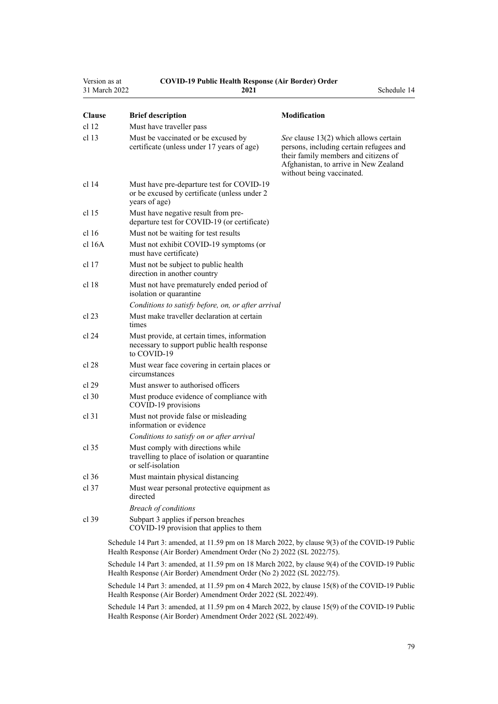| Version as at<br>31 March 2022 | <b>COVID-19 Public Health Response (Air Border) Order</b><br>2021                                          | Schedule 14                                                                                                                                                                                    |
|--------------------------------|------------------------------------------------------------------------------------------------------------|------------------------------------------------------------------------------------------------------------------------------------------------------------------------------------------------|
| <b>Clause</b>                  | <b>Brief description</b>                                                                                   | Modification                                                                                                                                                                                   |
| cl 12                          | Must have traveller pass                                                                                   |                                                                                                                                                                                                |
| cl <sub>13</sub>               | Must be vaccinated or be excused by<br>certificate (unless under 17 years of age)                          | See clause 13(2) which allows certain<br>persons, including certain refugees and<br>their family members and citizens of<br>Afghanistan, to arrive in New Zealand<br>without being vaccinated. |
| cl 14                          | Must have pre-departure test for COVID-19<br>or be excused by certificate (unless under 2<br>years of age) |                                                                                                                                                                                                |
| cl 15                          | Must have negative result from pre-<br>departure test for COVID-19 (or certificate)                        |                                                                                                                                                                                                |
| cl 16                          | Must not be waiting for test results                                                                       |                                                                                                                                                                                                |
| cl 16A                         | Must not exhibit COVID-19 symptoms (or<br>must have certificate)                                           |                                                                                                                                                                                                |
| cl 17                          | Must not be subject to public health<br>direction in another country                                       |                                                                                                                                                                                                |
| cl 18                          | Must not have prematurely ended period of<br>isolation or quarantine                                       |                                                                                                                                                                                                |
|                                | Conditions to satisfy before, on, or after arrival                                                         |                                                                                                                                                                                                |
| cl 23                          | Must make traveller declaration at certain<br>times                                                        |                                                                                                                                                                                                |
| cl 24                          | Must provide, at certain times, information<br>necessary to support public health response<br>to COVID-19  |                                                                                                                                                                                                |
| cl 28                          | Must wear face covering in certain places or<br>circumstances                                              |                                                                                                                                                                                                |
| cl 29                          | Must answer to authorised officers                                                                         |                                                                                                                                                                                                |
| $cl$ 30                        | Must produce evidence of compliance with<br>COVID-19 provisions                                            |                                                                                                                                                                                                |
| $cl$ 31                        | Must not provide false or misleading<br>information or evidence                                            |                                                                                                                                                                                                |
|                                | Conditions to satisfy on or after arrival                                                                  |                                                                                                                                                                                                |
| cl 35                          | Must comply with directions while<br>travelling to place of isolation or quarantine<br>or self-isolation   |                                                                                                                                                                                                |
| $cl$ 36                        | Must maintain physical distancing                                                                          |                                                                                                                                                                                                |
| $cl$ 37                        | Must wear personal protective equipment as<br>directed                                                     |                                                                                                                                                                                                |
|                                | <b>Breach of conditions</b>                                                                                |                                                                                                                                                                                                |
| $cl$ 39                        | Subpart 3 applies if person breaches<br>COVID-19 provision that applies to them                            |                                                                                                                                                                                                |
|                                | Schodule 14 Part 3: amended at 11.50 nm on $18$ March $2022$ by clause $9(3)$ of the COVID-19 Public       |                                                                                                                                                                                                |

Schedule 14 Part 3: amended, at 11.59 pm on 18 March 2022, by [clause 9\(3\)](http://legislation.govt.nz/pdflink.aspx?id=LMS664439) of the COVID-19 Public Health Response (Air Border) Amendment Order (No 2) 2022 (SL 2022/75).

Schedule 14 Part 3: amended, at 11.59 pm on 18 March 2022, by [clause 9\(4\)](http://legislation.govt.nz/pdflink.aspx?id=LMS664439) of the COVID-19 Public Health Response (Air Border) Amendment Order (No 2) 2022 (SL 2022/75).

Schedule 14 Part 3: amended, at 11.59 pm on 4 March 2022, by [clause 15\(8\)](http://legislation.govt.nz/pdflink.aspx?id=LMS653815) of the COVID-19 Public Health Response (Air Border) Amendment Order 2022 (SL 2022/49).

Schedule 14 Part 3: amended, at 11.59 pm on 4 March 2022, by [clause 15\(9\)](http://legislation.govt.nz/pdflink.aspx?id=LMS653815) of the COVID-19 Public Health Response (Air Border) Amendment Order 2022 (SL 2022/49).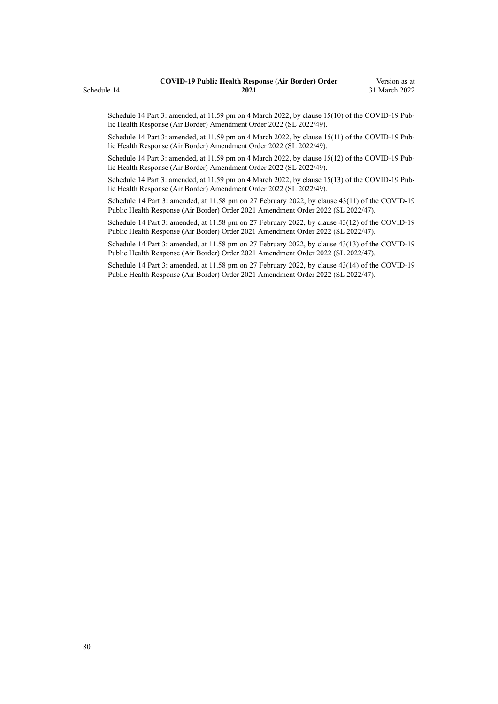Schedule 14 Part 3: amended, at 11.59 pm on 4 March 2022, by [clause 15\(10\)](http://legislation.govt.nz/pdflink.aspx?id=LMS653815) of the COVID-19 Public Health Response (Air Border) Amendment Order 2022 (SL 2022/49).

Schedule 14 Part 3: amended, at 11.59 pm on 4 March 2022, by [clause 15\(11\)](http://legislation.govt.nz/pdflink.aspx?id=LMS653815) of the COVID-19 Public Health Response (Air Border) Amendment Order 2022 (SL 2022/49).

Schedule 14 Part 3: amended, at 11.59 pm on 4 March 2022, by [clause 15\(12\)](http://legislation.govt.nz/pdflink.aspx?id=LMS653815) of the COVID-19 Pub‐ lic Health Response (Air Border) Amendment Order 2022 (SL 2022/49).

Schedule 14 Part 3: amended, at 11.59 pm on 4 March 2022, by [clause 15\(13\)](http://legislation.govt.nz/pdflink.aspx?id=LMS653815) of the COVID-19 Public Health Response (Air Border) Amendment Order 2022 (SL 2022/49).

Schedule 14 Part 3: amended, at 11.58 pm on 27 February 2022, by [clause 43\(11\)](http://legislation.govt.nz/pdflink.aspx?id=LMS650909) of the COVID-19 Public Health Response (Air Border) Order 2021 Amendment Order 2022 (SL 2022/47).

Schedule 14 Part 3: amended, at 11.58 pm on 27 February 2022, by [clause 43\(12\)](http://legislation.govt.nz/pdflink.aspx?id=LMS650909) of the COVID-19 Public Health Response (Air Border) Order 2021 Amendment Order 2022 (SL 2022/47).

Schedule 14 Part 3: amended, at 11.58 pm on 27 February 2022, by [clause 43\(13\)](http://legislation.govt.nz/pdflink.aspx?id=LMS650909) of the COVID-19 Public Health Response (Air Border) Order 2021 Amendment Order 2022 (SL 2022/47).

Schedule 14 Part 3: amended, at 11.58 pm on 27 February 2022, by [clause 43\(14\)](http://legislation.govt.nz/pdflink.aspx?id=LMS650909) of the COVID-19 Public Health Response (Air Border) Order 2021 Amendment Order 2022 (SL 2022/47).

Schedule 14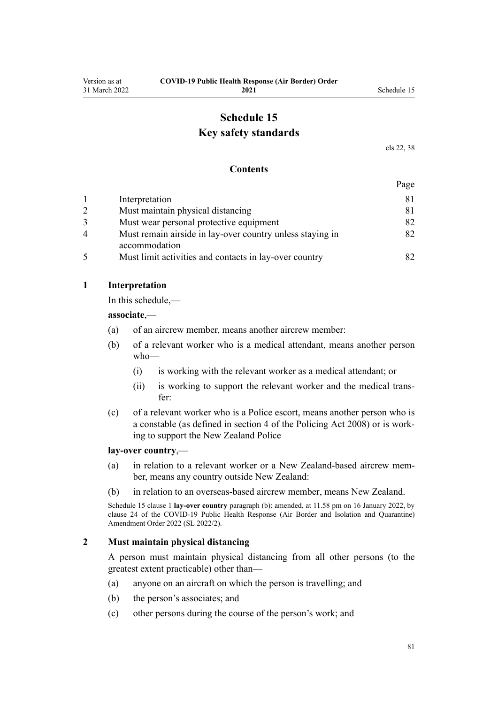# **Schedule 15 Key safety standards**

[cls 22,](#page-16-0) [38](#page-23-0)

#### **Contents**

|--|

|   | Interpretation                                            |     |
|---|-----------------------------------------------------------|-----|
| 2 | Must maintain physical distancing                         | 81. |
|   | Must wear personal protective equipment                   | 82  |
| 4 | Must remain airside in lay-over country unless staying in | 82  |
|   | accommodation                                             |     |
| 5 | Must limit activities and contacts in lay-over country    |     |

### **1 Interpretation**

In this schedule,—

**associate**,—

- (a) of an aircrew member, means another aircrew member:
- (b) of a relevant worker who is a medical attendant, means another person who—
	- (i) is working with the relevant worker as a medical attendant; or
	- (ii) is working to support the relevant worker and the medical trans‐ fer:
- (c) of a relevant worker who is a Police escort, means another person who is a constable (as defined in [section 4](http://legislation.govt.nz/pdflink.aspx?id=DLM1102132) of the Policing Act 2008) or is work‐ ing to support the New Zealand Police

#### **lay-over country**,—

- (a) in relation to a relevant worker or a New Zealand-based aircrew mem‐ ber, means any country outside New Zealand:
- (b) in relation to an overseas-based aircrew member, means New Zealand.

Schedule 15 clause 1 **lay-over country** paragraph (b): amended, at 11.58 pm on 16 January 2022, by [clause 24](http://legislation.govt.nz/pdflink.aspx?id=LMS629308) of the COVID-19 Public Health Response (Air Border and Isolation and Quarantine) Amendment Order 2022 (SL 2022/2).

### **2 Must maintain physical distancing**

A person must maintain physical distancing from all other persons (to the greatest extent practicable) other than—

- (a) anyone on an aircraft on which the person is travelling; and
- (b) the person's associates; and
- (c) other persons during the course of the person's work; and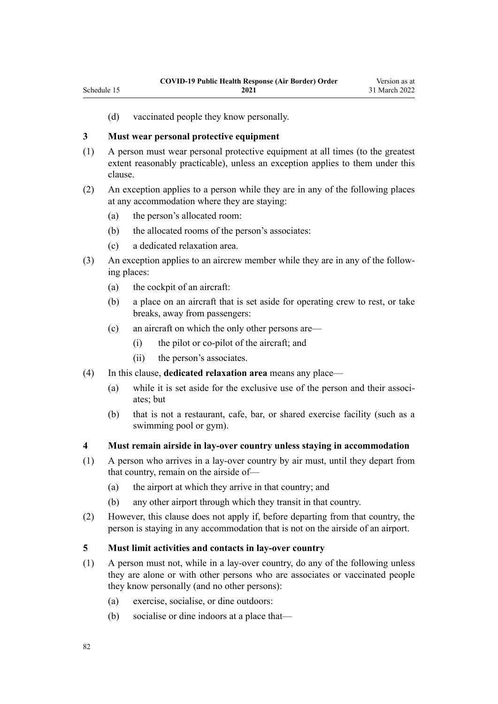(d) vaccinated people they know personally.

### **3 Must wear personal protective equipment**

<span id="page-81-0"></span>Schedule 15

- (1) A person must wear personal protective equipment at all times (to the greatest extent reasonably practicable), unless an exception applies to them under this clause.
- (2) An exception applies to a person while they are in any of the following places at any accommodation where they are staying:
	- (a) the person's allocated room:
	- (b) the allocated rooms of the person's associates:
	- (c) a dedicated relaxation area.
- (3) An exception applies to an aircrew member while they are in any of the follow‐ ing places:
	- (a) the cockpit of an aircraft:
	- (b) a place on an aircraft that is set aside for operating crew to rest, or take breaks, away from passengers:
	- (c) an aircraft on which the only other persons are—
		- (i) the pilot or co-pilot of the aircraft; and
		- (ii) the person's associates.
- (4) In this clause, **dedicated relaxation area** means any place—
	- (a) while it is set aside for the exclusive use of the person and their associates; but
	- (b) that is not a restaurant, cafe, bar, or shared exercise facility (such as a swimming pool or gym).

### **4 Must remain airside in lay-over country unless staying in accommodation**

- (1) A person who arrives in a lay-over country by air must, until they depart from that country, remain on the airside of—
	- (a) the airport at which they arrive in that country; and
	- (b) any other airport through which they transit in that country.
- (2) However, this clause does not apply if, before departing from that country, the person is staying in any accommodation that is not on the airside of an airport.

### **5 Must limit activities and contacts in lay-over country**

- (1) A person must not, while in a lay-over country, do any of the following unless they are alone or with other persons who are associates or vaccinated people they know personally (and no other persons):
	- (a) exercise, socialise, or dine outdoors:
	- (b) socialise or dine indoors at a place that—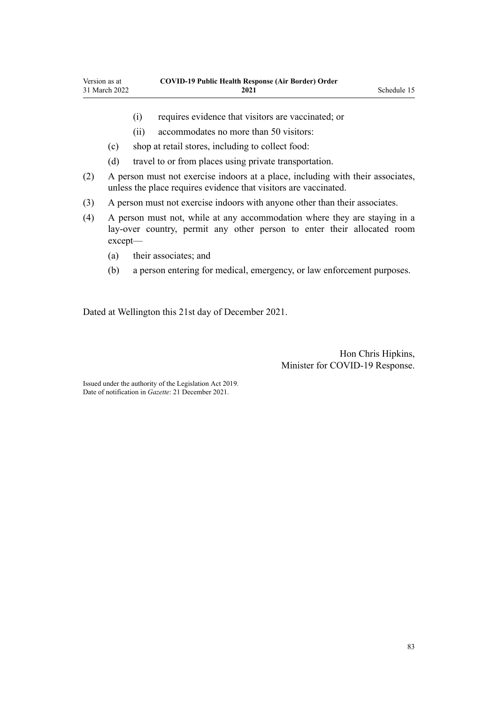- 
- (i) requires evidence that visitors are vaccinated; or
- (ii) accommodates no more than 50 visitors:
- (c) shop at retail stores, including to collect food:
- (d) travel to or from places using private transportation.
- (2) A person must not exercise indoors at a place, including with their associates, unless the place requires evidence that visitors are vaccinated.
- (3) A person must not exercise indoors with anyone other than their associates.
- (4) A person must not, while at any accommodation where they are staying in a lay-over country, permit any other person to enter their allocated room except—
	- (a) their associates; and
	- (b) a person entering for medical, emergency, or law enforcement purposes.

Dated at Wellington this 21st day of December 2021.

Hon Chris Hipkins, Minister for COVID-19 Response.

Issued under the authority of the [Legislation Act 2019](http://legislation.govt.nz/pdflink.aspx?id=DLM7298104). Date of notification in *Gazette*: 21 December 2021.